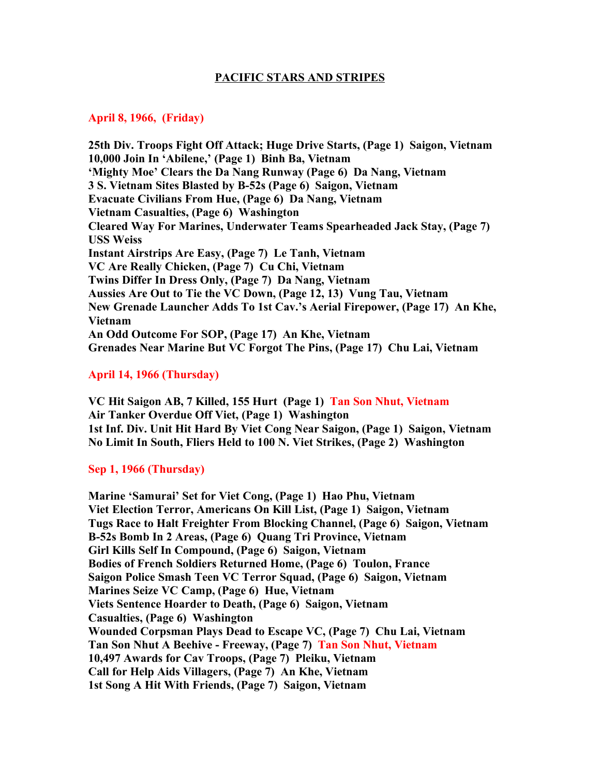## **PACIFIC STARS AND STRIPES**

### **April 8, 1966, (Friday)**

**25th Div. Troops Fight Off Attack; Huge Drive Starts, (Page 1) Saigon, Vietnam 10,000 Join In 'Abilene,' (Page 1) Binh Ba, Vietnam 'Mighty Moe' Clears the Da Nang Runway (Page 6) Da Nang, Vietnam 3 S. Vietnam Sites Blasted by B-52s (Page 6) Saigon, Vietnam Evacuate Civilians From Hue, (Page 6) Da Nang, Vietnam Vietnam Casualties, (Page 6) Washington Cleared Way For Marines, Underwater Teams Spearheaded Jack Stay, (Page 7) USS Weiss Instant Airstrips Are Easy, (Page 7) Le Tanh, Vietnam VC Are Really Chicken, (Page 7) Cu Chi, Vietnam Twins Differ In Dress Only, (Page 7) Da Nang, Vietnam Aussies Are Out to Tie the VC Down, (Page 12, 13) Vung Tau, Vietnam New Grenade Launcher Adds To 1st Cav.'s Aerial Firepower, (Page 17) An Khe, Vietnam An Odd Outcome For SOP, (Page 17) An Khe, Vietnam Grenades Near Marine But VC Forgot The Pins, (Page 17) Chu Lai, Vietnam**

## **April 14, 1966 (Thursday)**

**VC Hit Saigon AB, 7 Killed, 155 Hurt (Page 1) Tan Son Nhut, Vietnam Air Tanker Overdue Off Viet, (Page 1) Washington 1st Inf. Div. Unit Hit Hard By Viet Cong Near Saigon, (Page 1) Saigon, Vietnam No Limit In South, Fliers Held to 100 N. Viet Strikes, (Page 2) Washington**

## **Sep 1, 1966 (Thursday)**

**Marine 'Samurai' Set for Viet Cong, (Page 1) Hao Phu, Vietnam Viet Election Terror, Americans On Kill List, (Page 1) Saigon, Vietnam Tugs Race to Halt Freighter From Blocking Channel, (Page 6) Saigon, Vietnam B-52s Bomb In 2 Areas, (Page 6) Quang Tri Province, Vietnam Girl Kills Self In Compound, (Page 6) Saigon, Vietnam Bodies of French Soldiers Returned Home, (Page 6) Toulon, France Saigon Police Smash Teen VC Terror Squad, (Page 6) Saigon, Vietnam Marines Seize VC Camp, (Page 6) Hue, Vietnam Viets Sentence Hoarder to Death, (Page 6) Saigon, Vietnam Casualties, (Page 6) Washington Wounded Corpsman Plays Dead to Escape VC, (Page 7) Chu Lai, Vietnam Tan Son Nhut A Beehive - Freeway, (Page 7) Tan Son Nhut, Vietnam 10,497 Awards for Cav Troops, (Page 7) Pleiku, Vietnam Call for Help Aids Villagers, (Page 7) An Khe, Vietnam 1st Song A Hit With Friends, (Page 7) Saigon, Vietnam**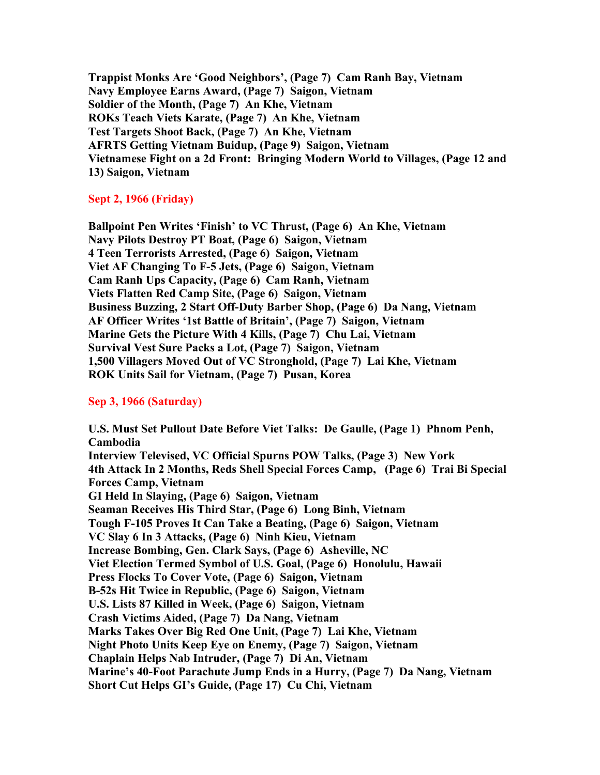**Trappist Monks Are 'Good Neighbors', (Page 7) Cam Ranh Bay, Vietnam Navy Employee Earns Award, (Page 7) Saigon, Vietnam Soldier of the Month, (Page 7) An Khe, Vietnam ROKs Teach Viets Karate, (Page 7) An Khe, Vietnam Test Targets Shoot Back, (Page 7) An Khe, Vietnam AFRTS Getting Vietnam Buidup, (Page 9) Saigon, Vietnam Vietnamese Fight on a 2d Front: Bringing Modern World to Villages, (Page 12 and 13) Saigon, Vietnam**

## **Sept 2, 1966 (Friday)**

**Ballpoint Pen Writes 'Finish' to VC Thrust, (Page 6) An Khe, Vietnam Navy Pilots Destroy PT Boat, (Page 6) Saigon, Vietnam 4 Teen Terrorists Arrested, (Page 6) Saigon, Vietnam Viet AF Changing To F-5 Jets, (Page 6) Saigon, Vietnam Cam Ranh Ups Capacity, (Page 6) Cam Ranh, Vietnam Viets Flatten Red Camp Site, (Page 6) Saigon, Vietnam Business Buzzing, 2 Start Off-Duty Barber Shop, (Page 6) Da Nang, Vietnam AF Officer Writes '1st Battle of Britain', (Page 7) Saigon, Vietnam Marine Gets the Picture With 4 Kills, (Page 7) Chu Lai, Vietnam Survival Vest Sure Packs a Lot, (Page 7) Saigon, Vietnam 1,500 Villagers Moved Out of VC Stronghold, (Page 7) Lai Khe, Vietnam ROK Units Sail for Vietnam, (Page 7) Pusan, Korea**

#### **Sep 3, 1966 (Saturday)**

**U.S. Must Set Pullout Date Before Viet Talks: De Gaulle, (Page 1) Phnom Penh, Cambodia Interview Televised, VC Official Spurns POW Talks, (Page 3) New York 4th Attack In 2 Months, Reds Shell Special Forces Camp, (Page 6) Trai Bi Special Forces Camp, Vietnam GI Held In Slaying, (Page 6) Saigon, Vietnam Seaman Receives His Third Star, (Page 6) Long Binh, Vietnam Tough F-105 Proves It Can Take a Beating, (Page 6) Saigon, Vietnam VC Slay 6 In 3 Attacks, (Page 6) Ninh Kieu, Vietnam Increase Bombing, Gen. Clark Says, (Page 6) Asheville, NC Viet Election Termed Symbol of U.S. Goal, (Page 6) Honolulu, Hawaii Press Flocks To Cover Vote, (Page 6) Saigon, Vietnam B-52s Hit Twice in Republic, (Page 6) Saigon, Vietnam U.S. Lists 87 Killed in Week, (Page 6) Saigon, Vietnam Crash Victims Aided, (Page 7) Da Nang, Vietnam Marks Takes Over Big Red One Unit, (Page 7) Lai Khe, Vietnam Night Photo Units Keep Eye on Enemy, (Page 7) Saigon, Vietnam Chaplain Helps Nab Intruder, (Page 7) Di An, Vietnam Marine's 40-Foot Parachute Jump Ends in a Hurry, (Page 7) Da Nang, Vietnam Short Cut Helps GI's Guide, (Page 17) Cu Chi, Vietnam**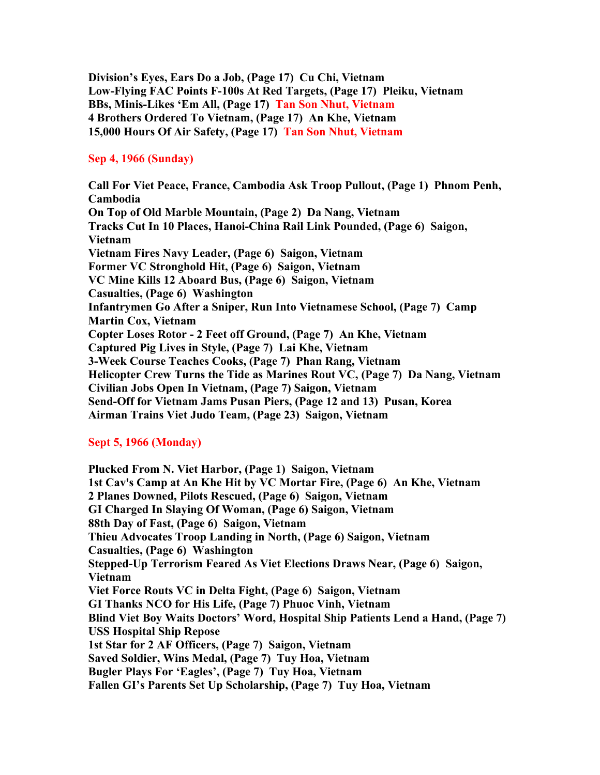**Division's Eyes, Ears Do a Job, (Page 17) Cu Chi, Vietnam Low-Flying FAC Points F-100s At Red Targets, (Page 17) Pleiku, Vietnam BBs, Minis-Likes 'Em All, (Page 17) Tan Son Nhut, Vietnam 4 Brothers Ordered To Vietnam, (Page 17) An Khe, Vietnam 15,000 Hours Of Air Safety, (Page 17) Tan Son Nhut, Vietnam**

## **Sep 4, 1966 (Sunday)**

**Call For Viet Peace, France, Cambodia Ask Troop Pullout, (Page 1) Phnom Penh, Cambodia On Top of Old Marble Mountain, (Page 2) Da Nang, Vietnam Tracks Cut In 10 Places, Hanoi-China Rail Link Pounded, (Page 6) Saigon, Vietnam Vietnam Fires Navy Leader, (Page 6) Saigon, Vietnam Former VC Stronghold Hit, (Page 6) Saigon, Vietnam VC Mine Kills 12 Aboard Bus, (Page 6) Saigon, Vietnam Casualties, (Page 6) Washington Infantrymen Go After a Sniper, Run Into Vietnamese School, (Page 7) Camp Martin Cox, Vietnam Copter Loses Rotor - 2 Feet off Ground, (Page 7) An Khe, Vietnam Captured Pig Lives in Style, (Page 7) Lai Khe, Vietnam 3-Week Course Teaches Cooks, (Page 7) Phan Rang, Vietnam Helicopter Crew Turns the Tide as Marines Rout VC, (Page 7) Da Nang, Vietnam Civilian Jobs Open In Vietnam, (Page 7) Saigon, Vietnam Send-Off for Vietnam Jams Pusan Piers, (Page 12 and 13) Pusan, Korea Airman Trains Viet Judo Team, (Page 23) Saigon, Vietnam**

# **Sept 5, 1966 (Monday)**

**Plucked From N. Viet Harbor, (Page 1) Saigon, Vietnam 1st Cav's Camp at An Khe Hit by VC Mortar Fire, (Page 6) An Khe, Vietnam 2 Planes Downed, Pilots Rescued, (Page 6) Saigon, Vietnam GI Charged In Slaying Of Woman, (Page 6) Saigon, Vietnam 88th Day of Fast, (Page 6) Saigon, Vietnam Thieu Advocates Troop Landing in North, (Page 6) Saigon, Vietnam Casualties, (Page 6) Washington Stepped-Up Terrorism Feared As Viet Elections Draws Near, (Page 6) Saigon, Vietnam Viet Force Routs VC in Delta Fight, (Page 6) Saigon, Vietnam GI Thanks NCO for His Life, (Page 7) Phuoc Vinh, Vietnam Blind Viet Boy Waits Doctors' Word, Hospital Ship Patients Lend a Hand, (Page 7) USS Hospital Ship Repose 1st Star for 2 AF Officers, (Page 7) Saigon, Vietnam Saved Soldier, Wins Medal, (Page 7) Tuy Hoa, Vietnam Bugler Plays For 'Eagles', (Page 7) Tuy Hoa, Vietnam Fallen GI's Parents Set Up Scholarship, (Page 7) Tuy Hoa, Vietnam**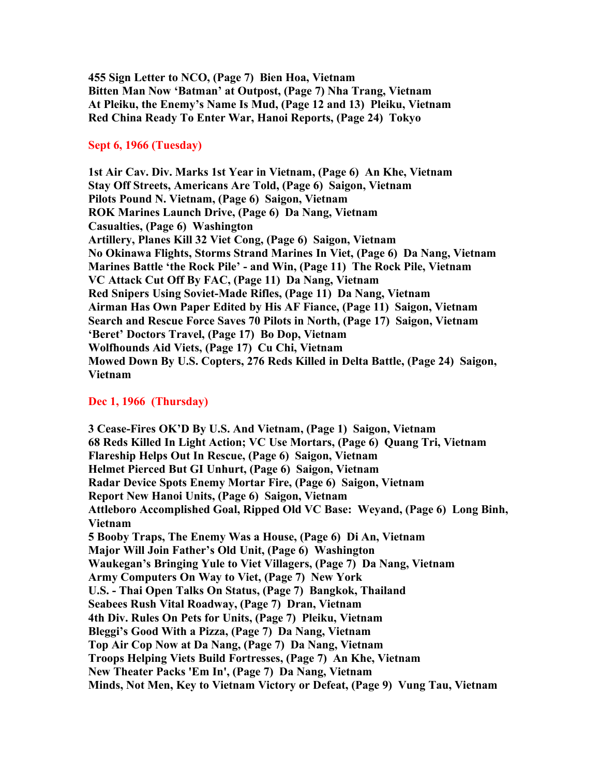**455 Sign Letter to NCO, (Page 7) Bien Hoa, Vietnam Bitten Man Now 'Batman' at Outpost, (Page 7) Nha Trang, Vietnam At Pleiku, the Enemy's Name Is Mud, (Page 12 and 13) Pleiku, Vietnam Red China Ready To Enter War, Hanoi Reports, (Page 24) Tokyo**

#### **Sept 6, 1966 (Tuesday)**

**1st Air Cav. Div. Marks 1st Year in Vietnam, (Page 6) An Khe, Vietnam Stay Off Streets, Americans Are Told, (Page 6) Saigon, Vietnam Pilots Pound N. Vietnam, (Page 6) Saigon, Vietnam ROK Marines Launch Drive, (Page 6) Da Nang, Vietnam Casualties, (Page 6) Washington Artillery, Planes Kill 32 Viet Cong, (Page 6) Saigon, Vietnam No Okinawa Flights, Storms Strand Marines In Viet, (Page 6) Da Nang, Vietnam Marines Battle 'the Rock Pile' - and Win, (Page 11) The Rock Pile, Vietnam VC Attack Cut Off By FAC, (Page 11) Da Nang, Vietnam Red Snipers Using Soviet-Made Rifles, (Page 11) Da Nang, Vietnam Airman Has Own Paper Edited by His AF Fiance, (Page 11) Saigon, Vietnam Search and Rescue Force Saves 70 Pilots in North, (Page 17) Saigon, Vietnam 'Beret' Doctors Travel, (Page 17) Bo Dop, Vietnam Wolfhounds Aid Viets, (Page 17) Cu Chi, Vietnam Mowed Down By U.S. Copters, 276 Reds Killed in Delta Battle, (Page 24) Saigon, Vietnam**

#### **Dec 1, 1966 (Thursday)**

**3 Cease-Fires OK'D By U.S. And Vietnam, (Page 1) Saigon, Vietnam 68 Reds Killed In Light Action; VC Use Mortars, (Page 6) Quang Tri, Vietnam Flareship Helps Out In Rescue, (Page 6) Saigon, Vietnam Helmet Pierced But GI Unhurt, (Page 6) Saigon, Vietnam Radar Device Spots Enemy Mortar Fire, (Page 6) Saigon, Vietnam Report New Hanoi Units, (Page 6) Saigon, Vietnam Attleboro Accomplished Goal, Ripped Old VC Base: Weyand, (Page 6) Long Binh, Vietnam 5 Booby Traps, The Enemy Was a House, (Page 6) Di An, Vietnam Major Will Join Father's Old Unit, (Page 6) Washington Waukegan's Bringing Yule to Viet Villagers, (Page 7) Da Nang, Vietnam Army Computers On Way to Viet, (Page 7) New York U.S. - Thai Open Talks On Status, (Page 7) Bangkok, Thailand Seabees Rush Vital Roadway, (Page 7) Dran, Vietnam 4th Div. Rules On Pets for Units, (Page 7) Pleiku, Vietnam Bleggi's Good With a Pizza, (Page 7) Da Nang, Vietnam Top Air Cop Now at Da Nang, (Page 7) Da Nang, Vietnam Troops Helping Viets Build Fortresses, (Page 7) An Khe, Vietnam New Theater Packs 'Em In', (Page 7) Da Nang, Vietnam Minds, Not Men, Key to Vietnam Victory or Defeat, (Page 9) Vung Tau, Vietnam**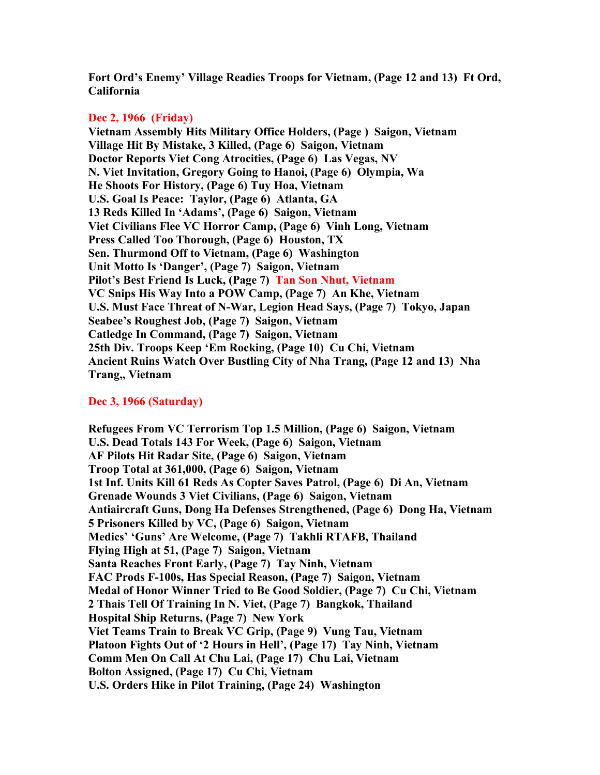**Fort Ord's Enemy' Village Readies Troops for Vietnam, (Page 12 and 13) Ft Ord, California**

## **Dec 2, 1966 (Friday)**

**Vietnam Assembly Hits Military Office Holders, (Page ) Saigon, Vietnam Village Hit By Mistake, 3 Killed, (Page 6) Saigon, Vietnam Doctor Reports Viet Cong Atrocities, (Page 6) Las Vegas, NV N. Viet Invitation, Gregory Going to Hanoi, (Page 6) Olympia, Wa He Shoots For History, (Page 6) Tuy Hoa, Vietnam U.S. Goal Is Peace: Taylor, (Page 6) Atlanta, GA 13 Reds Killed In 'Adams', (Page 6) Saigon, Vietnam Viet Civilians Flee VC Horror Camp, (Page 6) Vinh Long, Vietnam Press Called Too Thorough, (Page 6) Houston, TX Sen. Thurmond Off to Vietnam, (Page 6) Washington Unit Motto Is 'Danger', (Page 7) Saigon, Vietnam Pilot's Best Friend Is Luck, (Page 7) Tan Son Nhut, Vietnam VC Snips His Way Into a POW Camp, (Page 7) An Khe, Vietnam U.S. Must Face Threat of N-War, Legion Head Says, (Page 7) Tokyo, Japan Seabee's Roughest Job, (Page 7) Saigon, Vietnam Catledge In Command, (Page 7) Saigon, Vietnam 25th Div. Troops Keep 'Em Rocking, (Page 10) Cu Chi, Vietnam Ancient Ruins Watch Over Bustling City of Nha Trang, (Page 12 and 13) Nha Trang,, Vietnam**

# **Dec 3, 1966 (Saturday)**

**Refugees From VC Terrorism Top 1.5 Million, (Page 6) Saigon, Vietnam U.S. Dead Totals 143 For Week, (Page 6) Saigon, Vietnam AF Pilots Hit Radar Site, (Page 6) Saigon, Vietnam Troop Total at 361,000, (Page 6) Saigon, Vietnam 1st Inf. Units Kill 61 Reds As Copter Saves Patrol, (Page 6) Di An, Vietnam Grenade Wounds 3 Viet Civilians, (Page 6) Saigon, Vietnam Antiaircraft Guns, Dong Ha Defenses Strengthened, (Page 6) Dong Ha, Vietnam 5 Prisoners Killed by VC, (Page 6) Saigon, Vietnam Medics' 'Guns' Are Welcome, (Page 7) Takhli RTAFB, Thailand Flying High at 51, (Page 7) Saigon, Vietnam Santa Reaches Front Early, (Page 7) Tay Ninh, Vietnam FAC Prods F-100s, Has Special Reason, (Page 7) Saigon, Vietnam Medal of Honor Winner Tried to Be Good Soldier, (Page 7) Cu Chi, Vietnam 2 Thais Tell Of Training In N. Viet, (Page 7) Bangkok, Thailand Hospital Ship Returns, (Page 7) New York Viet Teams Train to Break VC Grip, (Page 9) Vung Tau, Vietnam Platoon Fights Out of '2 Hours in Hell', (Page 17) Tay Ninh, Vietnam Comm Men On Call At Chu Lai, (Page 17) Chu Lai, Vietnam Bolton Assigned, (Page 17) Cu Chi, Vietnam U.S. Orders Hike in Pilot Training, (Page 24) Washington**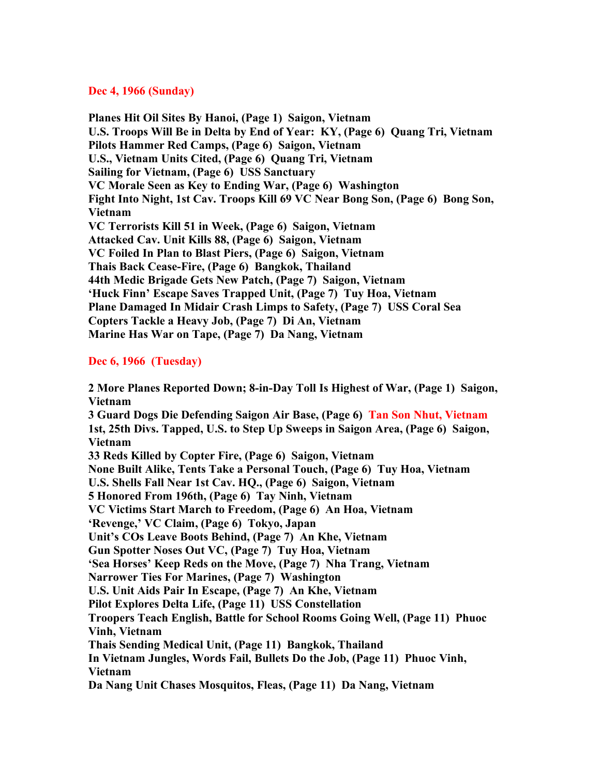### **Dec 4, 1966 (Sunday)**

**Planes Hit Oil Sites By Hanoi, (Page 1) Saigon, Vietnam U.S. Troops Will Be in Delta by End of Year: KY, (Page 6) Quang Tri, Vietnam Pilots Hammer Red Camps, (Page 6) Saigon, Vietnam U.S., Vietnam Units Cited, (Page 6) Quang Tri, Vietnam Sailing for Vietnam, (Page 6) USS Sanctuary VC Morale Seen as Key to Ending War, (Page 6) Washington Fight Into Night, 1st Cav. Troops Kill 69 VC Near Bong Son, (Page 6) Bong Son, Vietnam VC Terrorists Kill 51 in Week, (Page 6) Saigon, Vietnam Attacked Cav. Unit Kills 88, (Page 6) Saigon, Vietnam VC Foiled In Plan to Blast Piers, (Page 6) Saigon, Vietnam Thais Back Cease-Fire, (Page 6) Bangkok, Thailand 44th Medic Brigade Gets New Patch, (Page 7) Saigon, Vietnam 'Huck Finn' Escape Saves Trapped Unit, (Page 7) Tuy Hoa, Vietnam Plane Damaged In Midair Crash Limps to Safety, (Page 7) USS Coral Sea Copters Tackle a Heavy Job, (Page 7) Di An, Vietnam Marine Has War on Tape, (Page 7) Da Nang, Vietnam**

# **Dec 6, 1966 (Tuesday)**

**2 More Planes Reported Down; 8-in-Day Toll Is Highest of War, (Page 1) Saigon, Vietnam 3 Guard Dogs Die Defending Saigon Air Base, (Page 6) Tan Son Nhut, Vietnam 1st, 25th Divs. Tapped, U.S. to Step Up Sweeps in Saigon Area, (Page 6) Saigon, Vietnam 33 Reds Killed by Copter Fire, (Page 6) Saigon, Vietnam None Built Alike, Tents Take a Personal Touch, (Page 6) Tuy Hoa, Vietnam U.S. Shells Fall Near 1st Cav. HQ., (Page 6) Saigon, Vietnam 5 Honored From 196th, (Page 6) Tay Ninh, Vietnam VC Victims Start March to Freedom, (Page 6) An Hoa, Vietnam 'Revenge,' VC Claim, (Page 6) Tokyo, Japan Unit's COs Leave Boots Behind, (Page 7) An Khe, Vietnam Gun Spotter Noses Out VC, (Page 7) Tuy Hoa, Vietnam 'Sea Horses' Keep Reds on the Move, (Page 7) Nha Trang, Vietnam Narrower Ties For Marines, (Page 7) Washington U.S. Unit Aids Pair In Escape, (Page 7) An Khe, Vietnam Pilot Explores Delta Life, (Page 11) USS Constellation Troopers Teach English, Battle for School Rooms Going Well, (Page 11) Phuoc Vinh, Vietnam Thais Sending Medical Unit, (Page 11) Bangkok, Thailand In Vietnam Jungles, Words Fail, Bullets Do the Job, (Page 11) Phuoc Vinh, Vietnam Da Nang Unit Chases Mosquitos, Fleas, (Page 11) Da Nang, Vietnam**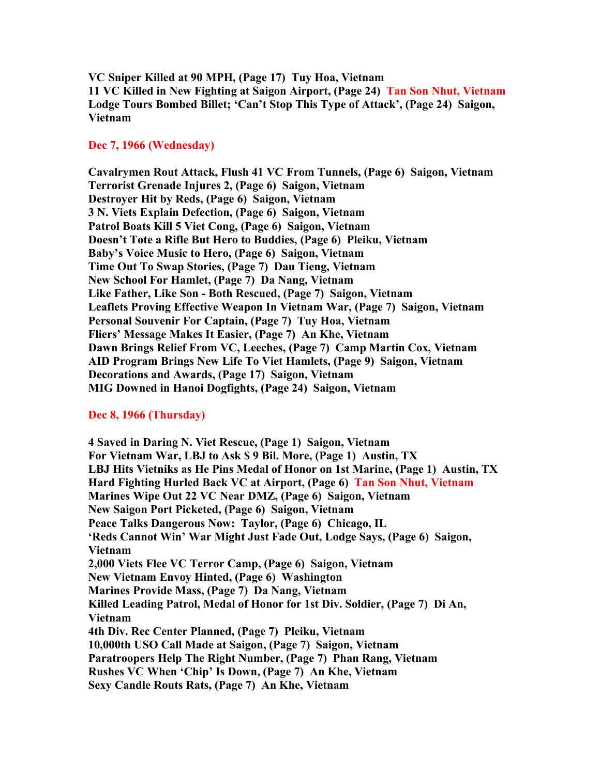**VC Sniper Killed at 90 MPH, (Page 17) Tuy Hoa, Vietnam 11 VC Killed in New Fighting at Saigon Airport, (Page 24) Tan Son Nhut, Vietnam Lodge Tours Bombed Billet; 'Can't Stop This Type of Attack', (Page 24) Saigon, Vietnam**

### **Dec 7, 1966 (Wednesday)**

**Cavalrymen Rout Attack, Flush 41 VC From Tunnels, (Page 6) Saigon, Vietnam Terrorist Grenade Injures 2, (Page 6) Saigon, Vietnam Destroyer Hit by Reds, (Page 6) Saigon, Vietnam 3 N. Viets Explain Defection, (Page 6) Saigon, Vietnam Patrol Boats Kill 5 Viet Cong, (Page 6) Saigon, Vietnam Doesn't Tote a Rifle But Hero to Buddies, (Page 6) Pleiku, Vietnam Baby's Voice Music to Hero, (Page 6) Saigon, Vietnam Time Out To Swap Stories, (Page 7) Dau Tieng, Vietnam New School For Hamlet, (Page 7) Da Nang, Vietnam Like Father, Like Son - Both Rescued, (Page 7) Saigon, Vietnam Leaflets Proving Effective Weapon In Vietnam War, (Page 7) Saigon, Vietnam Personal Souvenir For Captain, (Page 7) Tuy Hoa, Vietnam Fliers' Message Makes It Easier, (Page 7) An Khe, Vietnam Dawn Brings Relief From VC, Leeches, (Page 7) Camp Martin Cox, Vietnam AID Program Brings New Life To Viet Hamlets, (Page 9) Saigon, Vietnam Decorations and Awards, (Page 17) Saigon, Vietnam MIG Downed in Hanoi Dogfights, (Page 24) Saigon, Vietnam**

## **Dec 8, 1966 (Thursday)**

**4 Saved in Daring N. Viet Rescue, (Page 1) Saigon, Vietnam For Vietnam War, LBJ to Ask \$ 9 Bil. More, (Page 1) Austin, TX LBJ Hits Vietniks as He Pins Medal of Honor on 1st Marine, (Page 1) Austin, TX Hard Fighting Hurled Back VC at Airport, (Page 6) Tan Son Nhut, Vietnam Marines Wipe Out 22 VC Near DMZ, (Page 6) Saigon, Vietnam New Saigon Port Picketed, (Page 6) Saigon, Vietnam Peace Talks Dangerous Now: Taylor, (Page 6) Chicago, IL 'Reds Cannot Win' War Might Just Fade Out, Lodge Says, (Page 6) Saigon, Vietnam 2,000 Viets Flee VC Terror Camp, (Page 6) Saigon, Vietnam New Vietnam Envoy Hinted, (Page 6) Washington Marines Provide Mass, (Page 7) Da Nang, Vietnam Killed Leading Patrol, Medal of Honor for 1st Div. Soldier, (Page 7) Di An, Vietnam 4th Div. Rec Center Planned, (Page 7) Pleiku, Vietnam 10,000th USO Call Made at Saigon, (Page 7) Saigon, Vietnam Paratroopers Help The Right Number, (Page 7) Phan Rang, Vietnam Rushes VC When 'Chip' Is Down, (Page 7) An Khe, Vietnam Sexy Candle Routs Rats, (Page 7) An Khe, Vietnam**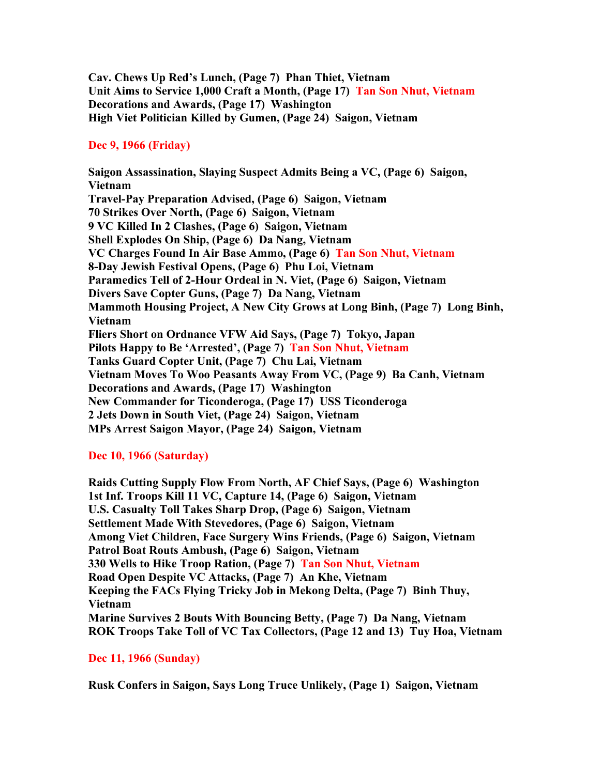**Cav. Chews Up Red's Lunch, (Page 7) Phan Thiet, Vietnam Unit Aims to Service 1,000 Craft a Month, (Page 17) Tan Son Nhut, Vietnam Decorations and Awards, (Page 17) Washington High Viet Politician Killed by Gumen, (Page 24) Saigon, Vietnam**

# **Dec 9, 1966 (Friday)**

**Saigon Assassination, Slaying Suspect Admits Being a VC, (Page 6) Saigon, Vietnam Travel-Pay Preparation Advised, (Page 6) Saigon, Vietnam 70 Strikes Over North, (Page 6) Saigon, Vietnam 9 VC Killed In 2 Clashes, (Page 6) Saigon, Vietnam Shell Explodes On Ship, (Page 6) Da Nang, Vietnam VC Charges Found In Air Base Ammo, (Page 6) Tan Son Nhut, Vietnam 8-Day Jewish Festival Opens, (Page 6) Phu Loi, Vietnam Paramedics Tell of 2-Hour Ordeal in N. Viet, (Page 6) Saigon, Vietnam Divers Save Copter Guns, (Page 7) Da Nang, Vietnam Mammoth Housing Project, A New City Grows at Long Binh, (Page 7) Long Binh, Vietnam Fliers Short on Ordnance VFW Aid Says, (Page 7) Tokyo, Japan Pilots Happy to Be 'Arrested', (Page 7) Tan Son Nhut, Vietnam Tanks Guard Copter Unit, (Page 7) Chu Lai, Vietnam Vietnam Moves To Woo Peasants Away From VC, (Page 9) Ba Canh, Vietnam Decorations and Awards, (Page 17) Washington New Commander for Ticonderoga, (Page 17) USS Ticonderoga 2 Jets Down in South Viet, (Page 24) Saigon, Vietnam MPs Arrest Saigon Mayor, (Page 24) Saigon, Vietnam**

# **Dec 10, 1966 (Saturday)**

**Raids Cutting Supply Flow From North, AF Chief Says, (Page 6) Washington 1st Inf. Troops Kill 11 VC, Capture 14, (Page 6) Saigon, Vietnam U.S. Casualty Toll Takes Sharp Drop, (Page 6) Saigon, Vietnam Settlement Made With Stevedores, (Page 6) Saigon, Vietnam Among Viet Children, Face Surgery Wins Friends, (Page 6) Saigon, Vietnam Patrol Boat Routs Ambush, (Page 6) Saigon, Vietnam 330 Wells to Hike Troop Ration, (Page 7) Tan Son Nhut, Vietnam Road Open Despite VC Attacks, (Page 7) An Khe, Vietnam Keeping the FACs Flying Tricky Job in Mekong Delta, (Page 7) Binh Thuy, Vietnam Marine Survives 2 Bouts With Bouncing Betty, (Page 7) Da Nang, Vietnam ROK Troops Take Toll of VC Tax Collectors, (Page 12 and 13) Tuy Hoa, Vietnam**

# **Dec 11, 1966 (Sunday)**

**Rusk Confers in Saigon, Says Long Truce Unlikely, (Page 1) Saigon, Vietnam**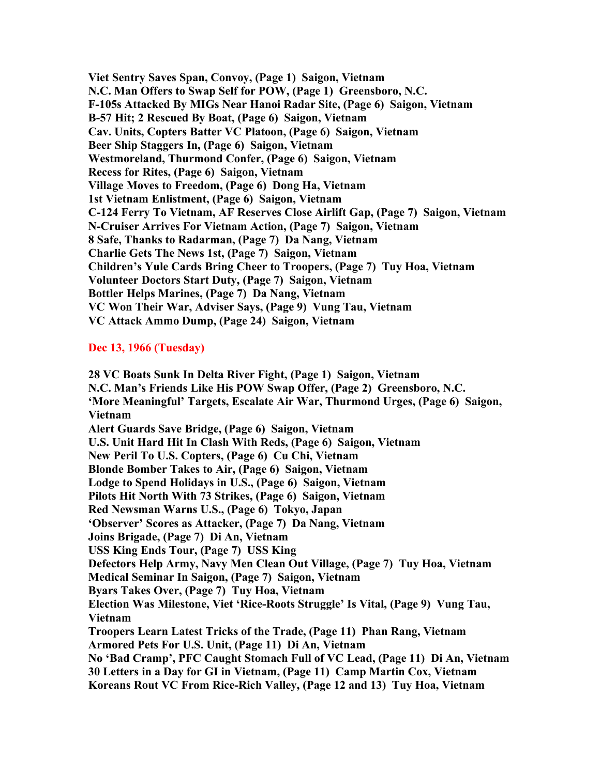**Viet Sentry Saves Span, Convoy, (Page 1) Saigon, Vietnam N.C. Man Offers to Swap Self for POW, (Page 1) Greensboro, N.C. F-105s Attacked By MIGs Near Hanoi Radar Site, (Page 6) Saigon, Vietnam B-57 Hit; 2 Rescued By Boat, (Page 6) Saigon, Vietnam Cav. Units, Copters Batter VC Platoon, (Page 6) Saigon, Vietnam Beer Ship Staggers In, (Page 6) Saigon, Vietnam Westmoreland, Thurmond Confer, (Page 6) Saigon, Vietnam Recess for Rites, (Page 6) Saigon, Vietnam Village Moves to Freedom, (Page 6) Dong Ha, Vietnam 1st Vietnam Enlistment, (Page 6) Saigon, Vietnam C-124 Ferry To Vietnam, AF Reserves Close Airlift Gap, (Page 7) Saigon, Vietnam N-Cruiser Arrives For Vietnam Action, (Page 7) Saigon, Vietnam 8 Safe, Thanks to Radarman, (Page 7) Da Nang, Vietnam Charlie Gets The News 1st, (Page 7) Saigon, Vietnam Children's Yule Cards Bring Cheer to Troopers, (Page 7) Tuy Hoa, Vietnam Volunteer Doctors Start Duty, (Page 7) Saigon, Vietnam Bottler Helps Marines, (Page 7) Da Nang, Vietnam VC Won Their War, Adviser Says, (Page 9) Vung Tau, Vietnam VC Attack Ammo Dump, (Page 24) Saigon, Vietnam**

## **Dec 13, 1966 (Tuesday)**

**28 VC Boats Sunk In Delta River Fight, (Page 1) Saigon, Vietnam N.C. Man's Friends Like His POW Swap Offer, (Page 2) Greensboro, N.C. 'More Meaningful' Targets, Escalate Air War, Thurmond Urges, (Page 6) Saigon, Vietnam Alert Guards Save Bridge, (Page 6) Saigon, Vietnam U.S. Unit Hard Hit In Clash With Reds, (Page 6) Saigon, Vietnam New Peril To U.S. Copters, (Page 6) Cu Chi, Vietnam Blonde Bomber Takes to Air, (Page 6) Saigon, Vietnam Lodge to Spend Holidays in U.S., (Page 6) Saigon, Vietnam Pilots Hit North With 73 Strikes, (Page 6) Saigon, Vietnam Red Newsman Warns U.S., (Page 6) Tokyo, Japan 'Observer' Scores as Attacker, (Page 7) Da Nang, Vietnam Joins Brigade, (Page 7) Di An, Vietnam USS King Ends Tour, (Page 7) USS King Defectors Help Army, Navy Men Clean Out Village, (Page 7) Tuy Hoa, Vietnam Medical Seminar In Saigon, (Page 7) Saigon, Vietnam Byars Takes Over, (Page 7) Tuy Hoa, Vietnam Election Was Milestone, Viet 'Rice-Roots Struggle' Is Vital, (Page 9) Vung Tau, Vietnam Troopers Learn Latest Tricks of the Trade, (Page 11) Phan Rang, Vietnam Armored Pets For U.S. Unit, (Page 11) Di An, Vietnam No 'Bad Cramp', PFC Caught Stomach Full of VC Lead, (Page 11) Di An, Vietnam 30 Letters in a Day for GI in Vietnam, (Page 11) Camp Martin Cox, Vietnam Koreans Rout VC From Rice-Rich Valley, (Page 12 and 13) Tuy Hoa, Vietnam**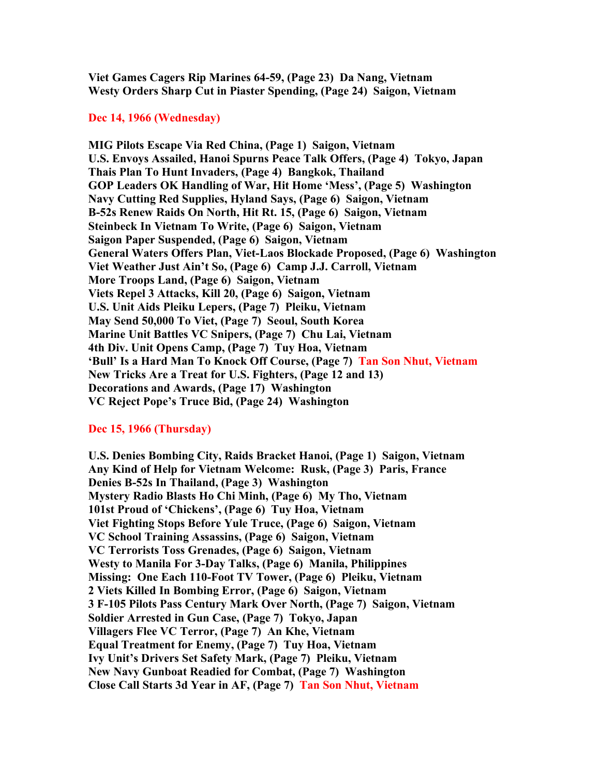**Viet Games Cagers Rip Marines 64-59, (Page 23) Da Nang, Vietnam Westy Orders Sharp Cut in Piaster Spending, (Page 24) Saigon, Vietnam**

#### **Dec 14, 1966 (Wednesday)**

**MIG Pilots Escape Via Red China, (Page 1) Saigon, Vietnam U.S. Envoys Assailed, Hanoi Spurns Peace Talk Offers, (Page 4) Tokyo, Japan Thais Plan To Hunt Invaders, (Page 4) Bangkok, Thailand GOP Leaders OK Handling of War, Hit Home 'Mess', (Page 5) Washington Navy Cutting Red Supplies, Hyland Says, (Page 6) Saigon, Vietnam B-52s Renew Raids On North, Hit Rt. 15, (Page 6) Saigon, Vietnam Steinbeck In Vietnam To Write, (Page 6) Saigon, Vietnam Saigon Paper Suspended, (Page 6) Saigon, Vietnam General Waters Offers Plan, Viet-Laos Blockade Proposed, (Page 6) Washington Viet Weather Just Ain't So, (Page 6) Camp J.J. Carroll, Vietnam More Troops Land, (Page 6) Saigon, Vietnam Viets Repel 3 Attacks, Kill 20, (Page 6) Saigon, Vietnam U.S. Unit Aids Pleiku Lepers, (Page 7) Pleiku, Vietnam May Send 50,000 To Viet, (Page 7) Seoul, South Korea Marine Unit Battles VC Snipers, (Page 7) Chu Lai, Vietnam 4th Div. Unit Opens Camp, (Page 7) Tuy Hoa, Vietnam 'Bull' Is a Hard Man To Knock Off Course, (Page 7) Tan Son Nhut, Vietnam New Tricks Are a Treat for U.S. Fighters, (Page 12 and 13) Decorations and Awards, (Page 17) Washington VC Reject Pope's Truce Bid, (Page 24) Washington**

#### **Dec 15, 1966 (Thursday)**

**U.S. Denies Bombing City, Raids Bracket Hanoi, (Page 1) Saigon, Vietnam Any Kind of Help for Vietnam Welcome: Rusk, (Page 3) Paris, France Denies B-52s In Thailand, (Page 3) Washington Mystery Radio Blasts Ho Chi Minh, (Page 6) My Tho, Vietnam 101st Proud of 'Chickens', (Page 6) Tuy Hoa, Vietnam Viet Fighting Stops Before Yule Truce, (Page 6) Saigon, Vietnam VC School Training Assassins, (Page 6) Saigon, Vietnam VC Terrorists Toss Grenades, (Page 6) Saigon, Vietnam Westy to Manila For 3-Day Talks, (Page 6) Manila, Philippines Missing: One Each 110-Foot TV Tower, (Page 6) Pleiku, Vietnam 2 Viets Killed In Bombing Error, (Page 6) Saigon, Vietnam 3 F-105 Pilots Pass Century Mark Over North, (Page 7) Saigon, Vietnam Soldier Arrested in Gun Case, (Page 7) Tokyo, Japan Villagers Flee VC Terror, (Page 7) An Khe, Vietnam Equal Treatment for Enemy, (Page 7) Tuy Hoa, Vietnam Ivy Unit's Drivers Set Safety Mark, (Page 7) Pleiku, Vietnam New Navy Gunboat Readied for Combat, (Page 7) Washington Close Call Starts 3d Year in AF, (Page 7) Tan Son Nhut, Vietnam**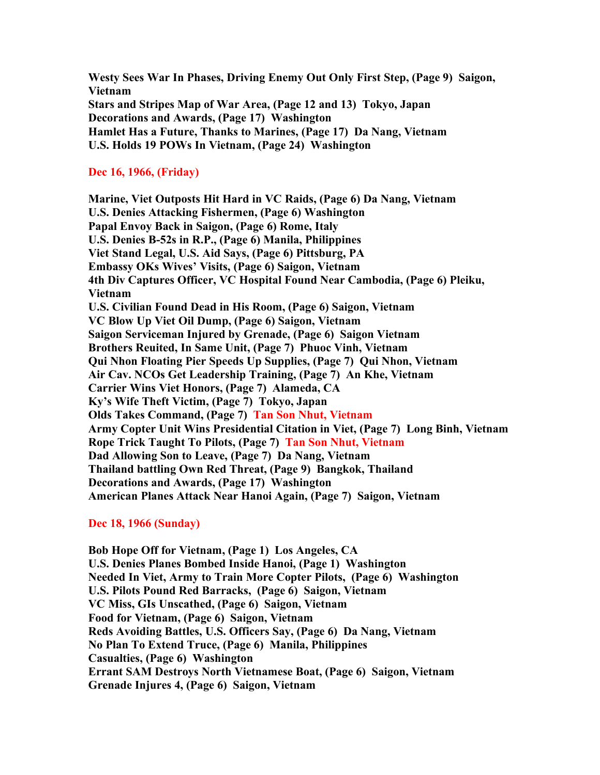**Westy Sees War In Phases, Driving Enemy Out Only First Step, (Page 9) Saigon, Vietnam Stars and Stripes Map of War Area, (Page 12 and 13) Tokyo, Japan Decorations and Awards, (Page 17) Washington Hamlet Has a Future, Thanks to Marines, (Page 17) Da Nang, Vietnam U.S. Holds 19 POWs In Vietnam, (Page 24) Washington**

## **Dec 16, 1966, (Friday)**

**Marine, Viet Outposts Hit Hard in VC Raids, (Page 6) Da Nang, Vietnam U.S. Denies Attacking Fishermen, (Page 6) Washington Papal Envoy Back in Saigon, (Page 6) Rome, Italy U.S. Denies B-52s in R.P., (Page 6) Manila, Philippines Viet Stand Legal, U.S. Aid Says, (Page 6) Pittsburg, PA Embassy OKs Wives' Visits, (Page 6) Saigon, Vietnam 4th Div Captures Officer, VC Hospital Found Near Cambodia, (Page 6) Pleiku, Vietnam U.S. Civilian Found Dead in His Room, (Page 6) Saigon, Vietnam VC Blow Up Viet Oil Dump, (Page 6) Saigon, Vietnam Saigon Serviceman Injured by Grenade, (Page 6) Saigon Vietnam Brothers Reuited, In Same Unit, (Page 7) Phuoc Vinh, Vietnam Qui Nhon Floating Pier Speeds Up Supplies, (Page 7) Qui Nhon, Vietnam Air Cav. NCOs Get Leadership Training, (Page 7) An Khe, Vietnam Carrier Wins Viet Honors, (Page 7) Alameda, CA Ky's Wife Theft Victim, (Page 7) Tokyo, Japan Olds Takes Command, (Page 7) Tan Son Nhut, Vietnam Army Copter Unit Wins Presidential Citation in Viet, (Page 7) Long Binh, Vietnam Rope Trick Taught To Pilots, (Page 7) Tan Son Nhut, Vietnam Dad Allowing Son to Leave, (Page 7) Da Nang, Vietnam Thailand battling Own Red Threat, (Page 9) Bangkok, Thailand Decorations and Awards, (Page 17) Washington American Planes Attack Near Hanoi Again, (Page 7) Saigon, Vietnam**

#### **Dec 18, 1966 (Sunday)**

**Bob Hope Off for Vietnam, (Page 1) Los Angeles, CA U.S. Denies Planes Bombed Inside Hanoi, (Page 1) Washington Needed In Viet, Army to Train More Copter Pilots, (Page 6) Washington U.S. Pilots Pound Red Barracks, (Page 6) Saigon, Vietnam VC Miss, GIs Unscathed, (Page 6) Saigon, Vietnam Food for Vietnam, (Page 6) Saigon, Vietnam Reds Avoiding Battles, U.S. Officers Say, (Page 6) Da Nang, Vietnam No Plan To Extend Truce, (Page 6) Manila, Philippines Casualties, (Page 6) Washington Errant SAM Destroys North Vietnamese Boat, (Page 6) Saigon, Vietnam Grenade Injures 4, (Page 6) Saigon, Vietnam**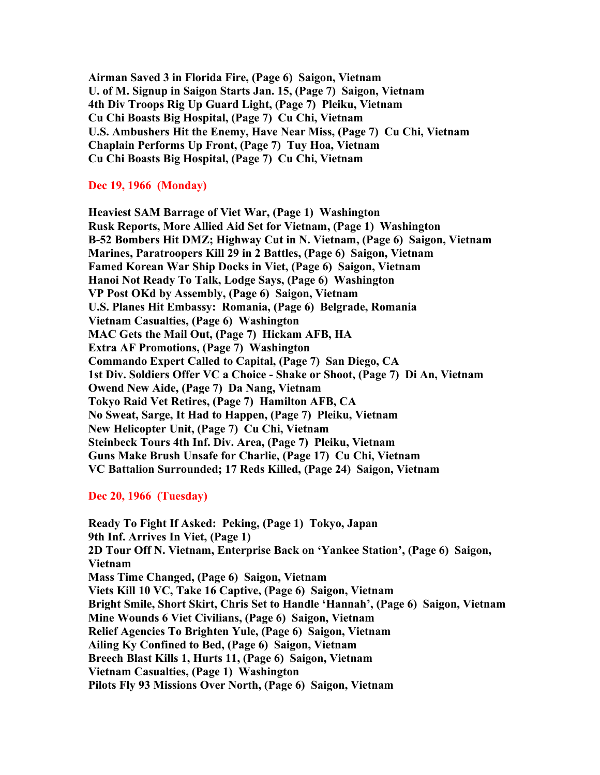**Airman Saved 3 in Florida Fire, (Page 6) Saigon, Vietnam U. of M. Signup in Saigon Starts Jan. 15, (Page 7) Saigon, Vietnam 4th Div Troops Rig Up Guard Light, (Page 7) Pleiku, Vietnam Cu Chi Boasts Big Hospital, (Page 7) Cu Chi, Vietnam U.S. Ambushers Hit the Enemy, Have Near Miss, (Page 7) Cu Chi, Vietnam Chaplain Performs Up Front, (Page 7) Tuy Hoa, Vietnam Cu Chi Boasts Big Hospital, (Page 7) Cu Chi, Vietnam**

### **Dec 19, 1966 (Monday)**

**Heaviest SAM Barrage of Viet War, (Page 1) Washington Rusk Reports, More Allied Aid Set for Vietnam, (Page 1) Washington B-52 Bombers Hit DMZ; Highway Cut in N. Vietnam, (Page 6) Saigon, Vietnam Marines, Paratroopers Kill 29 in 2 Battles, (Page 6) Saigon, Vietnam Famed Korean War Ship Docks in Viet, (Page 6) Saigon, Vietnam Hanoi Not Ready To Talk, Lodge Says, (Page 6) Washington VP Post OKd by Assembly, (Page 6) Saigon, Vietnam U.S. Planes Hit Embassy: Romania, (Page 6) Belgrade, Romania Vietnam Casualties, (Page 6) Washington MAC Gets the Mail Out, (Page 7) Hickam AFB, HA Extra AF Promotions, (Page 7) Washington Commando Expert Called to Capital, (Page 7) San Diego, CA 1st Div. Soldiers Offer VC a Choice - Shake or Shoot, (Page 7) Di An, Vietnam Owend New Aide, (Page 7) Da Nang, Vietnam Tokyo Raid Vet Retires, (Page 7) Hamilton AFB, CA No Sweat, Sarge, It Had to Happen, (Page 7) Pleiku, Vietnam New Helicopter Unit, (Page 7) Cu Chi, Vietnam Steinbeck Tours 4th Inf. Div. Area, (Page 7) Pleiku, Vietnam Guns Make Brush Unsafe for Charlie, (Page 17) Cu Chi, Vietnam VC Battalion Surrounded; 17 Reds Killed, (Page 24) Saigon, Vietnam**

## **Dec 20, 1966 (Tuesday)**

**Ready To Fight If Asked: Peking, (Page 1) Tokyo, Japan 9th Inf. Arrives In Viet, (Page 1) 2D Tour Off N. Vietnam, Enterprise Back on 'Yankee Station', (Page 6) Saigon, Vietnam Mass Time Changed, (Page 6) Saigon, Vietnam Viets Kill 10 VC, Take 16 Captive, (Page 6) Saigon, Vietnam Bright Smile, Short Skirt, Chris Set to Handle 'Hannah', (Page 6) Saigon, Vietnam Mine Wounds 6 Viet Civilians, (Page 6) Saigon, Vietnam Relief Agencies To Brighten Yule, (Page 6) Saigon, Vietnam Ailing Ky Confined to Bed, (Page 6) Saigon, Vietnam Breech Blast Kills 1, Hurts 11, (Page 6) Saigon, Vietnam Vietnam Casualties, (Page 1) Washington Pilots Fly 93 Missions Over North, (Page 6) Saigon, Vietnam**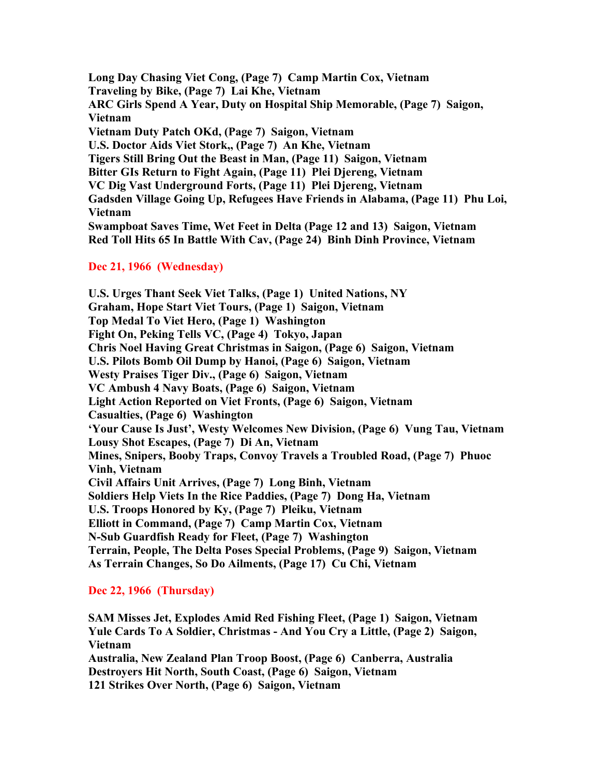**Long Day Chasing Viet Cong, (Page 7) Camp Martin Cox, Vietnam Traveling by Bike, (Page 7) Lai Khe, Vietnam ARC Girls Spend A Year, Duty on Hospital Ship Memorable, (Page 7) Saigon, Vietnam Vietnam Duty Patch OKd, (Page 7) Saigon, Vietnam U.S. Doctor Aids Viet Stork,, (Page 7) An Khe, Vietnam Tigers Still Bring Out the Beast in Man, (Page 11) Saigon, Vietnam Bitter GIs Return to Fight Again, (Page 11) Plei Djereng, Vietnam VC Dig Vast Underground Forts, (Page 11) Plei Djereng, Vietnam Gadsden Village Going Up, Refugees Have Friends in Alabama, (Page 11) Phu Loi, Vietnam Swampboat Saves Time, Wet Feet in Delta (Page 12 and 13) Saigon, Vietnam Red Toll Hits 65 In Battle With Cav, (Page 24) Binh Dinh Province, Vietnam**

# **Dec 21, 1966 (Wednesday)**

**U.S. Urges Thant Seek Viet Talks, (Page 1) United Nations, NY Graham, Hope Start Viet Tours, (Page 1) Saigon, Vietnam Top Medal To Viet Hero, (Page 1) Washington Fight On, Peking Tells VC, (Page 4) Tokyo, Japan Chris Noel Having Great Christmas in Saigon, (Page 6) Saigon, Vietnam U.S. Pilots Bomb Oil Dump by Hanoi, (Page 6) Saigon, Vietnam Westy Praises Tiger Div., (Page 6) Saigon, Vietnam VC Ambush 4 Navy Boats, (Page 6) Saigon, Vietnam Light Action Reported on Viet Fronts, (Page 6) Saigon, Vietnam Casualties, (Page 6) Washington 'Your Cause Is Just', Westy Welcomes New Division, (Page 6) Vung Tau, Vietnam Lousy Shot Escapes, (Page 7) Di An, Vietnam Mines, Snipers, Booby Traps, Convoy Travels a Troubled Road, (Page 7) Phuoc Vinh, Vietnam Civil Affairs Unit Arrives, (Page 7) Long Binh, Vietnam Soldiers Help Viets In the Rice Paddies, (Page 7) Dong Ha, Vietnam U.S. Troops Honored by Ky, (Page 7) Pleiku, Vietnam Elliott in Command, (Page 7) Camp Martin Cox, Vietnam N-Sub Guardfish Ready for Fleet, (Page 7) Washington Terrain, People, The Delta Poses Special Problems, (Page 9) Saigon, Vietnam As Terrain Changes, So Do Ailments, (Page 17) Cu Chi, Vietnam**

# **Dec 22, 1966 (Thursday)**

**SAM Misses Jet, Explodes Amid Red Fishing Fleet, (Page 1) Saigon, Vietnam Yule Cards To A Soldier, Christmas - And You Cry a Little, (Page 2) Saigon, Vietnam Australia, New Zealand Plan Troop Boost, (Page 6) Canberra, Australia Destroyers Hit North, South Coast, (Page 6) Saigon, Vietnam 121 Strikes Over North, (Page 6) Saigon, Vietnam**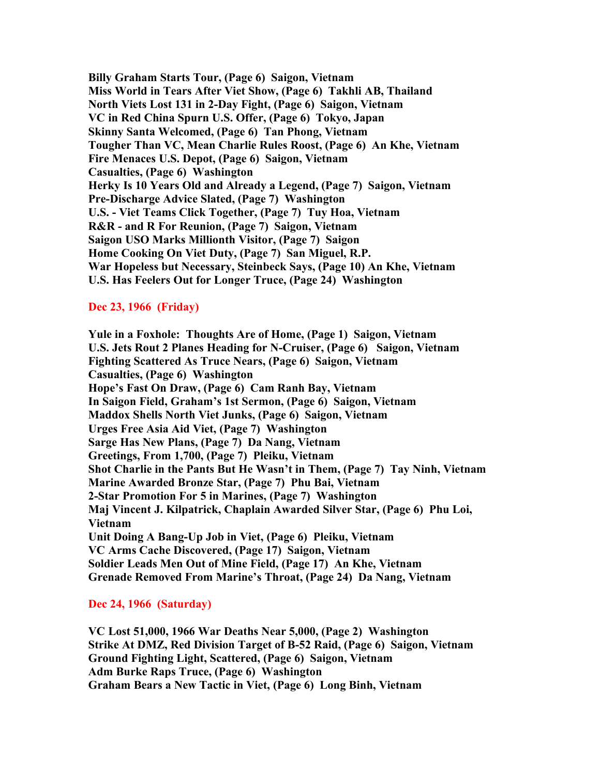**Billy Graham Starts Tour, (Page 6) Saigon, Vietnam Miss World in Tears After Viet Show, (Page 6) Takhli AB, Thailand North Viets Lost 131 in 2-Day Fight, (Page 6) Saigon, Vietnam VC in Red China Spurn U.S. Offer, (Page 6) Tokyo, Japan Skinny Santa Welcomed, (Page 6) Tan Phong, Vietnam Tougher Than VC, Mean Charlie Rules Roost, (Page 6) An Khe, Vietnam Fire Menaces U.S. Depot, (Page 6) Saigon, Vietnam Casualties, (Page 6) Washington Herky Is 10 Years Old and Already a Legend, (Page 7) Saigon, Vietnam Pre-Discharge Advice Slated, (Page 7) Washington U.S. - Viet Teams Click Together, (Page 7) Tuy Hoa, Vietnam R&R - and R For Reunion, (Page 7) Saigon, Vietnam Saigon USO Marks Millionth Visitor, (Page 7) Saigon Home Cooking On Viet Duty, (Page 7) San Miguel, R.P. War Hopeless but Necessary, Steinbeck Says, (Page 10) An Khe, Vietnam U.S. Has Feelers Out for Longer Truce, (Page 24) Washington**

### **Dec 23, 1966 (Friday)**

**Yule in a Foxhole: Thoughts Are of Home, (Page 1) Saigon, Vietnam U.S. Jets Rout 2 Planes Heading for N-Cruiser, (Page 6) Saigon, Vietnam Fighting Scattered As Truce Nears, (Page 6) Saigon, Vietnam Casualties, (Page 6) Washington Hope's Fast On Draw, (Page 6) Cam Ranh Bay, Vietnam In Saigon Field, Graham's 1st Sermon, (Page 6) Saigon, Vietnam Maddox Shells North Viet Junks, (Page 6) Saigon, Vietnam Urges Free Asia Aid Viet, (Page 7) Washington Sarge Has New Plans, (Page 7) Da Nang, Vietnam Greetings, From 1,700, (Page 7) Pleiku, Vietnam Shot Charlie in the Pants But He Wasn't in Them, (Page 7) Tay Ninh, Vietnam Marine Awarded Bronze Star, (Page 7) Phu Bai, Vietnam 2-Star Promotion For 5 in Marines, (Page 7) Washington Maj Vincent J. Kilpatrick, Chaplain Awarded Silver Star, (Page 6) Phu Loi, Vietnam Unit Doing A Bang-Up Job in Viet, (Page 6) Pleiku, Vietnam VC Arms Cache Discovered, (Page 17) Saigon, Vietnam Soldier Leads Men Out of Mine Field, (Page 17) An Khe, Vietnam Grenade Removed From Marine's Throat, (Page 24) Da Nang, Vietnam**

### **Dec 24, 1966 (Saturday)**

**VC Lost 51,000, 1966 War Deaths Near 5,000, (Page 2) Washington Strike At DMZ, Red Division Target of B-52 Raid, (Page 6) Saigon, Vietnam Ground Fighting Light, Scattered, (Page 6) Saigon, Vietnam Adm Burke Raps Truce, (Page 6) Washington Graham Bears a New Tactic in Viet, (Page 6) Long Binh, Vietnam**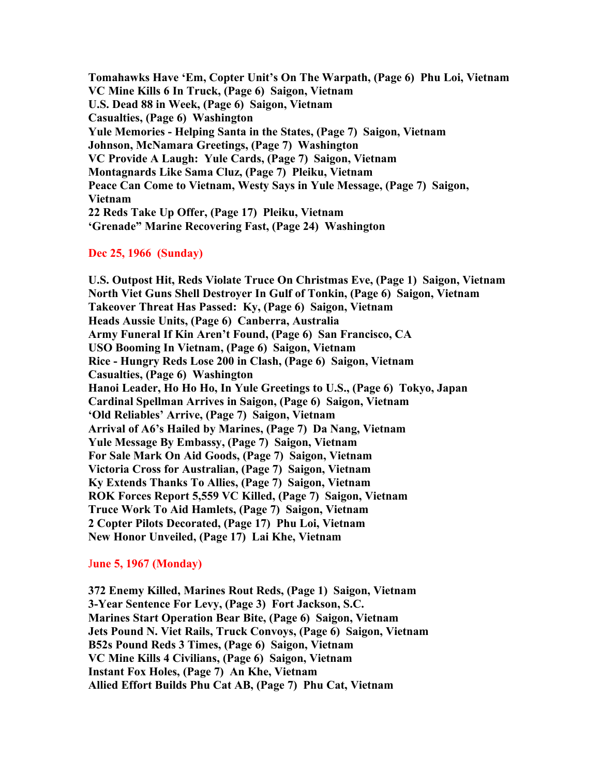**Tomahawks Have 'Em, Copter Unit's On The Warpath, (Page 6) Phu Loi, Vietnam VC Mine Kills 6 In Truck, (Page 6) Saigon, Vietnam U.S. Dead 88 in Week, (Page 6) Saigon, Vietnam Casualties, (Page 6) Washington Yule Memories - Helping Santa in the States, (Page 7) Saigon, Vietnam Johnson, McNamara Greetings, (Page 7) Washington VC Provide A Laugh: Yule Cards, (Page 7) Saigon, Vietnam Montagnards Like Sama Cluz, (Page 7) Pleiku, Vietnam Peace Can Come to Vietnam, Westy Says in Yule Message, (Page 7) Saigon, Vietnam 22 Reds Take Up Offer, (Page 17) Pleiku, Vietnam 'Grenade" Marine Recovering Fast, (Page 24) Washington**

### **Dec 25, 1966 (Sunday)**

**U.S. Outpost Hit, Reds Violate Truce On Christmas Eve, (Page 1) Saigon, Vietnam North Viet Guns Shell Destroyer In Gulf of Tonkin, (Page 6) Saigon, Vietnam Takeover Threat Has Passed: Ky, (Page 6) Saigon, Vietnam Heads Aussie Units, (Page 6) Canberra, Australia Army Funeral If Kin Aren't Found, (Page 6) San Francisco, CA USO Booming In Vietnam, (Page 6) Saigon, Vietnam Rice - Hungry Reds Lose 200 in Clash, (Page 6) Saigon, Vietnam Casualties, (Page 6) Washington Hanoi Leader, Ho Ho Ho, In Yule Greetings to U.S., (Page 6) Tokyo, Japan Cardinal Spellman Arrives in Saigon, (Page 6) Saigon, Vietnam 'Old Reliables' Arrive, (Page 7) Saigon, Vietnam Arrival of A6's Hailed by Marines, (Page 7) Da Nang, Vietnam Yule Message By Embassy, (Page 7) Saigon, Vietnam For Sale Mark On Aid Goods, (Page 7) Saigon, Vietnam Victoria Cross for Australian, (Page 7) Saigon, Vietnam Ky Extends Thanks To Allies, (Page 7) Saigon, Vietnam ROK Forces Report 5,559 VC Killed, (Page 7) Saigon, Vietnam Truce Work To Aid Hamlets, (Page 7) Saigon, Vietnam 2 Copter Pilots Decorated, (Page 17) Phu Loi, Vietnam New Honor Unveiled, (Page 17) Lai Khe, Vietnam**

#### J**une 5, 1967 (Monday)**

**372 Enemy Killed, Marines Rout Reds, (Page 1) Saigon, Vietnam 3-Year Sentence For Levy, (Page 3) Fort Jackson, S.C. Marines Start Operation Bear Bite, (Page 6) Saigon, Vietnam Jets Pound N. Viet Rails, Truck Convoys, (Page 6) Saigon, Vietnam B52s Pound Reds 3 Times, (Page 6) Saigon, Vietnam VC Mine Kills 4 Civilians, (Page 6) Saigon, Vietnam Instant Fox Holes, (Page 7) An Khe, Vietnam Allied Effort Builds Phu Cat AB, (Page 7) Phu Cat, Vietnam**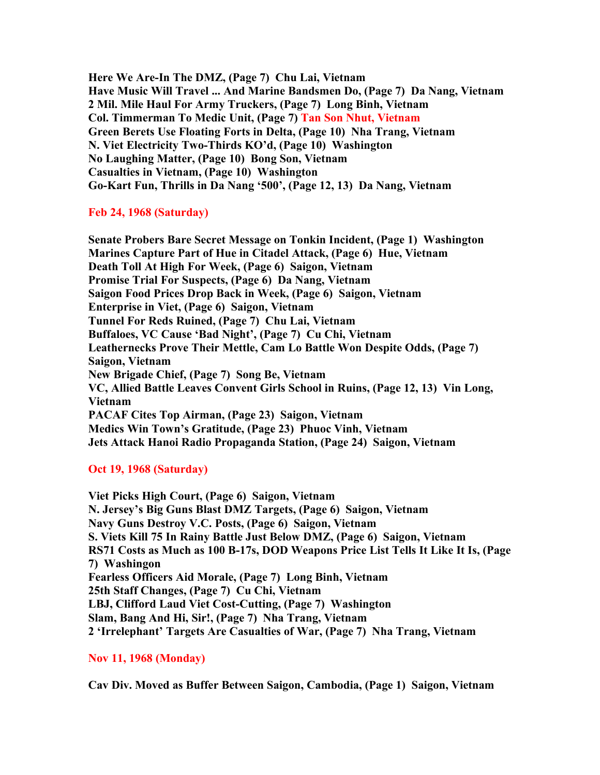**Here We Are-In The DMZ, (Page 7) Chu Lai, Vietnam Have Music Will Travel ... And Marine Bandsmen Do, (Page 7) Da Nang, Vietnam 2 Mil. Mile Haul For Army Truckers, (Page 7) Long Binh, Vietnam Col. Timmerman To Medic Unit, (Page 7) Tan Son Nhut, Vietnam Green Berets Use Floating Forts in Delta, (Page 10) Nha Trang, Vietnam N. Viet Electricity Two-Thirds KO'd, (Page 10) Washington No Laughing Matter, (Page 10) Bong Son, Vietnam Casualties in Vietnam, (Page 10) Washington Go-Kart Fun, Thrills in Da Nang '500', (Page 12, 13) Da Nang, Vietnam**

### **Feb 24, 1968 (Saturday)**

**Senate Probers Bare Secret Message on Tonkin Incident, (Page 1) Washington Marines Capture Part of Hue in Citadel Attack, (Page 6) Hue, Vietnam Death Toll At High For Week, (Page 6) Saigon, Vietnam Promise Trial For Suspects, (Page 6) Da Nang, Vietnam Saigon Food Prices Drop Back in Week, (Page 6) Saigon, Vietnam Enterprise in Viet, (Page 6) Saigon, Vietnam Tunnel For Reds Ruined, (Page 7) Chu Lai, Vietnam Buffaloes, VC Cause 'Bad Night', (Page 7) Cu Chi, Vietnam Leathernecks Prove Their Mettle, Cam Lo Battle Won Despite Odds, (Page 7) Saigon, Vietnam New Brigade Chief, (Page 7) Song Be, Vietnam VC, Allied Battle Leaves Convent Girls School in Ruins, (Page 12, 13) Vin Long, Vietnam PACAF Cites Top Airman, (Page 23) Saigon, Vietnam Medics Win Town's Gratitude, (Page 23) Phuoc Vinh, Vietnam Jets Attack Hanoi Radio Propaganda Station, (Page 24) Saigon, Vietnam**

## **Oct 19, 1968 (Saturday)**

**Viet Picks High Court, (Page 6) Saigon, Vietnam N. Jersey's Big Guns Blast DMZ Targets, (Page 6) Saigon, Vietnam Navy Guns Destroy V.C. Posts, (Page 6) Saigon, Vietnam S. Viets Kill 75 In Rainy Battle Just Below DMZ, (Page 6) Saigon, Vietnam RS71 Costs as Much as 100 B-17s, DOD Weapons Price List Tells It Like It Is, (Page 7) Washingon Fearless Officers Aid Morale, (Page 7) Long Binh, Vietnam 25th Staff Changes, (Page 7) Cu Chi, Vietnam LBJ, Clifford Laud Viet Cost-Cutting, (Page 7) Washington Slam, Bang And Hi, Sir!, (Page 7) Nha Trang, Vietnam 2 'Irrelephant' Targets Are Casualties of War, (Page 7) Nha Trang, Vietnam**

## **Nov 11, 1968 (Monday)**

**Cav Div. Moved as Buffer Between Saigon, Cambodia, (Page 1) Saigon, Vietnam**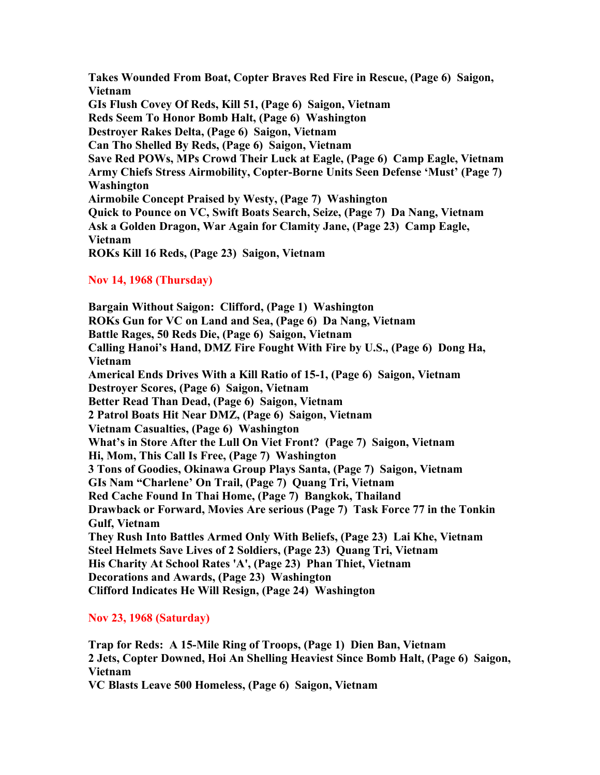**Takes Wounded From Boat, Copter Braves Red Fire in Rescue, (Page 6) Saigon, Vietnam GIs Flush Covey Of Reds, Kill 51, (Page 6) Saigon, Vietnam Reds Seem To Honor Bomb Halt, (Page 6) Washington Destroyer Rakes Delta, (Page 6) Saigon, Vietnam Can Tho Shelled By Reds, (Page 6) Saigon, Vietnam Save Red POWs, MPs Crowd Their Luck at Eagle, (Page 6) Camp Eagle, Vietnam Army Chiefs Stress Airmobility, Copter-Borne Units Seen Defense 'Must' (Page 7) Washington Airmobile Concept Praised by Westy, (Page 7) Washington Quick to Pounce on VC, Swift Boats Search, Seize, (Page 7) Da Nang, Vietnam Ask a Golden Dragon, War Again for Clamity Jane, (Page 23) Camp Eagle, Vietnam ROKs Kill 16 Reds, (Page 23) Saigon, Vietnam**

## **Nov 14, 1968 (Thursday)**

**Bargain Without Saigon: Clifford, (Page 1) Washington ROKs Gun for VC on Land and Sea, (Page 6) Da Nang, Vietnam Battle Rages, 50 Reds Die, (Page 6) Saigon, Vietnam Calling Hanoi's Hand, DMZ Fire Fought With Fire by U.S., (Page 6) Dong Ha, Vietnam Americal Ends Drives With a Kill Ratio of 15-1, (Page 6) Saigon, Vietnam Destroyer Scores, (Page 6) Saigon, Vietnam Better Read Than Dead, (Page 6) Saigon, Vietnam 2 Patrol Boats Hit Near DMZ, (Page 6) Saigon, Vietnam Vietnam Casualties, (Page 6) Washington What's in Store After the Lull On Viet Front? (Page 7) Saigon, Vietnam Hi, Mom, This Call Is Free, (Page 7) Washington 3 Tons of Goodies, Okinawa Group Plays Santa, (Page 7) Saigon, Vietnam GIs Nam "Charlene' On Trail, (Page 7) Quang Tri, Vietnam Red Cache Found In Thai Home, (Page 7) Bangkok, Thailand Drawback or Forward, Movies Are serious (Page 7) Task Force 77 in the Tonkin Gulf, Vietnam They Rush Into Battles Armed Only With Beliefs, (Page 23) Lai Khe, Vietnam Steel Helmets Save Lives of 2 Soldiers, (Page 23) Quang Tri, Vietnam His Charity At School Rates 'A', (Page 23) Phan Thiet, Vietnam Decorations and Awards, (Page 23) Washington Clifford Indicates He Will Resign, (Page 24) Washington**

#### **Nov 23, 1968 (Saturday)**

**Trap for Reds: A 15-Mile Ring of Troops, (Page 1) Dien Ban, Vietnam 2 Jets, Copter Downed, Hoi An Shelling Heaviest Since Bomb Halt, (Page 6) Saigon, Vietnam VC Blasts Leave 500 Homeless, (Page 6) Saigon, Vietnam**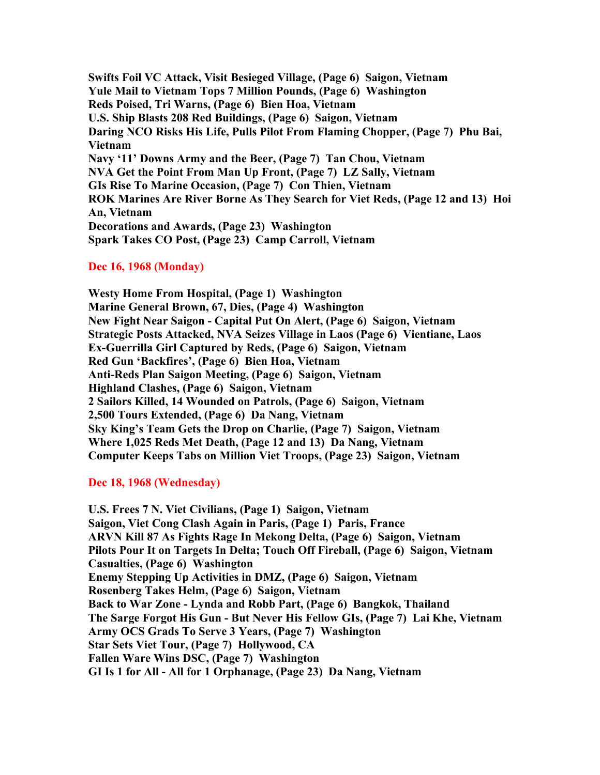**Swifts Foil VC Attack, Visit Besieged Village, (Page 6) Saigon, Vietnam Yule Mail to Vietnam Tops 7 Million Pounds, (Page 6) Washington Reds Poised, Tri Warns, (Page 6) Bien Hoa, Vietnam U.S. Ship Blasts 208 Red Buildings, (Page 6) Saigon, Vietnam Daring NCO Risks His Life, Pulls Pilot From Flaming Chopper, (Page 7) Phu Bai, Vietnam Navy '11' Downs Army and the Beer, (Page 7) Tan Chou, Vietnam NVA Get the Point From Man Up Front, (Page 7) LZ Sally, Vietnam GIs Rise To Marine Occasion, (Page 7) Con Thien, Vietnam ROK Marines Are River Borne As They Search for Viet Reds, (Page 12 and 13) Hoi An, Vietnam Decorations and Awards, (Page 23) Washington Spark Takes CO Post, (Page 23) Camp Carroll, Vietnam**

### **Dec 16, 1968 (Monday)**

**Westy Home From Hospital, (Page 1) Washington Marine General Brown, 67, Dies, (Page 4) Washington New Fight Near Saigon - Capital Put On Alert, (Page 6) Saigon, Vietnam Strategic Posts Attacked, NVA Seizes Village in Laos (Page 6) Vientiane, Laos Ex-Guerrilla Girl Captured by Reds, (Page 6) Saigon, Vietnam Red Gun 'Backfires', (Page 6) Bien Hoa, Vietnam Anti-Reds Plan Saigon Meeting, (Page 6) Saigon, Vietnam Highland Clashes, (Page 6) Saigon, Vietnam 2 Sailors Killed, 14 Wounded on Patrols, (Page 6) Saigon, Vietnam 2,500 Tours Extended, (Page 6) Da Nang, Vietnam Sky King's Team Gets the Drop on Charlie, (Page 7) Saigon, Vietnam Where 1,025 Reds Met Death, (Page 12 and 13) Da Nang, Vietnam Computer Keeps Tabs on Million Viet Troops, (Page 23) Saigon, Vietnam**

## **Dec 18, 1968 (Wednesday)**

**U.S. Frees 7 N. Viet Civilians, (Page 1) Saigon, Vietnam Saigon, Viet Cong Clash Again in Paris, (Page 1) Paris, France ARVN Kill 87 As Fights Rage In Mekong Delta, (Page 6) Saigon, Vietnam Pilots Pour It on Targets In Delta; Touch Off Fireball, (Page 6) Saigon, Vietnam Casualties, (Page 6) Washington Enemy Stepping Up Activities in DMZ, (Page 6) Saigon, Vietnam Rosenberg Takes Helm, (Page 6) Saigon, Vietnam Back to War Zone - Lynda and Robb Part, (Page 6) Bangkok, Thailand The Sarge Forgot His Gun - But Never His Fellow GIs, (Page 7) Lai Khe, Vietnam Army OCS Grads To Serve 3 Years, (Page 7) Washington Star Sets Viet Tour, (Page 7) Hollywood, CA Fallen Ware Wins DSC, (Page 7) Washington GI Is 1 for All - All for 1 Orphanage, (Page 23) Da Nang, Vietnam**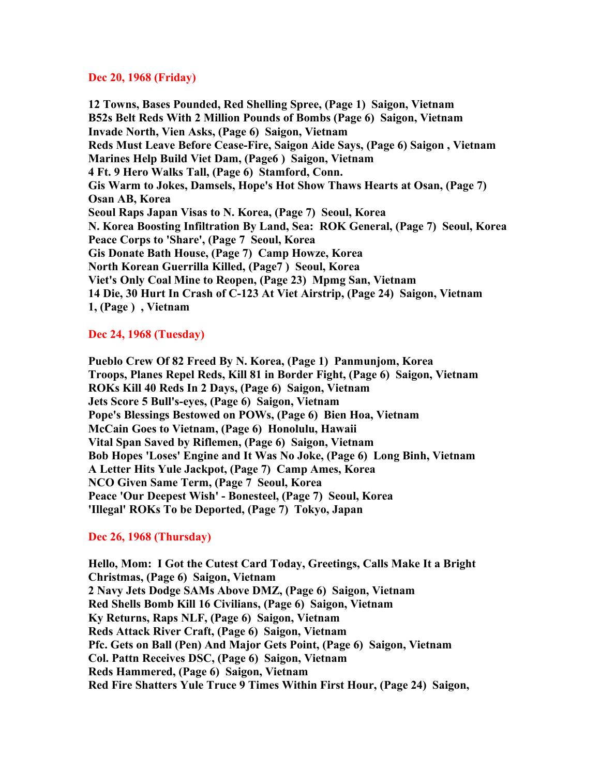#### **Dec 20, 1968 (Friday)**

**12 Towns, Bases Pounded, Red Shelling Spree, (Page 1) Saigon, Vietnam B52s Belt Reds With 2 Million Pounds of Bombs (Page 6) Saigon, Vietnam Invade North, Vien Asks, (Page 6) Saigon, Vietnam Reds Must Leave Before Cease-Fire, Saigon Aide Says, (Page 6) Saigon , Vietnam Marines Help Build Viet Dam, (Page6 ) Saigon, Vietnam 4 Ft. 9 Hero Walks Tall, (Page 6) Stamford, Conn. Gis Warm to Jokes, Damsels, Hope's Hot Show Thaws Hearts at Osan, (Page 7) Osan AB, Korea Seoul Raps Japan Visas to N. Korea, (Page 7) Seoul, Korea N. Korea Boosting Infiltration By Land, Sea: ROK General, (Page 7) Seoul, Korea Peace Corps to 'Share', (Page 7 Seoul, Korea Gis Donate Bath House, (Page 7) Camp Howze, Korea North Korean Guerrilla Killed, (Page7 ) Seoul, Korea Viet's Only Coal Mine to Reopen, (Page 23) Mpmg San, Vietnam 14 Die, 30 Hurt In Crash of C-123 At Viet Airstrip, (Page 24) Saigon, Vietnam 1, (Page ) , Vietnam**

# **Dec 24, 1968 (Tuesday)**

**Pueblo Crew Of 82 Freed By N. Korea, (Page 1) Panmunjom, Korea Troops, Planes Repel Reds, Kill 81 in Border Fight, (Page 6) Saigon, Vietnam ROKs Kill 40 Reds In 2 Days, (Page 6) Saigon, Vietnam Jets Score 5 Bull's-eyes, (Page 6) Saigon, Vietnam Pope's Blessings Bestowed on POWs, (Page 6) Bien Hoa, Vietnam McCain Goes to Vietnam, (Page 6) Honolulu, Hawaii Vital Span Saved by Riflemen, (Page 6) Saigon, Vietnam Bob Hopes 'Loses' Engine and It Was No Joke, (Page 6) Long Binh, Vietnam A Letter Hits Yule Jackpot, (Page 7) Camp Ames, Korea NCO Given Same Term, (Page 7 Seoul, Korea Peace 'Our Deepest Wish' - Bonesteel, (Page 7) Seoul, Korea 'Illegal' ROKs To be Deported, (Page 7) Tokyo, Japan**

## **Dec 26, 1968 (Thursday)**

**Hello, Mom: I Got the Cutest Card Today, Greetings, Calls Make It a Bright Christmas, (Page 6) Saigon, Vietnam 2 Navy Jets Dodge SAMs Above DMZ, (Page 6) Saigon, Vietnam Red Shells Bomb Kill 16 Civilians, (Page 6) Saigon, Vietnam Ky Returns, Raps NLF, (Page 6) Saigon, Vietnam Reds Attack River Craft, (Page 6) Saigon, Vietnam Pfc. Gets on Ball (Pen) And Major Gets Point, (Page 6) Saigon, Vietnam Col. Pattn Receives DSC, (Page 6) Saigon, Vietnam Reds Hammered, (Page 6) Saigon, Vietnam Red Fire Shatters Yule Truce 9 Times Within First Hour, (Page 24) Saigon,**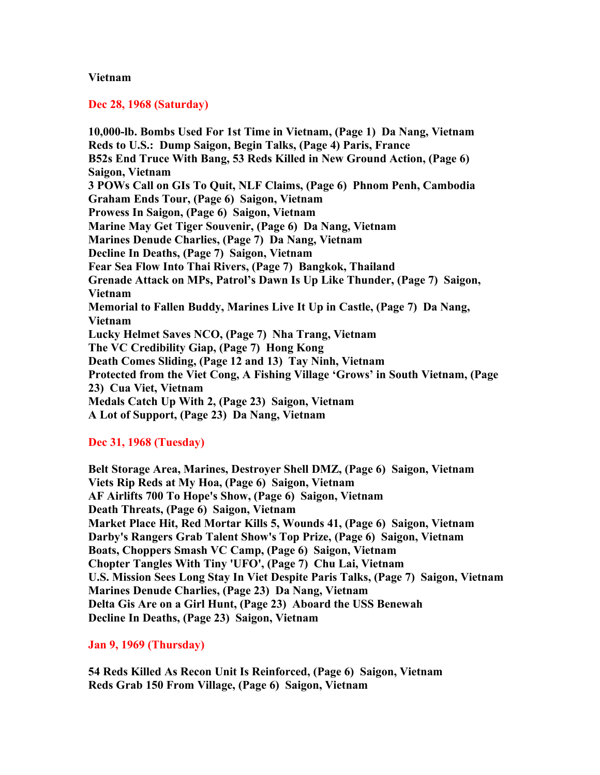### **Vietnam**

### **Dec 28, 1968 (Saturday)**

**10,000-lb. Bombs Used For 1st Time in Vietnam, (Page 1) Da Nang, Vietnam Reds to U.S.: Dump Saigon, Begin Talks, (Page 4) Paris, France B52s End Truce With Bang, 53 Reds Killed in New Ground Action, (Page 6) Saigon, Vietnam 3 POWs Call on GIs To Quit, NLF Claims, (Page 6) Phnom Penh, Cambodia Graham Ends Tour, (Page 6) Saigon, Vietnam Prowess In Saigon, (Page 6) Saigon, Vietnam Marine May Get Tiger Souvenir, (Page 6) Da Nang, Vietnam Marines Denude Charlies, (Page 7) Da Nang, Vietnam Decline In Deaths, (Page 7) Saigon, Vietnam Fear Sea Flow Into Thai Rivers, (Page 7) Bangkok, Thailand Grenade Attack on MPs, Patrol's Dawn Is Up Like Thunder, (Page 7) Saigon, Vietnam Memorial to Fallen Buddy, Marines Live It Up in Castle, (Page 7) Da Nang, Vietnam Lucky Helmet Saves NCO, (Page 7) Nha Trang, Vietnam The VC Credibility Giap, (Page 7) Hong Kong Death Comes Sliding, (Page 12 and 13) Tay Ninh, Vietnam Protected from the Viet Cong, A Fishing Village 'Grows' in South Vietnam, (Page 23) Cua Viet, Vietnam Medals Catch Up With 2, (Page 23) Saigon, Vietnam A Lot of Support, (Page 23) Da Nang, Vietnam**

## **Dec 31, 1968 (Tuesday)**

**Belt Storage Area, Marines, Destroyer Shell DMZ, (Page 6) Saigon, Vietnam Viets Rip Reds at My Hoa, (Page 6) Saigon, Vietnam AF Airlifts 700 To Hope's Show, (Page 6) Saigon, Vietnam Death Threats, (Page 6) Saigon, Vietnam Market Place Hit, Red Mortar Kills 5, Wounds 41, (Page 6) Saigon, Vietnam Darby's Rangers Grab Talent Show's Top Prize, (Page 6) Saigon, Vietnam Boats, Choppers Smash VC Camp, (Page 6) Saigon, Vietnam Chopter Tangles With Tiny 'UFO', (Page 7) Chu Lai, Vietnam U.S. Mission Sees Long Stay In Viet Despite Paris Talks, (Page 7) Saigon, Vietnam Marines Denude Charlies, (Page 23) Da Nang, Vietnam Delta Gis Are on a Girl Hunt, (Page 23) Aboard the USS Benewah Decline In Deaths, (Page 23) Saigon, Vietnam**

**Jan 9, 1969 (Thursday)**

**54 Reds Killed As Recon Unit Is Reinforced, (Page 6) Saigon, Vietnam Reds Grab 150 From Village, (Page 6) Saigon, Vietnam**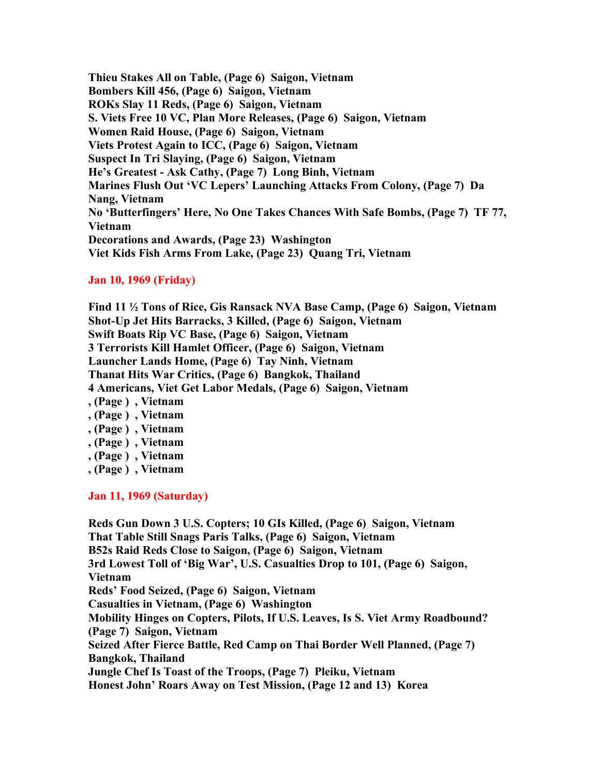**Thieu Stakes All on Table, (Page 6) Saigon, Vietnam Bombers Kill 456, (Page 6) Saigon, Vietnam ROKs Slay 11 Reds, (Page 6) Saigon, Vietnam S. Viets Free 10 VC, Plan More Releases, (Page 6) Saigon, Vietnam Women Raid House, (Page 6) Saigon, Vietnam Viets Protest Again to ICC, (Page 6) Saigon, Vietnam Suspect In Tri Slaying, (Page 6) Saigon, Vietnam He's Greatest - Ask Cathy, (Page 7) Long Binh, Vietnam Marines Flush Out 'VC Lepers' Launching Attacks From Colony, (Page 7) Da Nang, Vietnam No 'Butterfingers' Here, No One Takes Chances With Safe Bombs, (Page 7) TF 77, Vietnam Decorations and Awards, (Page 23) Washington Viet Kids Fish Arms From Lake, (Page 23) Quang Tri, Vietnam**

# **Jan 10, 1969 (Friday)**

**Find 11 ½ Tons of Rice, Gis Ransack NVA Base Camp, (Page 6) Saigon, Vietnam Shot-Up Jet Hits Barracks, 3 Killed, (Page 6) Saigon, Vietnam Swift Boats Rip VC Base, (Page 6) Saigon, Vietnam 3 Terrorists Kill Hamlet Officer, (Page 6) Saigon, Vietnam Launcher Lands Home, (Page 6) Tay Ninh, Vietnam Thanat Hits War Critics, (Page 6) Bangkok, Thailand 4 Americans, Viet Get Labor Medals, (Page 6) Saigon, Vietnam , (Page ) , Vietnam , (Page ) , Vietnam , (Page ) , Vietnam**

- **, (Page ) , Vietnam**
- **, (Page ) , Vietnam**
- **, (Page ) , Vietnam**

**Jan 11, 1969 (Saturday)**

**Reds Gun Down 3 U.S. Copters; 10 GIs Killed, (Page 6) Saigon, Vietnam That Table Still Snags Paris Talks, (Page 6) Saigon, Vietnam B52s Raid Reds Close to Saigon, (Page 6) Saigon, Vietnam 3rd Lowest Toll of 'Big War', U.S. Casualties Drop to 101, (Page 6) Saigon, Vietnam Reds' Food Seized, (Page 6) Saigon, Vietnam Casualties in Vietnam, (Page 6) Washington Mobility Hinges on Copters, Pilots, If U.S. Leaves, Is S. Viet Army Roadbound? (Page 7) Saigon, Vietnam Seized After Fierce Battle, Red Camp on Thai Border Well Planned, (Page 7) Bangkok, Thailand Jungle Chef Is Toast of the Troops, (Page 7) Pleiku, Vietnam Honest John' Roars Away on Test Mission, (Page 12 and 13) Korea**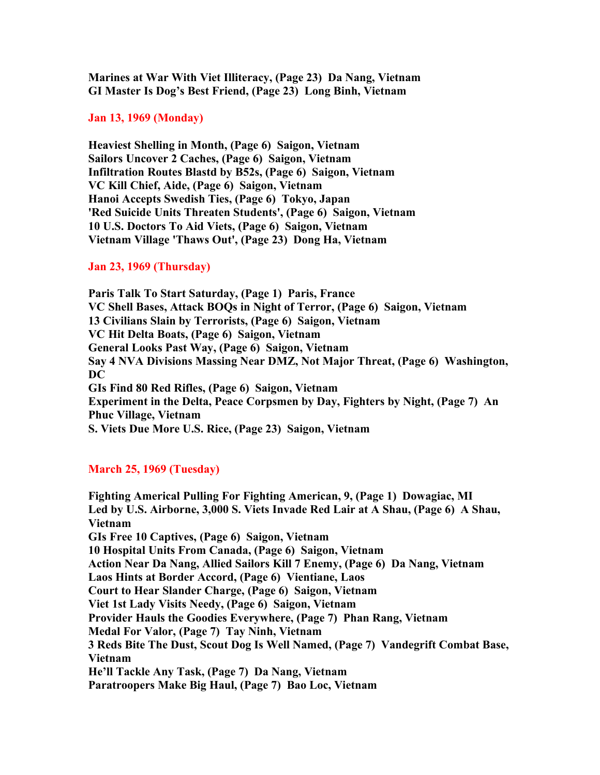**Marines at War With Viet Illiteracy, (Page 23) Da Nang, Vietnam GI Master Is Dog's Best Friend, (Page 23) Long Binh, Vietnam**

**Jan 13, 1969 (Monday)**

**Heaviest Shelling in Month, (Page 6) Saigon, Vietnam Sailors Uncover 2 Caches, (Page 6) Saigon, Vietnam Infiltration Routes Blastd by B52s, (Page 6) Saigon, Vietnam VC Kill Chief, Aide, (Page 6) Saigon, Vietnam Hanoi Accepts Swedish Ties, (Page 6) Tokyo, Japan 'Red Suicide Units Threaten Students', (Page 6) Saigon, Vietnam 10 U.S. Doctors To Aid Viets, (Page 6) Saigon, Vietnam Vietnam Village 'Thaws Out', (Page 23) Dong Ha, Vietnam**

## **Jan 23, 1969 (Thursday)**

**Paris Talk To Start Saturday, (Page 1) Paris, France VC Shell Bases, Attack BOQs in Night of Terror, (Page 6) Saigon, Vietnam 13 Civilians Slain by Terrorists, (Page 6) Saigon, Vietnam VC Hit Delta Boats, (Page 6) Saigon, Vietnam General Looks Past Way, (Page 6) Saigon, Vietnam Say 4 NVA Divisions Massing Near DMZ, Not Major Threat, (Page 6) Washington, DC GIs Find 80 Red Rifles, (Page 6) Saigon, Vietnam Experiment in the Delta, Peace Corpsmen by Day, Fighters by Night, (Page 7) An Phuc Village, Vietnam S. Viets Due More U.S. Rice, (Page 23) Saigon, Vietnam**

## **March 25, 1969 (Tuesday)**

**Fighting Americal Pulling For Fighting American, 9, (Page 1) Dowagiac, MI Led by U.S. Airborne, 3,000 S. Viets Invade Red Lair at A Shau, (Page 6) A Shau, Vietnam GIs Free 10 Captives, (Page 6) Saigon, Vietnam 10 Hospital Units From Canada, (Page 6) Saigon, Vietnam Action Near Da Nang, Allied Sailors Kill 7 Enemy, (Page 6) Da Nang, Vietnam Laos Hints at Border Accord, (Page 6) Vientiane, Laos Court to Hear Slander Charge, (Page 6) Saigon, Vietnam Viet 1st Lady Visits Needy, (Page 6) Saigon, Vietnam Provider Hauls the Goodies Everywhere, (Page 7) Phan Rang, Vietnam Medal For Valor, (Page 7) Tay Ninh, Vietnam 3 Reds Bite The Dust, Scout Dog Is Well Named, (Page 7) Vandegrift Combat Base, Vietnam He'll Tackle Any Task, (Page 7) Da Nang, Vietnam Paratroopers Make Big Haul, (Page 7) Bao Loc, Vietnam**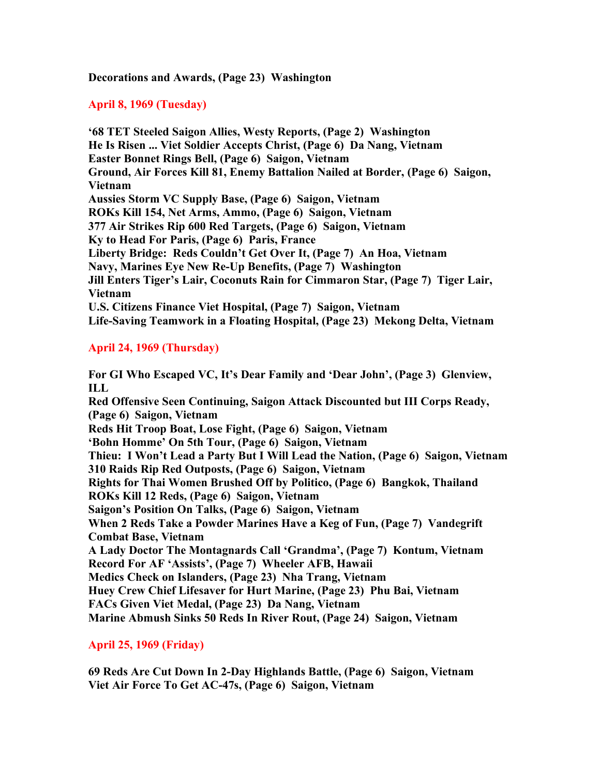**Decorations and Awards, (Page 23) Washington**

# **April 8, 1969 (Tuesday)**

**'68 TET Steeled Saigon Allies, Westy Reports, (Page 2) Washington He Is Risen ... Viet Soldier Accepts Christ, (Page 6) Da Nang, Vietnam Easter Bonnet Rings Bell, (Page 6) Saigon, Vietnam Ground, Air Forces Kill 81, Enemy Battalion Nailed at Border, (Page 6) Saigon, Vietnam Aussies Storm VC Supply Base, (Page 6) Saigon, Vietnam ROKs Kill 154, Net Arms, Ammo, (Page 6) Saigon, Vietnam 377 Air Strikes Rip 600 Red Targets, (Page 6) Saigon, Vietnam Ky to Head For Paris, (Page 6) Paris, France Liberty Bridge: Reds Couldn't Get Over It, (Page 7) An Hoa, Vietnam Navy, Marines Eye New Re-Up Benefits, (Page 7) Washington Jill Enters Tiger's Lair, Coconuts Rain for Cimmaron Star, (Page 7) Tiger Lair, Vietnam U.S. Citizens Finance Viet Hospital, (Page 7) Saigon, Vietnam Life-Saving Teamwork in a Floating Hospital, (Page 23) Mekong Delta, Vietnam**

# **April 24, 1969 (Thursday)**

**For GI Who Escaped VC, It's Dear Family and 'Dear John', (Page 3) Glenview, ILL Red Offensive Seen Continuing, Saigon Attack Discounted but III Corps Ready, (Page 6) Saigon, Vietnam Reds Hit Troop Boat, Lose Fight, (Page 6) Saigon, Vietnam 'Bohn Homme' On 5th Tour, (Page 6) Saigon, Vietnam Thieu: I Won't Lead a Party But I Will Lead the Nation, (Page 6) Saigon, Vietnam 310 Raids Rip Red Outposts, (Page 6) Saigon, Vietnam Rights for Thai Women Brushed Off by Politico, (Page 6) Bangkok, Thailand ROKs Kill 12 Reds, (Page 6) Saigon, Vietnam Saigon's Position On Talks, (Page 6) Saigon, Vietnam When 2 Reds Take a Powder Marines Have a Keg of Fun, (Page 7) Vandegrift Combat Base, Vietnam A Lady Doctor The Montagnards Call 'Grandma', (Page 7) Kontum, Vietnam Record For AF 'Assists', (Page 7) Wheeler AFB, Hawaii Medics Check on Islanders, (Page 23) Nha Trang, Vietnam Huey Crew Chief Lifesaver for Hurt Marine, (Page 23) Phu Bai, Vietnam FACs Given Viet Medal, (Page 23) Da Nang, Vietnam Marine Abmush Sinks 50 Reds In River Rout, (Page 24) Saigon, Vietnam**

## **April 25, 1969 (Friday)**

**69 Reds Are Cut Down In 2-Day Highlands Battle, (Page 6) Saigon, Vietnam Viet Air Force To Get AC-47s, (Page 6) Saigon, Vietnam**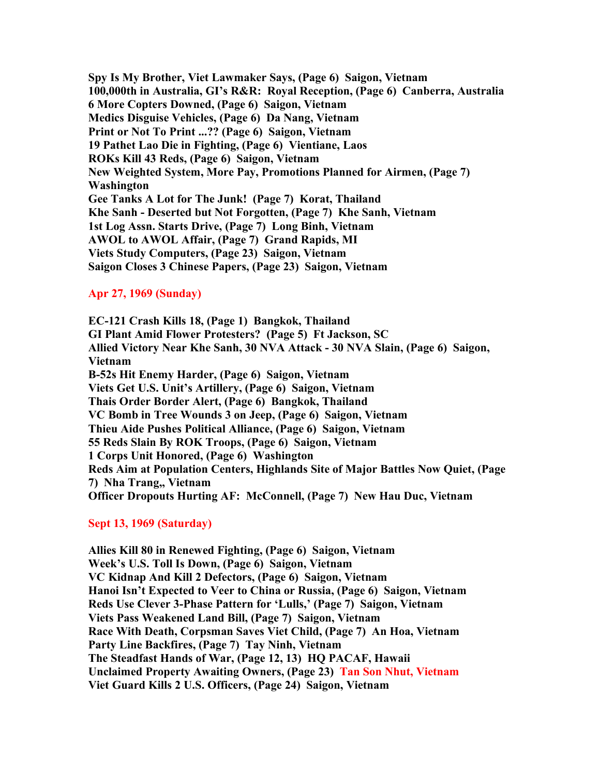**Spy Is My Brother, Viet Lawmaker Says, (Page 6) Saigon, Vietnam 100,000th in Australia, GI's R&R: Royal Reception, (Page 6) Canberra, Australia 6 More Copters Downed, (Page 6) Saigon, Vietnam Medics Disguise Vehicles, (Page 6) Da Nang, Vietnam Print or Not To Print ...?? (Page 6) Saigon, Vietnam 19 Pathet Lao Die in Fighting, (Page 6) Vientiane, Laos ROKs Kill 43 Reds, (Page 6) Saigon, Vietnam New Weighted System, More Pay, Promotions Planned for Airmen, (Page 7) Washington Gee Tanks A Lot for The Junk! (Page 7) Korat, Thailand Khe Sanh - Deserted but Not Forgotten, (Page 7) Khe Sanh, Vietnam 1st Log Assn. Starts Drive, (Page 7) Long Binh, Vietnam AWOL to AWOL Affair, (Page 7) Grand Rapids, MI Viets Study Computers, (Page 23) Saigon, Vietnam Saigon Closes 3 Chinese Papers, (Page 23) Saigon, Vietnam**

### **Apr 27, 1969 (Sunday)**

**EC-121 Crash Kills 18, (Page 1) Bangkok, Thailand GI Plant Amid Flower Protesters? (Page 5) Ft Jackson, SC Allied Victory Near Khe Sanh, 30 NVA Attack - 30 NVA Slain, (Page 6) Saigon, Vietnam B-52s Hit Enemy Harder, (Page 6) Saigon, Vietnam Viets Get U.S. Unit's Artillery, (Page 6) Saigon, Vietnam Thais Order Border Alert, (Page 6) Bangkok, Thailand VC Bomb in Tree Wounds 3 on Jeep, (Page 6) Saigon, Vietnam Thieu Aide Pushes Political Alliance, (Page 6) Saigon, Vietnam 55 Reds Slain By ROK Troops, (Page 6) Saigon, Vietnam 1 Corps Unit Honored, (Page 6) Washington Reds Aim at Population Centers, Highlands Site of Major Battles Now Quiet, (Page 7) Nha Trang,, Vietnam Officer Dropouts Hurting AF: McConnell, (Page 7) New Hau Duc, Vietnam**

#### **Sept 13, 1969 (Saturday)**

**Allies Kill 80 in Renewed Fighting, (Page 6) Saigon, Vietnam Week's U.S. Toll Is Down, (Page 6) Saigon, Vietnam VC Kidnap And Kill 2 Defectors, (Page 6) Saigon, Vietnam Hanoi Isn't Expected to Veer to China or Russia, (Page 6) Saigon, Vietnam Reds Use Clever 3-Phase Pattern for 'Lulls,' (Page 7) Saigon, Vietnam Viets Pass Weakened Land Bill, (Page 7) Saigon, Vietnam Race With Death, Corpsman Saves Viet Child, (Page 7) An Hoa, Vietnam Party Line Backfires, (Page 7) Tay Ninh, Vietnam The Steadfast Hands of War, (Page 12, 13) HQ PACAF, Hawaii Unclaimed Property Awaiting Owners, (Page 23) Tan Son Nhut, Vietnam Viet Guard Kills 2 U.S. Officers, (Page 24) Saigon, Vietnam**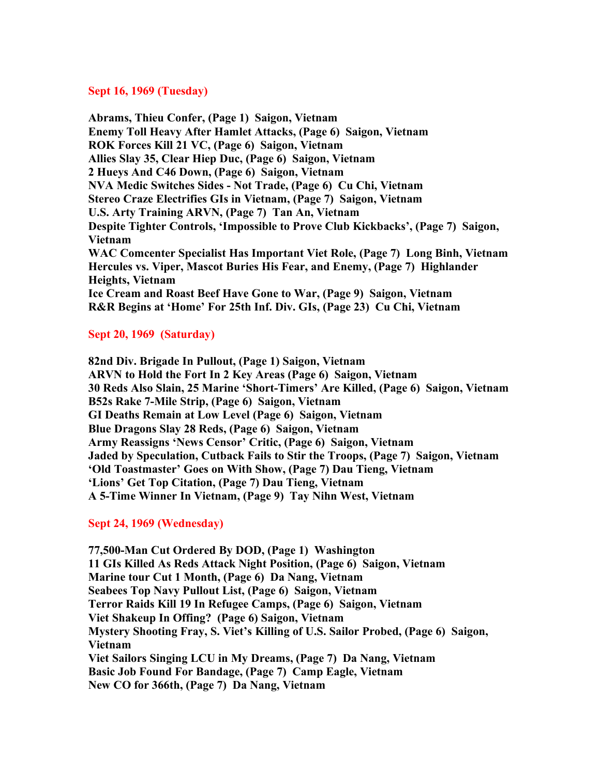### **Sept 16, 1969 (Tuesday)**

**Abrams, Thieu Confer, (Page 1) Saigon, Vietnam Enemy Toll Heavy After Hamlet Attacks, (Page 6) Saigon, Vietnam ROK Forces Kill 21 VC, (Page 6) Saigon, Vietnam Allies Slay 35, Clear Hiep Duc, (Page 6) Saigon, Vietnam 2 Hueys And C46 Down, (Page 6) Saigon, Vietnam NVA Medic Switches Sides - Not Trade, (Page 6) Cu Chi, Vietnam Stereo Craze Electrifies GIs in Vietnam, (Page 7) Saigon, Vietnam U.S. Arty Training ARVN, (Page 7) Tan An, Vietnam Despite Tighter Controls, 'Impossible to Prove Club Kickbacks', (Page 7) Saigon, Vietnam WAC Comcenter Specialist Has Important Viet Role, (Page 7) Long Binh, Vietnam Hercules vs. Viper, Mascot Buries His Fear, and Enemy, (Page 7) Highlander Heights, Vietnam Ice Cream and Roast Beef Have Gone to War, (Page 9) Saigon, Vietnam R&R Begins at 'Home' For 25th Inf. Div. GIs, (Page 23) Cu Chi, Vietnam**

## **Sept 20, 1969 (Saturday)**

**82nd Div. Brigade In Pullout, (Page 1) Saigon, Vietnam ARVN to Hold the Fort In 2 Key Areas (Page 6) Saigon, Vietnam 30 Reds Also Slain, 25 Marine 'Short-Timers' Are Killed, (Page 6) Saigon, Vietnam B52s Rake 7-Mile Strip, (Page 6) Saigon, Vietnam GI Deaths Remain at Low Level (Page 6) Saigon, Vietnam Blue Dragons Slay 28 Reds, (Page 6) Saigon, Vietnam Army Reassigns 'News Censor' Critic, (Page 6) Saigon, Vietnam Jaded by Speculation, Cutback Fails to Stir the Troops, (Page 7) Saigon, Vietnam 'Old Toastmaster' Goes on With Show, (Page 7) Dau Tieng, Vietnam 'Lions' Get Top Citation, (Page 7) Dau Tieng, Vietnam A 5-Time Winner In Vietnam, (Page 9) Tay Nihn West, Vietnam**

## **Sept 24, 1969 (Wednesday)**

**77,500-Man Cut Ordered By DOD, (Page 1) Washington 11 GIs Killed As Reds Attack Night Position, (Page 6) Saigon, Vietnam Marine tour Cut 1 Month, (Page 6) Da Nang, Vietnam Seabees Top Navy Pullout List, (Page 6) Saigon, Vietnam Terror Raids Kill 19 In Refugee Camps, (Page 6) Saigon, Vietnam Viet Shakeup In Offing? (Page 6) Saigon, Vietnam Mystery Shooting Fray, S. Viet's Killing of U.S. Sailor Probed, (Page 6) Saigon, Vietnam Viet Sailors Singing LCU in My Dreams, (Page 7) Da Nang, Vietnam Basic Job Found For Bandage, (Page 7) Camp Eagle, Vietnam New CO for 366th, (Page 7) Da Nang, Vietnam**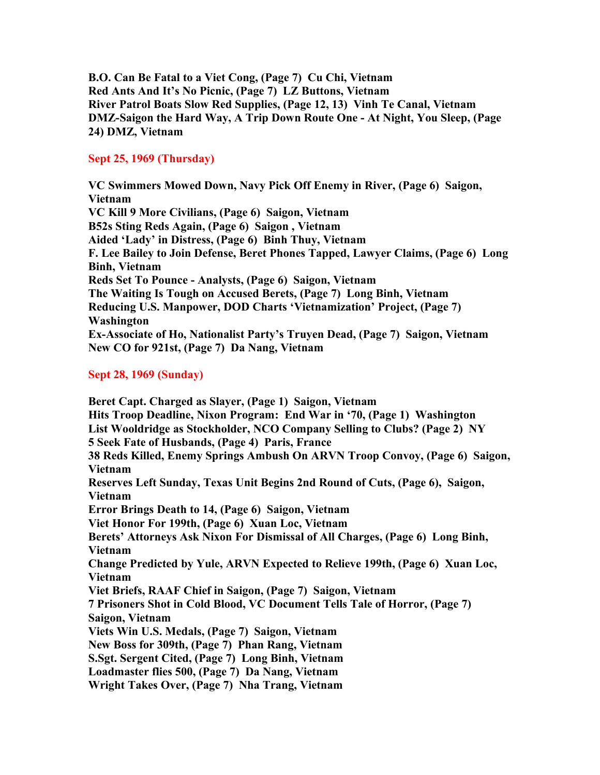**B.O. Can Be Fatal to a Viet Cong, (Page 7) Cu Chi, Vietnam Red Ants And It's No Picnic, (Page 7) LZ Buttons, Vietnam River Patrol Boats Slow Red Supplies, (Page 12, 13) Vinh Te Canal, Vietnam DMZ-Saigon the Hard Way, A Trip Down Route One - At Night, You Sleep, (Page 24) DMZ, Vietnam**

# **Sept 25, 1969 (Thursday)**

**VC Swimmers Mowed Down, Navy Pick Off Enemy in River, (Page 6) Saigon, Vietnam VC Kill 9 More Civilians, (Page 6) Saigon, Vietnam B52s Sting Reds Again, (Page 6) Saigon , Vietnam Aided 'Lady' in Distress, (Page 6) Binh Thuy, Vietnam F. Lee Bailey to Join Defense, Beret Phones Tapped, Lawyer Claims, (Page 6) Long Binh, Vietnam Reds Set To Pounce - Analysts, (Page 6) Saigon, Vietnam The Waiting Is Tough on Accused Berets, (Page 7) Long Binh, Vietnam Reducing U.S. Manpower, DOD Charts 'Vietnamization' Project, (Page 7) Washington Ex-Associate of Ho, Nationalist Party's Truyen Dead, (Page 7) Saigon, Vietnam New CO for 921st, (Page 7) Da Nang, Vietnam**

# **Sept 28, 1969 (Sunday)**

**Beret Capt. Charged as Slayer, (Page 1) Saigon, Vietnam Hits Troop Deadline, Nixon Program: End War in '70, (Page 1) Washington List Wooldridge as Stockholder, NCO Company Selling to Clubs? (Page 2) NY 5 Seek Fate of Husbands, (Page 4) Paris, France 38 Reds Killed, Enemy Springs Ambush On ARVN Troop Convoy, (Page 6) Saigon, Vietnam Reserves Left Sunday, Texas Unit Begins 2nd Round of Cuts, (Page 6), Saigon, Vietnam Error Brings Death to 14, (Page 6) Saigon, Vietnam Viet Honor For 199th, (Page 6) Xuan Loc, Vietnam Berets' Attorneys Ask Nixon For Dismissal of All Charges, (Page 6) Long Binh, Vietnam Change Predicted by Yule, ARVN Expected to Relieve 199th, (Page 6) Xuan Loc, Vietnam Viet Briefs, RAAF Chief in Saigon, (Page 7) Saigon, Vietnam 7 Prisoners Shot in Cold Blood, VC Document Tells Tale of Horror, (Page 7) Saigon, Vietnam Viets Win U.S. Medals, (Page 7) Saigon, Vietnam New Boss for 309th, (Page 7) Phan Rang, Vietnam S.Sgt. Sergent Cited, (Page 7) Long Binh, Vietnam Loadmaster flies 500, (Page 7) Da Nang, Vietnam Wright Takes Over, (Page 7) Nha Trang, Vietnam**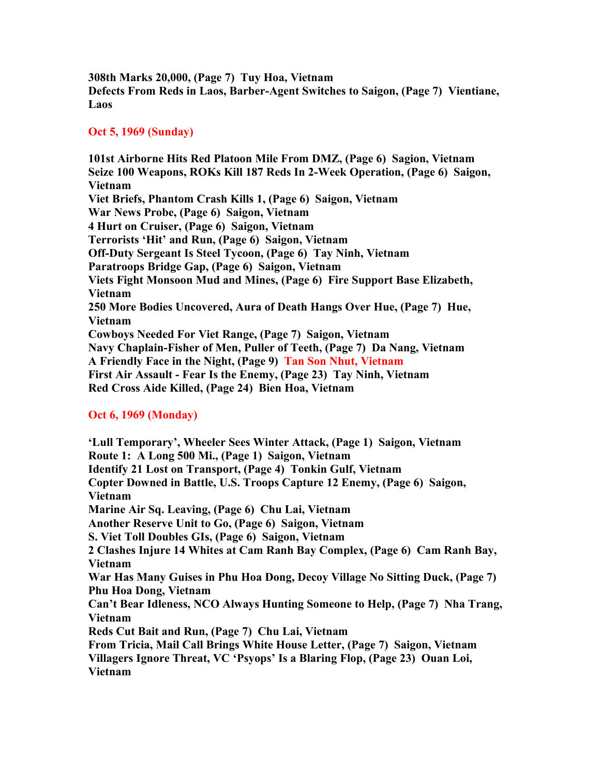**308th Marks 20,000, (Page 7) Tuy Hoa, Vietnam Defects From Reds in Laos, Barber-Agent Switches to Saigon, (Page 7) Vientiane, Laos**

# **Oct 5, 1969 (Sunday)**

**101st Airborne Hits Red Platoon Mile From DMZ, (Page 6) Sagion, Vietnam Seize 100 Weapons, ROKs Kill 187 Reds In 2-Week Operation, (Page 6) Saigon, Vietnam Viet Briefs, Phantom Crash Kills 1, (Page 6) Saigon, Vietnam War News Probe, (Page 6) Saigon, Vietnam 4 Hurt on Cruiser, (Page 6) Saigon, Vietnam Terrorists 'Hit' and Run, (Page 6) Saigon, Vietnam Off-Duty Sergeant Is Steel Tycoon, (Page 6) Tay Ninh, Vietnam Paratroops Bridge Gap, (Page 6) Saigon, Vietnam Viets Fight Monsoon Mud and Mines, (Page 6) Fire Support Base Elizabeth, Vietnam 250 More Bodies Uncovered, Aura of Death Hangs Over Hue, (Page 7) Hue, Vietnam Cowboys Needed For Viet Range, (Page 7) Saigon, Vietnam Navy Chaplain-Fisher of Men, Puller of Teeth, (Page 7) Da Nang, Vietnam A Friendly Face in the Night, (Page 9) Tan Son Nhut, Vietnam First Air Assault - Fear Is the Enemy, (Page 23) Tay Ninh, Vietnam Red Cross Aide Killed, (Page 24) Bien Hoa, Vietnam**

# **Oct 6, 1969 (Monday)**

**'Lull Temporary', Wheeler Sees Winter Attack, (Page 1) Saigon, Vietnam Route 1: A Long 500 Mi., (Page 1) Saigon, Vietnam Identify 21 Lost on Transport, (Page 4) Tonkin Gulf, Vietnam Copter Downed in Battle, U.S. Troops Capture 12 Enemy, (Page 6) Saigon, Vietnam Marine Air Sq. Leaving, (Page 6) Chu Lai, Vietnam Another Reserve Unit to Go, (Page 6) Saigon, Vietnam S. Viet Toll Doubles GIs, (Page 6) Saigon, Vietnam 2 Clashes Injure 14 Whites at Cam Ranh Bay Complex, (Page 6) Cam Ranh Bay, Vietnam War Has Many Guises in Phu Hoa Dong, Decoy Village No Sitting Duck, (Page 7) Phu Hoa Dong, Vietnam Can't Bear Idleness, NCO Always Hunting Someone to Help, (Page 7) Nha Trang, Vietnam Reds Cut Bait and Run, (Page 7) Chu Lai, Vietnam From Tricia, Mail Call Brings White House Letter, (Page 7) Saigon, Vietnam Villagers Ignore Threat, VC 'Psyops' Is a Blaring Flop, (Page 23) Ouan Loi, Vietnam**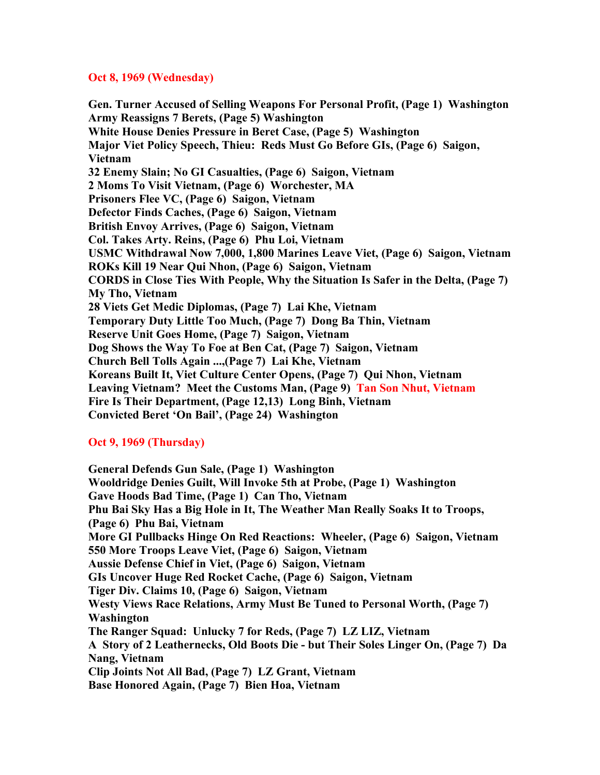### **Oct 8, 1969 (Wednesday)**

**Gen. Turner Accused of Selling Weapons For Personal Profit, (Page 1) Washington Army Reassigns 7 Berets, (Page 5) Washington White House Denies Pressure in Beret Case, (Page 5) Washington Major Viet Policy Speech, Thieu: Reds Must Go Before GIs, (Page 6) Saigon, Vietnam 32 Enemy Slain; No GI Casualties, (Page 6) Saigon, Vietnam 2 Moms To Visit Vietnam, (Page 6) Worchester, MA Prisoners Flee VC, (Page 6) Saigon, Vietnam Defector Finds Caches, (Page 6) Saigon, Vietnam British Envoy Arrives, (Page 6) Saigon, Vietnam Col. Takes Arty. Reins, (Page 6) Phu Loi, Vietnam USMC Withdrawal Now 7,000, 1,800 Marines Leave Viet, (Page 6) Saigon, Vietnam ROKs Kill 19 Near Qui Nhon, (Page 6) Saigon, Vietnam CORDS in Close Ties With People, Why the Situation Is Safer in the Delta, (Page 7) My Tho, Vietnam 28 Viets Get Medic Diplomas, (Page 7) Lai Khe, Vietnam Temporary Duty Little Too Much, (Page 7) Dong Ba Thin, Vietnam Reserve Unit Goes Home, (Page 7) Saigon, Vietnam Dog Shows the Way To Foe at Ben Cat, (Page 7) Saigon, Vietnam Church Bell Tolls Again ...,(Page 7) Lai Khe, Vietnam Koreans Built It, Viet Culture Center Opens, (Page 7) Qui Nhon, Vietnam Leaving Vietnam? Meet the Customs Man, (Page 9) Tan Son Nhut, Vietnam Fire Is Their Department, (Page 12,13) Long Binh, Vietnam Convicted Beret 'On Bail', (Page 24) Washington**

## **Oct 9, 1969 (Thursday)**

**General Defends Gun Sale, (Page 1) Washington Wooldridge Denies Guilt, Will Invoke 5th at Probe, (Page 1) Washington Gave Hoods Bad Time, (Page 1) Can Tho, Vietnam Phu Bai Sky Has a Big Hole in It, The Weather Man Really Soaks It to Troops, (Page 6) Phu Bai, Vietnam More GI Pullbacks Hinge On Red Reactions: Wheeler, (Page 6) Saigon, Vietnam 550 More Troops Leave Viet, (Page 6) Saigon, Vietnam Aussie Defense Chief in Viet, (Page 6) Saigon, Vietnam GIs Uncover Huge Red Rocket Cache, (Page 6) Saigon, Vietnam Tiger Div. Claims 10, (Page 6) Saigon, Vietnam Westy Views Race Relations, Army Must Be Tuned to Personal Worth, (Page 7) Washington The Ranger Squad: Unlucky 7 for Reds, (Page 7) LZ LIZ, Vietnam A Story of 2 Leathernecks, Old Boots Die - but Their Soles Linger On, (Page 7) Da Nang, Vietnam Clip Joints Not All Bad, (Page 7) LZ Grant, Vietnam Base Honored Again, (Page 7) Bien Hoa, Vietnam**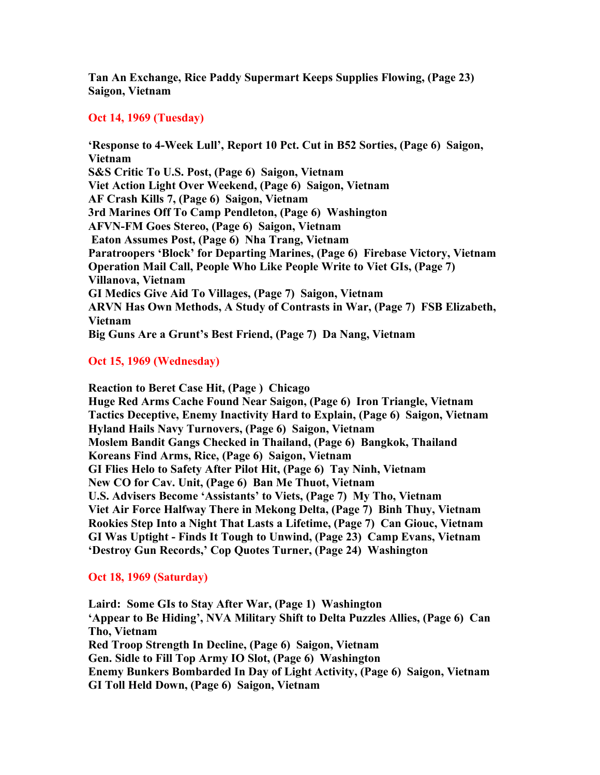**Tan An Exchange, Rice Paddy Supermart Keeps Supplies Flowing, (Page 23) Saigon, Vietnam**

### **Oct 14, 1969 (Tuesday)**

**'Response to 4-Week Lull', Report 10 Pct. Cut in B52 Sorties, (Page 6) Saigon, Vietnam S&S Critic To U.S. Post, (Page 6) Saigon, Vietnam Viet Action Light Over Weekend, (Page 6) Saigon, Vietnam AF Crash Kills 7, (Page 6) Saigon, Vietnam 3rd Marines Off To Camp Pendleton, (Page 6) Washington AFVN-FM Goes Stereo, (Page 6) Saigon, Vietnam Eaton Assumes Post, (Page 6) Nha Trang, Vietnam Paratroopers 'Block' for Departing Marines, (Page 6) Firebase Victory, Vietnam Operation Mail Call, People Who Like People Write to Viet GIs, (Page 7) Villanova, Vietnam GI Medics Give Aid To Villages, (Page 7) Saigon, Vietnam ARVN Has Own Methods, A Study of Contrasts in War, (Page 7) FSB Elizabeth, Vietnam Big Guns Are a Grunt's Best Friend, (Page 7) Da Nang, Vietnam**

# **Oct 15, 1969 (Wednesday)**

**Reaction to Beret Case Hit, (Page ) Chicago Huge Red Arms Cache Found Near Saigon, (Page 6) Iron Triangle, Vietnam Tactics Deceptive, Enemy Inactivity Hard to Explain, (Page 6) Saigon, Vietnam Hyland Hails Navy Turnovers, (Page 6) Saigon, Vietnam Moslem Bandit Gangs Checked in Thailand, (Page 6) Bangkok, Thailand Koreans Find Arms, Rice, (Page 6) Saigon, Vietnam GI Flies Helo to Safety After Pilot Hit, (Page 6) Tay Ninh, Vietnam New CO for Cav. Unit, (Page 6) Ban Me Thuot, Vietnam U.S. Advisers Become 'Assistants' to Viets, (Page 7) My Tho, Vietnam Viet Air Force Halfway There in Mekong Delta, (Page 7) Binh Thuy, Vietnam Rookies Step Into a Night That Lasts a Lifetime, (Page 7) Can Giouc, Vietnam GI Was Uptight - Finds It Tough to Unwind, (Page 23) Camp Evans, Vietnam 'Destroy Gun Records,' Cop Quotes Turner, (Page 24) Washington**

## **Oct 18, 1969 (Saturday)**

**Laird: Some GIs to Stay After War, (Page 1) Washington 'Appear to Be Hiding', NVA Military Shift to Delta Puzzles Allies, (Page 6) Can Tho, Vietnam Red Troop Strength In Decline, (Page 6) Saigon, Vietnam Gen. Sidle to Fill Top Army IO Slot, (Page 6) Washington Enemy Bunkers Bombarded In Day of Light Activity, (Page 6) Saigon, Vietnam GI Toll Held Down, (Page 6) Saigon, Vietnam**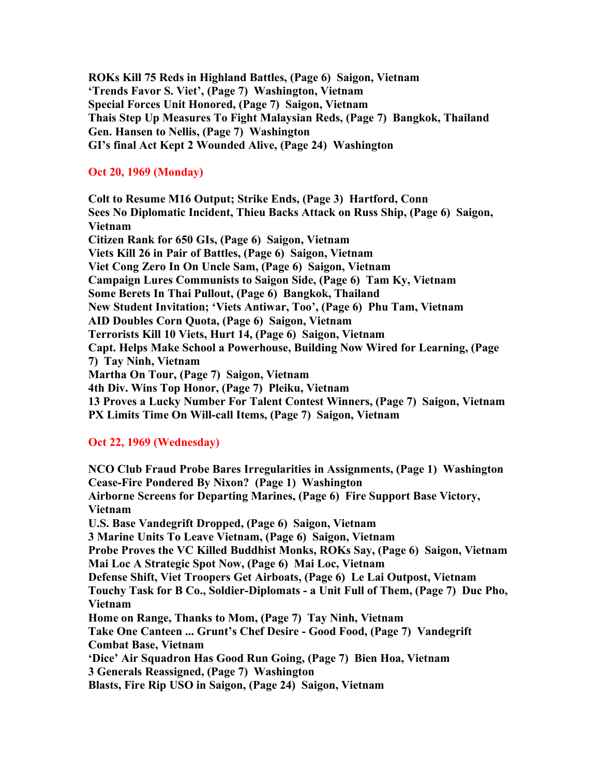**ROKs Kill 75 Reds in Highland Battles, (Page 6) Saigon, Vietnam 'Trends Favor S. Viet', (Page 7) Washington, Vietnam Special Forces Unit Honored, (Page 7) Saigon, Vietnam Thais Step Up Measures To Fight Malaysian Reds, (Page 7) Bangkok, Thailand Gen. Hansen to Nellis, (Page 7) Washington GI's final Act Kept 2 Wounded Alive, (Page 24) Washington**

## **Oct 20, 1969 (Monday)**

**Colt to Resume M16 Output; Strike Ends, (Page 3) Hartford, Conn Sees No Diplomatic Incident, Thieu Backs Attack on Russ Ship, (Page 6) Saigon, Vietnam Citizen Rank for 650 GIs, (Page 6) Saigon, Vietnam Viets Kill 26 in Pair of Battles, (Page 6) Saigon, Vietnam Viet Cong Zero In On Uncle Sam, (Page 6) Saigon, Vietnam Campaign Lures Communists to Saigon Side, (Page 6) Tam Ky, Vietnam Some Berets In Thai Pullout, (Page 6) Bangkok, Thailand New Student Invitation; 'Viets Antiwar, Too', (Page 6) Phu Tam, Vietnam AID Doubles Corn Quota, (Page 6) Saigon, Vietnam Terrorists Kill 10 Viets, Hurt 14, (Page 6) Saigon, Vietnam Capt. Helps Make School a Powerhouse, Building Now Wired for Learning, (Page 7) Tay Ninh, Vietnam Martha On Tour, (Page 7) Saigon, Vietnam 4th Div. Wins Top Honor, (Page 7) Pleiku, Vietnam 13 Proves a Lucky Number For Talent Contest Winners, (Page 7) Saigon, Vietnam PX Limits Time On Will-call Items, (Page 7) Saigon, Vietnam**

## **Oct 22, 1969 (Wednesday)**

**NCO Club Fraud Probe Bares Irregularities in Assignments, (Page 1) Washington Cease-Fire Pondered By Nixon? (Page 1) Washington Airborne Screens for Departing Marines, (Page 6) Fire Support Base Victory, Vietnam U.S. Base Vandegrift Dropped, (Page 6) Saigon, Vietnam 3 Marine Units To Leave Vietnam, (Page 6) Saigon, Vietnam Probe Proves the VC Killed Buddhist Monks, ROKs Say, (Page 6) Saigon, Vietnam Mai Loc A Strategic Spot Now, (Page 6) Mai Loc, Vietnam Defense Shift, Viet Troopers Get Airboats, (Page 6) Le Lai Outpost, Vietnam Touchy Task for B Co., Soldier-Diplomats - a Unit Full of Them, (Page 7) Duc Pho, Vietnam Home on Range, Thanks to Mom, (Page 7) Tay Ninh, Vietnam Take One Canteen ... Grunt's Chef Desire - Good Food, (Page 7) Vandegrift Combat Base, Vietnam 'Dice' Air Squadron Has Good Run Going, (Page 7) Bien Hoa, Vietnam 3 Generals Reassigned, (Page 7) Washington Blasts, Fire Rip USO in Saigon, (Page 24) Saigon, Vietnam**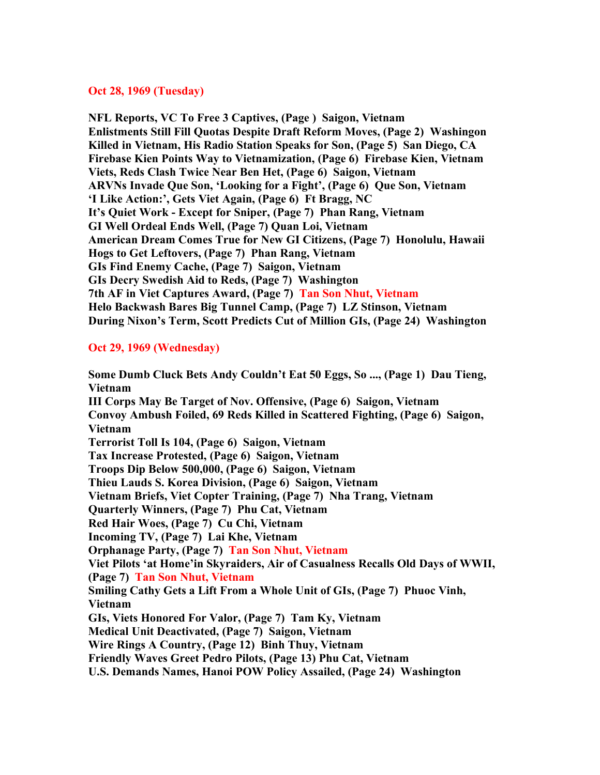### **Oct 28, 1969 (Tuesday)**

**NFL Reports, VC To Free 3 Captives, (Page ) Saigon, Vietnam Enlistments Still Fill Quotas Despite Draft Reform Moves, (Page 2) Washingon Killed in Vietnam, His Radio Station Speaks for Son, (Page 5) San Diego, CA Firebase Kien Points Way to Vietnamization, (Page 6) Firebase Kien, Vietnam Viets, Reds Clash Twice Near Ben Het, (Page 6) Saigon, Vietnam ARVNs Invade Que Son, 'Looking for a Fight', (Page 6) Que Son, Vietnam 'I Like Action:', Gets Viet Again, (Page 6) Ft Bragg, NC It's Quiet Work - Except for Sniper, (Page 7) Phan Rang, Vietnam GI Well Ordeal Ends Well, (Page 7) Quan Loi, Vietnam American Dream Comes True for New GI Citizens, (Page 7) Honolulu, Hawaii Hogs to Get Leftovers, (Page 7) Phan Rang, Vietnam GIs Find Enemy Cache, (Page 7) Saigon, Vietnam GIs Decry Swedish Aid to Reds, (Page 7) Washington 7th AF in Viet Captures Award, (Page 7) Tan Son Nhut, Vietnam Helo Backwash Bares Big Tunnel Camp, (Page 7) LZ Stinson, Vietnam During Nixon's Term, Scott Predicts Cut of Million GIs, (Page 24) Washington**

# **Oct 29, 1969 (Wednesday)**

**Some Dumb Cluck Bets Andy Couldn't Eat 50 Eggs, So ..., (Page 1) Dau Tieng, Vietnam III Corps May Be Target of Nov. Offensive, (Page 6) Saigon, Vietnam Convoy Ambush Foiled, 69 Reds Killed in Scattered Fighting, (Page 6) Saigon, Vietnam Terrorist Toll Is 104, (Page 6) Saigon, Vietnam Tax Increase Protested, (Page 6) Saigon, Vietnam Troops Dip Below 500,000, (Page 6) Saigon, Vietnam Thieu Lauds S. Korea Division, (Page 6) Saigon, Vietnam Vietnam Briefs, Viet Copter Training, (Page 7) Nha Trang, Vietnam Quarterly Winners, (Page 7) Phu Cat, Vietnam Red Hair Woes, (Page 7) Cu Chi, Vietnam Incoming TV, (Page 7) Lai Khe, Vietnam Orphanage Party, (Page 7) Tan Son Nhut, Vietnam Viet Pilots 'at Home'in Skyraiders, Air of Casualness Recalls Old Days of WWII, (Page 7) Tan Son Nhut, Vietnam Smiling Cathy Gets a Lift From a Whole Unit of GIs, (Page 7) Phuoc Vinh, Vietnam GIs, Viets Honored For Valor, (Page 7) Tam Ky, Vietnam Medical Unit Deactivated, (Page 7) Saigon, Vietnam Wire Rings A Country, (Page 12) Binh Thuy, Vietnam Friendly Waves Greet Pedro Pilots, (Page 13) Phu Cat, Vietnam U.S. Demands Names, Hanoi POW Policy Assailed, (Page 24) Washington**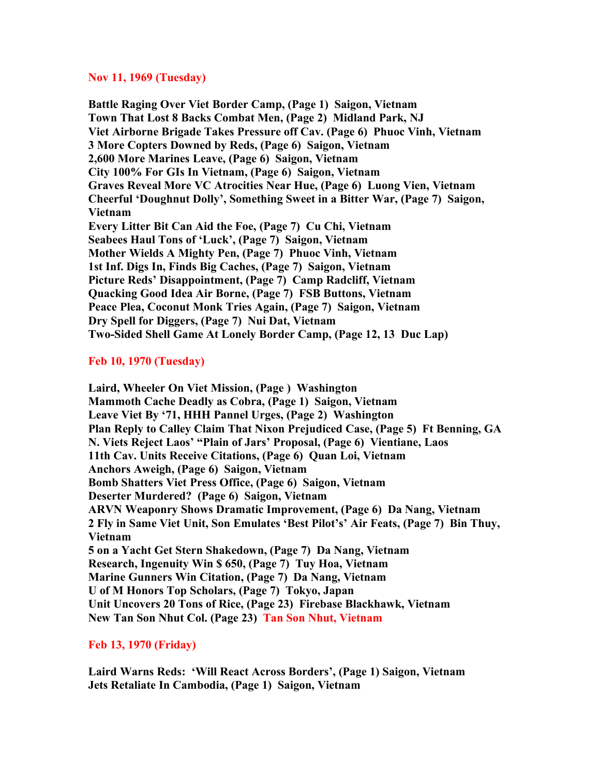### **Nov 11, 1969 (Tuesday)**

**Battle Raging Over Viet Border Camp, (Page 1) Saigon, Vietnam Town That Lost 8 Backs Combat Men, (Page 2) Midland Park, NJ Viet Airborne Brigade Takes Pressure off Cav. (Page 6) Phuoc Vinh, Vietnam 3 More Copters Downed by Reds, (Page 6) Saigon, Vietnam 2,600 More Marines Leave, (Page 6) Saigon, Vietnam City 100% For GIs In Vietnam, (Page 6) Saigon, Vietnam Graves Reveal More VC Atrocities Near Hue, (Page 6) Luong Vien, Vietnam Cheerful 'Doughnut Dolly', Something Sweet in a Bitter War, (Page 7) Saigon, Vietnam Every Litter Bit Can Aid the Foe, (Page 7) Cu Chi, Vietnam Seabees Haul Tons of 'Luck', (Page 7) Saigon, Vietnam Mother Wields A Mighty Pen, (Page 7) Phuoc Vinh, Vietnam 1st Inf. Digs In, Finds Big Caches, (Page 7) Saigon, Vietnam Picture Reds' Disappointment, (Page 7) Camp Radcliff, Vietnam Quacking Good Idea Air Borne, (Page 7) FSB Buttons, Vietnam Peace Plea, Coconut Monk Tries Again, (Page 7) Saigon, Vietnam Dry Spell for Diggers, (Page 7) Nui Dat, Vietnam Two-Sided Shell Game At Lonely Border Camp, (Page 12, 13 Duc Lap)**

# **Feb 10, 1970 (Tuesday)**

**Laird, Wheeler On Viet Mission, (Page ) Washington Mammoth Cache Deadly as Cobra, (Page 1) Saigon, Vietnam Leave Viet By '71, HHH Pannel Urges, (Page 2) Washington Plan Reply to Calley Claim That Nixon Prejudiced Case, (Page 5) Ft Benning, GA N. Viets Reject Laos' "Plain of Jars' Proposal, (Page 6) Vientiane, Laos 11th Cav. Units Receive Citations, (Page 6) Quan Loi, Vietnam Anchors Aweigh, (Page 6) Saigon, Vietnam Bomb Shatters Viet Press Office, (Page 6) Saigon, Vietnam Deserter Murdered? (Page 6) Saigon, Vietnam ARVN Weaponry Shows Dramatic Improvement, (Page 6) Da Nang, Vietnam 2 Fly in Same Viet Unit, Son Emulates 'Best Pilot's' Air Feats, (Page 7) Bin Thuy, Vietnam 5 on a Yacht Get Stern Shakedown, (Page 7) Da Nang, Vietnam Research, Ingenuity Win \$ 650, (Page 7) Tuy Hoa, Vietnam Marine Gunners Win Citation, (Page 7) Da Nang, Vietnam U of M Honors Top Scholars, (Page 7) Tokyo, Japan Unit Uncovers 20 Tons of Rice, (Page 23) Firebase Blackhawk, Vietnam New Tan Son Nhut Col. (Page 23) Tan Son Nhut, Vietnam**

## **Feb 13, 1970 (Friday)**

**Laird Warns Reds: 'Will React Across Borders', (Page 1) Saigon, Vietnam Jets Retaliate In Cambodia, (Page 1) Saigon, Vietnam**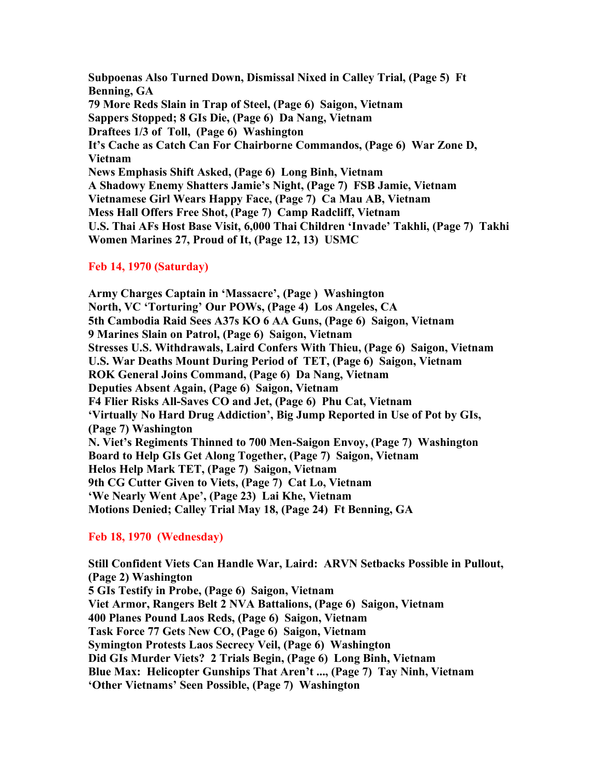**Subpoenas Also Turned Down, Dismissal Nixed in Calley Trial, (Page 5) Ft Benning, GA 79 More Reds Slain in Trap of Steel, (Page 6) Saigon, Vietnam Sappers Stopped; 8 GIs Die, (Page 6) Da Nang, Vietnam Draftees 1/3 of Toll, (Page 6) Washington It's Cache as Catch Can For Chairborne Commandos, (Page 6) War Zone D, Vietnam News Emphasis Shift Asked, (Page 6) Long Binh, Vietnam A Shadowy Enemy Shatters Jamie's Night, (Page 7) FSB Jamie, Vietnam Vietnamese Girl Wears Happy Face, (Page 7) Ca Mau AB, Vietnam Mess Hall Offers Free Shot, (Page 7) Camp Radcliff, Vietnam U.S. Thai AFs Host Base Visit, 6,000 Thai Children 'Invade' Takhli, (Page 7) Takhi Women Marines 27, Proud of It, (Page 12, 13) USMC**

## **Feb 14, 1970 (Saturday)**

**Army Charges Captain in 'Massacre', (Page ) Washington North, VC 'Torturing' Our POWs, (Page 4) Los Angeles, CA 5th Cambodia Raid Sees A37s KO 6 AA Guns, (Page 6) Saigon, Vietnam 9 Marines Slain on Patrol, (Page 6) Saigon, Vietnam Stresses U.S. Withdrawals, Laird Confers With Thieu, (Page 6) Saigon, Vietnam U.S. War Deaths Mount During Period of TET, (Page 6) Saigon, Vietnam ROK General Joins Command, (Page 6) Da Nang, Vietnam Deputies Absent Again, (Page 6) Saigon, Vietnam F4 Flier Risks All-Saves CO and Jet, (Page 6) Phu Cat, Vietnam 'Virtually No Hard Drug Addiction', Big Jump Reported in Use of Pot by GIs, (Page 7) Washington N. Viet's Regiments Thinned to 700 Men-Saigon Envoy, (Page 7) Washington Board to Help GIs Get Along Together, (Page 7) Saigon, Vietnam Helos Help Mark TET, (Page 7) Saigon, Vietnam 9th CG Cutter Given to Viets, (Page 7) Cat Lo, Vietnam 'We Nearly Went Ape', (Page 23) Lai Khe, Vietnam Motions Denied; Calley Trial May 18, (Page 24) Ft Benning, GA**

# **Feb 18, 1970 (Wednesday)**

**Still Confident Viets Can Handle War, Laird: ARVN Setbacks Possible in Pullout, (Page 2) Washington 5 GIs Testify in Probe, (Page 6) Saigon, Vietnam Viet Armor, Rangers Belt 2 NVA Battalions, (Page 6) Saigon, Vietnam 400 Planes Pound Laos Reds, (Page 6) Saigon, Vietnam Task Force 77 Gets New CO, (Page 6) Saigon, Vietnam Symington Protests Laos Secrecy Veil, (Page 6) Washington Did GIs Murder Viets? 2 Trials Begin, (Page 6) Long Binh, Vietnam Blue Max: Helicopter Gunships That Aren't ..., (Page 7) Tay Ninh, Vietnam 'Other Vietnams' Seen Possible, (Page 7) Washington**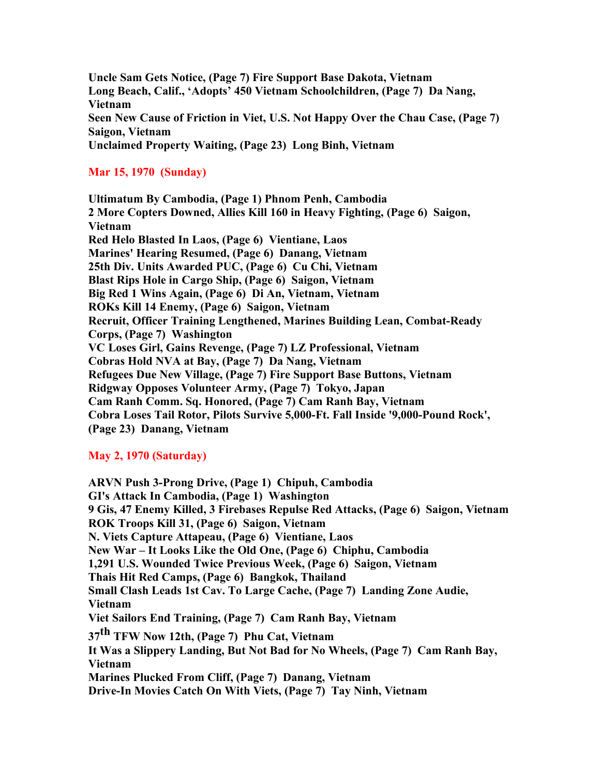**Uncle Sam Gets Notice, (Page 7) Fire Support Base Dakota, Vietnam Long Beach, Calif., 'Adopts' 450 Vietnam Schoolchildren, (Page 7) Da Nang, Vietnam Seen New Cause of Friction in Viet, U.S. Not Happy Over the Chau Case, (Page 7) Saigon, Vietnam Unclaimed Property Waiting, (Page 23) Long Binh, Vietnam**

# **Mar 15, 1970 (Sunday)**

**Ultimatum By Cambodia, (Page 1) Phnom Penh, Cambodia 2 More Copters Downed, Allies Kill 160 in Heavy Fighting, (Page 6) Saigon, Vietnam Red Helo Blasted In Laos, (Page 6) Vientiane, Laos Marines' Hearing Resumed, (Page 6) Danang, Vietnam 25th Div. Units Awarded PUC, (Page 6) Cu Chi, Vietnam Blast Rips Hole in Cargo Ship, (Page 6) Saigon, Vietnam Big Red 1 Wins Again, (Page 6) Di An, Vietnam, Vietnam ROKs Kill 14 Enemy, (Page 6) Saigon, Vietnam Recruit, Officer Training Lengthened, Marines Building Lean, Combat-Ready Corps, (Page 7) Washington VC Loses Girl, Gains Revenge, (Page 7) LZ Professional, Vietnam Cobras Hold NVA at Bay, (Page 7) Da Nang, Vietnam Refugees Due New Village, (Page 7) Fire Support Base Buttons, Vietnam Ridgway Opposes Volunteer Army, (Page 7) Tokyo, Japan Cam Ranh Comm. Sq. Honored, (Page 7) Cam Ranh Bay, Vietnam Cobra Loses Tail Rotor, Pilots Survive 5,000-Ft. Fall Inside '9,000-Pound Rock', (Page 23) Danang, Vietnam**

# **May 2, 1970 (Saturday)**

**ARVN Push 3-Prong Drive, (Page 1) Chipuh, Cambodia GI's Attack In Cambodia, (Page 1) Washington 9 Gis, 47 Enemy Killed, 3 Firebases Repulse Red Attacks, (Page 6) Saigon, Vietnam ROK Troops Kill 31, (Page 6) Saigon, Vietnam N. Viets Capture Attapeau, (Page 6) Vientiane, Laos New War – It Looks Like the Old One, (Page 6) Chiphu, Cambodia 1,291 U.S. Wounded Twice Previous Week, (Page 6) Saigon, Vietnam Thais Hit Red Camps, (Page 6) Bangkok, Thailand Small Clash Leads 1st Cav. To Large Cache, (Page 7) Landing Zone Audie, Vietnam Viet Sailors End Training, (Page 7) Cam Ranh Bay, Vietnam 37th TFW Now 12th, (Page 7) Phu Cat, Vietnam It Was a Slippery Landing, But Not Bad for No Wheels, (Page 7) Cam Ranh Bay, Vietnam Marines Plucked From Cliff, (Page 7) Danang, Vietnam Drive-In Movies Catch On With Viets, (Page 7) Tay Ninh, Vietnam**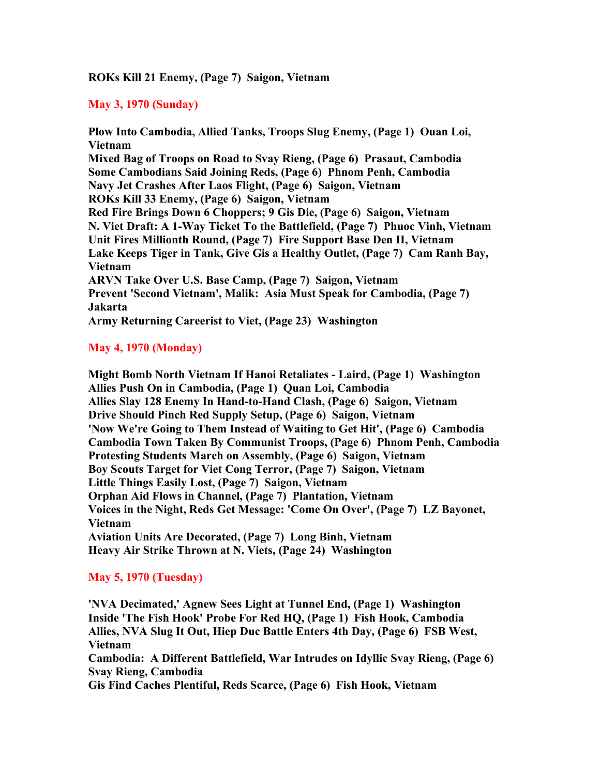## **ROKs Kill 21 Enemy, (Page 7) Saigon, Vietnam**

# **May 3, 1970 (Sunday)**

**Plow Into Cambodia, Allied Tanks, Troops Slug Enemy, (Page 1) Ouan Loi, Vietnam Mixed Bag of Troops on Road to Svay Rieng, (Page 6) Prasaut, Cambodia Some Cambodians Said Joining Reds, (Page 6) Phnom Penh, Cambodia Navy Jet Crashes After Laos Flight, (Page 6) Saigon, Vietnam ROKs Kill 33 Enemy, (Page 6) Saigon, Vietnam Red Fire Brings Down 6 Choppers; 9 Gis Die, (Page 6) Saigon, Vietnam N. Viet Draft: A 1-Way Ticket To the Battlefield, (Page 7) Phuoc Vinh, Vietnam Unit Fires Millionth Round, (Page 7) Fire Support Base Den II, Vietnam Lake Keeps Tiger in Tank, Give Gis a Healthy Outlet, (Page 7) Cam Ranh Bay, Vietnam ARVN Take Over U.S. Base Camp, (Page 7) Saigon, Vietnam Prevent 'Second Vietnam', Malik: Asia Must Speak for Cambodia, (Page 7) Jakarta Army Returning Careerist to Viet, (Page 23) Washington**

# **May 4, 1970 (Monday)**

**Might Bomb North Vietnam If Hanoi Retaliates - Laird, (Page 1) Washington Allies Push On in Cambodia, (Page 1) Quan Loi, Cambodia Allies Slay 128 Enemy In Hand-to-Hand Clash, (Page 6) Saigon, Vietnam Drive Should Pinch Red Supply Setup, (Page 6) Saigon, Vietnam 'Now We're Going to Them Instead of Waiting to Get Hit', (Page 6) Cambodia Cambodia Town Taken By Communist Troops, (Page 6) Phnom Penh, Cambodia Protesting Students March on Assembly, (Page 6) Saigon, Vietnam Boy Scouts Target for Viet Cong Terror, (Page 7) Saigon, Vietnam Little Things Easily Lost, (Page 7) Saigon, Vietnam Orphan Aid Flows in Channel, (Page 7) Plantation, Vietnam Voices in the Night, Reds Get Message: 'Come On Over', (Page 7) LZ Bayonet, Vietnam Aviation Units Are Decorated, (Page 7) Long Binh, Vietnam Heavy Air Strike Thrown at N. Viets, (Page 24) Washington**

## **May 5, 1970 (Tuesday)**

**'NVA Decimated,' Agnew Sees Light at Tunnel End, (Page 1) Washington Inside 'The Fish Hook' Probe For Red HQ, (Page 1) Fish Hook, Cambodia Allies, NVA Slug It Out, Hiep Duc Battle Enters 4th Day, (Page 6) FSB West, Vietnam Cambodia: A Different Battlefield, War Intrudes on Idyllic Svay Rieng, (Page 6) Svay Rieng, Cambodia Gis Find Caches Plentiful, Reds Scarce, (Page 6) Fish Hook, Vietnam**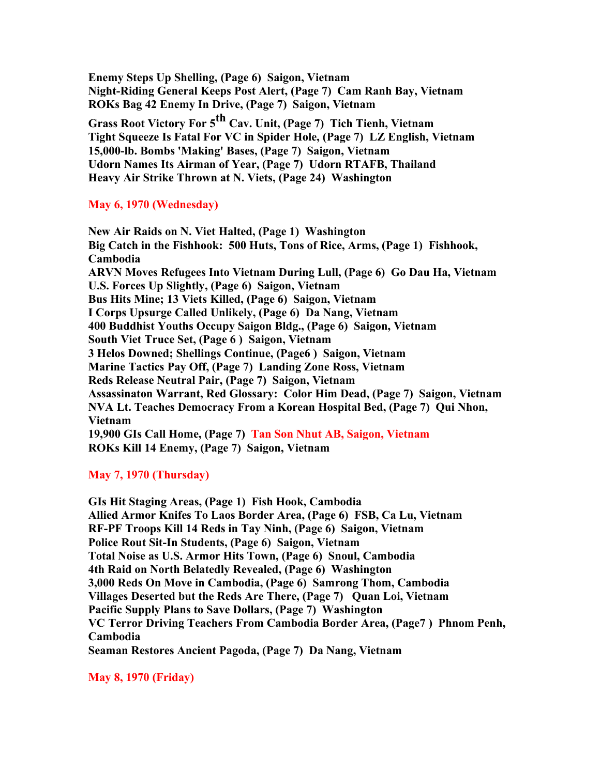**Enemy Steps Up Shelling, (Page 6) Saigon, Vietnam Night-Riding General Keeps Post Alert, (Page 7) Cam Ranh Bay, Vietnam ROKs Bag 42 Enemy In Drive, (Page 7) Saigon, Vietnam Grass Root Victory For 5th Cav. Unit, (Page 7) Tich Tienh, Vietnam Tight Squeeze Is Fatal For VC in Spider Hole, (Page 7) LZ English, Vietnam 15,000-lb. Bombs 'Making' Bases, (Page 7) Saigon, Vietnam Udorn Names Its Airman of Year, (Page 7) Udorn RTAFB, Thailand Heavy Air Strike Thrown at N. Viets, (Page 24) Washington**

## **May 6, 1970 (Wednesday)**

**New Air Raids on N. Viet Halted, (Page 1) Washington Big Catch in the Fishhook: 500 Huts, Tons of Rice, Arms, (Page 1) Fishhook, Cambodia ARVN Moves Refugees Into Vietnam During Lull, (Page 6) Go Dau Ha, Vietnam U.S. Forces Up Slightly, (Page 6) Saigon, Vietnam Bus Hits Mine; 13 Viets Killed, (Page 6) Saigon, Vietnam I Corps Upsurge Called Unlikely, (Page 6) Da Nang, Vietnam 400 Buddhist Youths Occupy Saigon Bldg., (Page 6) Saigon, Vietnam South Viet Truce Set, (Page 6 ) Saigon, Vietnam 3 Helos Downed; Shellings Continue, (Page6 ) Saigon, Vietnam Marine Tactics Pay Off, (Page 7) Landing Zone Ross, Vietnam Reds Release Neutral Pair, (Page 7) Saigon, Vietnam Assassinaton Warrant, Red Glossary: Color Him Dead, (Page 7) Saigon, Vietnam NVA Lt. Teaches Democracy From a Korean Hospital Bed, (Page 7) Qui Nhon, Vietnam 19,900 GIs Call Home, (Page 7) Tan Son Nhut AB, Saigon, Vietnam ROKs Kill 14 Enemy, (Page 7) Saigon, Vietnam**

## **May 7, 1970 (Thursday)**

**GIs Hit Staging Areas, (Page 1) Fish Hook, Cambodia Allied Armor Knifes To Laos Border Area, (Page 6) FSB, Ca Lu, Vietnam RF-PF Troops Kill 14 Reds in Tay Ninh, (Page 6) Saigon, Vietnam Police Rout Sit-In Students, (Page 6) Saigon, Vietnam Total Noise as U.S. Armor Hits Town, (Page 6) Snoul, Cambodia 4th Raid on North Belatedly Revealed, (Page 6) Washington 3,000 Reds On Move in Cambodia, (Page 6) Samrong Thom, Cambodia Villages Deserted but the Reds Are There, (Page 7) Quan Loi, Vietnam Pacific Supply Plans to Save Dollars, (Page 7) Washington VC Terror Driving Teachers From Cambodia Border Area, (Page7 ) Phnom Penh, Cambodia Seaman Restores Ancient Pagoda, (Page 7) Da Nang, Vietnam**

**May 8, 1970 (Friday)**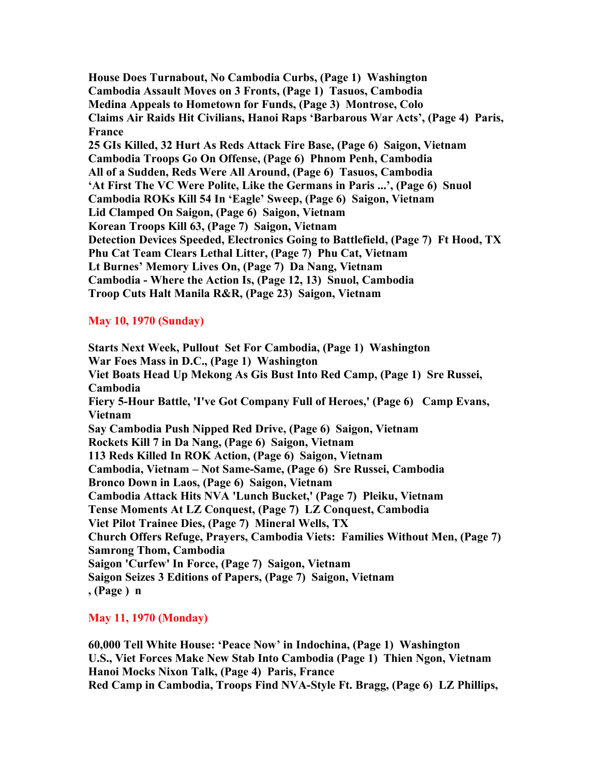**House Does Turnabout, No Cambodia Curbs, (Page 1) Washington Cambodia Assault Moves on 3 Fronts, (Page 1) Tasuos, Cambodia Medina Appeals to Hometown for Funds, (Page 3) Montrose, Colo Claims Air Raids Hit Civilians, Hanoi Raps 'Barbarous War Acts', (Page 4) Paris, France 25 GIs Killed, 32 Hurt As Reds Attack Fire Base, (Page 6) Saigon, Vietnam Cambodia Troops Go On Offense, (Page 6) Phnom Penh, Cambodia All of a Sudden, Reds Were All Around, (Page 6) Tasuos, Cambodia 'At First The VC Were Polite, Like the Germans in Paris ...', (Page 6) Snuol Cambodia ROKs Kill 54 In 'Eagle' Sweep, (Page 6) Saigon, Vietnam Lid Clamped On Saigon, (Page 6) Saigon, Vietnam Korean Troops Kill 63, (Page 7) Saigon, Vietnam Detection Devices Speeded, Electronics Going to Battlefield, (Page 7) Ft Hood, TX Phu Cat Team Clears Lethal Litter, (Page 7) Phu Cat, Vietnam Lt Burnes' Memory Lives On, (Page 7) Da Nang, Vietnam Cambodia - Where the Action Is, (Page 12, 13) Snuol, Cambodia Troop Cuts Halt Manila R&R, (Page 23) Saigon, Vietnam**

# **May 10, 1970 (Sunday)**

**Starts Next Week, Pullout Set For Cambodia, (Page 1) Washington War Foes Mass in D.C., (Page 1) Washington Viet Boats Head Up Mekong As Gis Bust Into Red Camp, (Page 1) Sre Russei, Cambodia Fiery 5-Hour Battle, 'I've Got Company Full of Heroes,' (Page 6) Camp Evans, Vietnam Say Cambodia Push Nipped Red Drive, (Page 6) Saigon, Vietnam Rockets Kill 7 in Da Nang, (Page 6) Saigon, Vietnam 113 Reds Killed In ROK Action, (Page 6) Saigon, Vietnam Cambodia, Vietnam – Not Same-Same, (Page 6) Sre Russei, Cambodia Bronco Down in Laos, (Page 6) Saigon, Vietnam Cambodia Attack Hits NVA 'Lunch Bucket,' (Page 7) Pleiku, Vietnam Tense Moments At LZ Conquest, (Page 7) LZ Conquest, Cambodia Viet Pilot Trainee Dies, (Page 7) Mineral Wells, TX Church Offers Refuge, Prayers, Cambodia Viets: Families Without Men, (Page 7) Samrong Thom, Cambodia Saigon 'Curfew' In Force, (Page 7) Saigon, Vietnam Saigon Seizes 3 Editions of Papers, (Page 7) Saigon, Vietnam , (Page ) n**

# **May 11, 1970 (Monday)**

**60,000 Tell White House: 'Peace Now' in Indochina, (Page 1) Washington U.S., Viet Forces Make New Stab Into Cambodia (Page 1) Thien Ngon, Vietnam Hanoi Mocks Nixon Talk, (Page 4) Paris, France Red Camp in Cambodia, Troops Find NVA-Style Ft. Bragg, (Page 6) LZ Phillips,**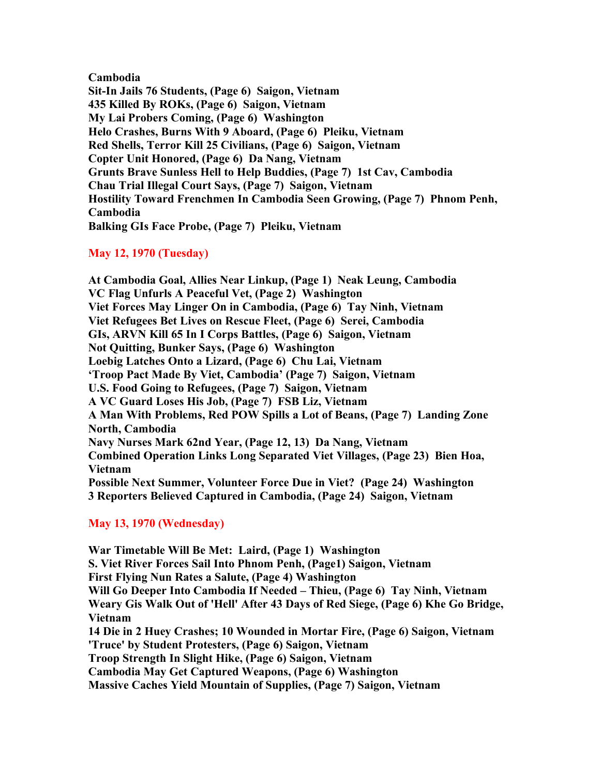**Cambodia Sit-In Jails 76 Students, (Page 6) Saigon, Vietnam 435 Killed By ROKs, (Page 6) Saigon, Vietnam My Lai Probers Coming, (Page 6) Washington Helo Crashes, Burns With 9 Aboard, (Page 6) Pleiku, Vietnam Red Shells, Terror Kill 25 Civilians, (Page 6) Saigon, Vietnam Copter Unit Honored, (Page 6) Da Nang, Vietnam Grunts Brave Sunless Hell to Help Buddies, (Page 7) 1st Cav, Cambodia Chau Trial Illegal Court Says, (Page 7) Saigon, Vietnam Hostility Toward Frenchmen In Cambodia Seen Growing, (Page 7) Phnom Penh, Cambodia Balking GIs Face Probe, (Page 7) Pleiku, Vietnam**

# **May 12, 1970 (Tuesday)**

**At Cambodia Goal, Allies Near Linkup, (Page 1) Neak Leung, Cambodia VC Flag Unfurls A Peaceful Vet, (Page 2) Washington Viet Forces May Linger On in Cambodia, (Page 6) Tay Ninh, Vietnam Viet Refugees Bet Lives on Rescue Fleet, (Page 6) Serei, Cambodia GIs, ARVN Kill 65 In I Corps Battles, (Page 6) Saigon, Vietnam Not Quitting, Bunker Says, (Page 6) Washington Loebig Latches Onto a Lizard, (Page 6) Chu Lai, Vietnam 'Troop Pact Made By Viet, Cambodia' (Page 7) Saigon, Vietnam U.S. Food Going to Refugees, (Page 7) Saigon, Vietnam A VC Guard Loses His Job, (Page 7) FSB Liz, Vietnam A Man With Problems, Red POW Spills a Lot of Beans, (Page 7) Landing Zone North, Cambodia Navy Nurses Mark 62nd Year, (Page 12, 13) Da Nang, Vietnam Combined Operation Links Long Separated Viet Villages, (Page 23) Bien Hoa, Vietnam Possible Next Summer, Volunteer Force Due in Viet? (Page 24) Washington 3 Reporters Believed Captured in Cambodia, (Page 24) Saigon, Vietnam**

# **May 13, 1970 (Wednesday)**

**War Timetable Will Be Met: Laird, (Page 1) Washington S. Viet River Forces Sail Into Phnom Penh, (Page1) Saigon, Vietnam First Flying Nun Rates a Salute, (Page 4) Washington Will Go Deeper Into Cambodia If Needed – Thieu, (Page 6) Tay Ninh, Vietnam Weary Gis Walk Out of 'Hell' After 43 Days of Red Siege, (Page 6) Khe Go Bridge, Vietnam 14 Die in 2 Huey Crashes; 10 Wounded in Mortar Fire, (Page 6) Saigon, Vietnam 'Truce' by Student Protesters, (Page 6) Saigon, Vietnam Troop Strength In Slight Hike, (Page 6) Saigon, Vietnam Cambodia May Get Captured Weapons, (Page 6) Washington Massive Caches Yield Mountain of Supplies, (Page 7) Saigon, Vietnam**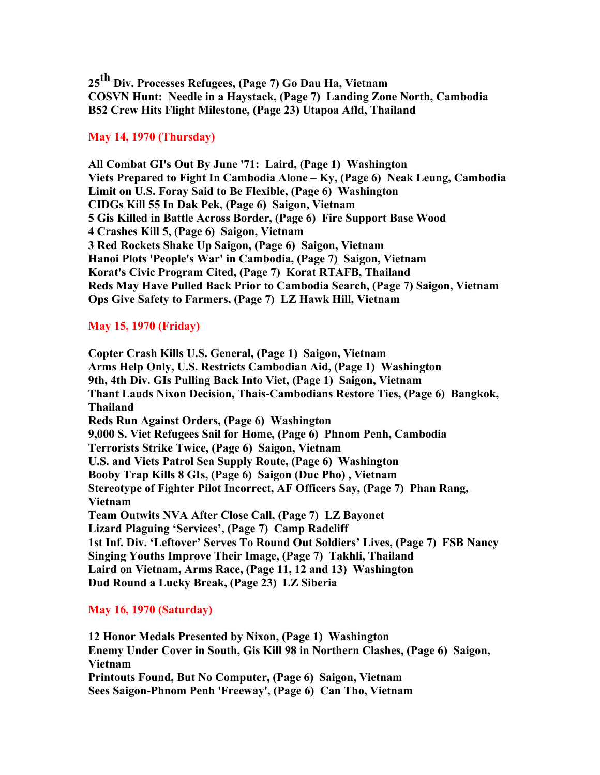**25th Div. Processes Refugees, (Page 7) Go Dau Ha, Vietnam COSVN Hunt: Needle in a Haystack, (Page 7) Landing Zone North, Cambodia B52 Crew Hits Flight Milestone, (Page 23) Utapoa Afld, Thailand**

## **May 14, 1970 (Thursday)**

**All Combat GI's Out By June '71: Laird, (Page 1) Washington Viets Prepared to Fight In Cambodia Alone – Ky, (Page 6) Neak Leung, Cambodia Limit on U.S. Foray Said to Be Flexible, (Page 6) Washington CIDGs Kill 55 In Dak Pek, (Page 6) Saigon, Vietnam 5 Gis Killed in Battle Across Border, (Page 6) Fire Support Base Wood 4 Crashes Kill 5, (Page 6) Saigon, Vietnam 3 Red Rockets Shake Up Saigon, (Page 6) Saigon, Vietnam Hanoi Plots 'People's War' in Cambodia, (Page 7) Saigon, Vietnam Korat's Civic Program Cited, (Page 7) Korat RTAFB, Thailand Reds May Have Pulled Back Prior to Cambodia Search, (Page 7) Saigon, Vietnam Ops Give Safety to Farmers, (Page 7) LZ Hawk Hill, Vietnam**

# **May 15, 1970 (Friday)**

**Copter Crash Kills U.S. General, (Page 1) Saigon, Vietnam Arms Help Only, U.S. Restricts Cambodian Aid, (Page 1) Washington 9th, 4th Div. GIs Pulling Back Into Viet, (Page 1) Saigon, Vietnam Thant Lauds Nixon Decision, Thais-Cambodians Restore Ties, (Page 6) Bangkok, Thailand Reds Run Against Orders, (Page 6) Washington 9,000 S. Viet Refugees Sail for Home, (Page 6) Phnom Penh, Cambodia Terrorists Strike Twice, (Page 6) Saigon, Vietnam U.S. and Viets Patrol Sea Supply Route, (Page 6) Washington Booby Trap Kills 8 GIs, (Page 6) Saigon (Duc Pho) , Vietnam Stereotype of Fighter Pilot Incorrect, AF Officers Say, (Page 7) Phan Rang, Vietnam Team Outwits NVA After Close Call, (Page 7) LZ Bayonet Lizard Plaguing 'Services', (Page 7) Camp Radcliff 1st Inf. Div. 'Leftover' Serves To Round Out Soldiers' Lives, (Page 7) FSB Nancy Singing Youths Improve Their Image, (Page 7) Takhli, Thailand Laird on Vietnam, Arms Race, (Page 11, 12 and 13) Washington Dud Round a Lucky Break, (Page 23) LZ Siberia**

# **May 16, 1970 (Saturday)**

**12 Honor Medals Presented by Nixon, (Page 1) Washington Enemy Under Cover in South, Gis Kill 98 in Northern Clashes, (Page 6) Saigon, Vietnam Printouts Found, But No Computer, (Page 6) Saigon, Vietnam Sees Saigon-Phnom Penh 'Freeway', (Page 6) Can Tho, Vietnam**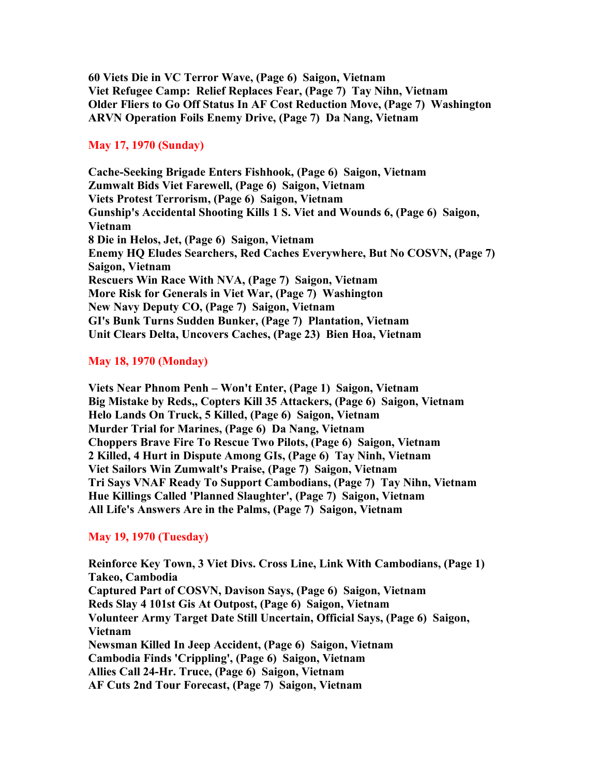**60 Viets Die in VC Terror Wave, (Page 6) Saigon, Vietnam Viet Refugee Camp: Relief Replaces Fear, (Page 7) Tay Nihn, Vietnam Older Fliers to Go Off Status In AF Cost Reduction Move, (Page 7) Washington ARVN Operation Foils Enemy Drive, (Page 7) Da Nang, Vietnam**

# **May 17, 1970 (Sunday)**

**Cache-Seeking Brigade Enters Fishhook, (Page 6) Saigon, Vietnam Zumwalt Bids Viet Farewell, (Page 6) Saigon, Vietnam Viets Protest Terrorism, (Page 6) Saigon, Vietnam Gunship's Accidental Shooting Kills 1 S. Viet and Wounds 6, (Page 6) Saigon, Vietnam 8 Die in Helos, Jet, (Page 6) Saigon, Vietnam Enemy HQ Eludes Searchers, Red Caches Everywhere, But No COSVN, (Page 7) Saigon, Vietnam Rescuers Win Race With NVA, (Page 7) Saigon, Vietnam More Risk for Generals in Viet War, (Page 7) Washington New Navy Deputy CO, (Page 7) Saigon, Vietnam GI's Bunk Turns Sudden Bunker, (Page 7) Plantation, Vietnam Unit Clears Delta, Uncovers Caches, (Page 23) Bien Hoa, Vietnam**

# **May 18, 1970 (Monday)**

**Viets Near Phnom Penh – Won't Enter, (Page 1) Saigon, Vietnam Big Mistake by Reds,, Copters Kill 35 Attackers, (Page 6) Saigon, Vietnam Helo Lands On Truck, 5 Killed, (Page 6) Saigon, Vietnam Murder Trial for Marines, (Page 6) Da Nang, Vietnam Choppers Brave Fire To Rescue Two Pilots, (Page 6) Saigon, Vietnam 2 Killed, 4 Hurt in Dispute Among GIs, (Page 6) Tay Ninh, Vietnam Viet Sailors Win Zumwalt's Praise, (Page 7) Saigon, Vietnam Tri Says VNAF Ready To Support Cambodians, (Page 7) Tay Nihn, Vietnam Hue Killings Called 'Planned Slaughter', (Page 7) Saigon, Vietnam All Life's Answers Are in the Palms, (Page 7) Saigon, Vietnam**

## **May 19, 1970 (Tuesday)**

**Reinforce Key Town, 3 Viet Divs. Cross Line, Link With Cambodians, (Page 1) Takeo, Cambodia Captured Part of COSVN, Davison Says, (Page 6) Saigon, Vietnam Reds Slay 4 101st Gis At Outpost, (Page 6) Saigon, Vietnam Volunteer Army Target Date Still Uncertain, Official Says, (Page 6) Saigon, Vietnam Newsman Killed In Jeep Accident, (Page 6) Saigon, Vietnam Cambodia Finds 'Crippling', (Page 6) Saigon, Vietnam Allies Call 24-Hr. Truce, (Page 6) Saigon, Vietnam AF Cuts 2nd Tour Forecast, (Page 7) Saigon, Vietnam**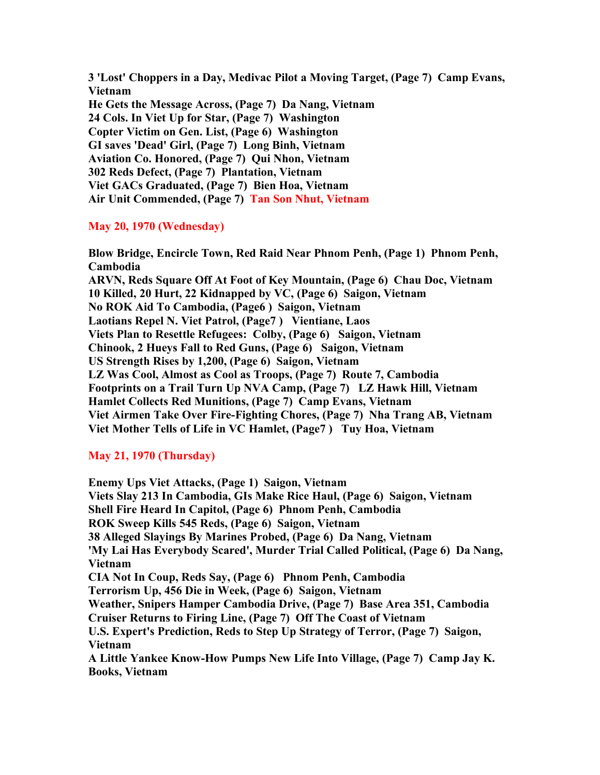**3 'Lost' Choppers in a Day, Medivac Pilot a Moving Target, (Page 7) Camp Evans, Vietnam He Gets the Message Across, (Page 7) Da Nang, Vietnam 24 Cols. In Viet Up for Star, (Page 7) Washington Copter Victim on Gen. List, (Page 6) Washington GI saves 'Dead' Girl, (Page 7) Long Binh, Vietnam Aviation Co. Honored, (Page 7) Qui Nhon, Vietnam 302 Reds Defect, (Page 7) Plantation, Vietnam Viet GACs Graduated, (Page 7) Bien Hoa, Vietnam Air Unit Commended, (Page 7) Tan Son Nhut, Vietnam**

# **May 20, 1970 (Wednesday)**

**Blow Bridge, Encircle Town, Red Raid Near Phnom Penh, (Page 1) Phnom Penh, Cambodia ARVN, Reds Square Off At Foot of Key Mountain, (Page 6) Chau Doc, Vietnam 10 Killed, 20 Hurt, 22 Kidnapped by VC, (Page 6) Saigon, Vietnam No ROK Aid To Cambodia, (Page6 ) Saigon, Vietnam Laotians Repel N. Viet Patrol, (Page7 ) Vientiane, Laos Viets Plan to Resettle Refugees: Colby, (Page 6) Saigon, Vietnam Chinook, 2 Hueys Fall to Red Guns, (Page 6) Saigon, Vietnam US Strength Rises by 1,200, (Page 6) Saigon, Vietnam LZ Was Cool, Almost as Cool as Troops, (Page 7) Route 7, Cambodia Footprints on a Trail Turn Up NVA Camp, (Page 7) LZ Hawk Hill, Vietnam Hamlet Collects Red Munitions, (Page 7) Camp Evans, Vietnam Viet Airmen Take Over Fire-Fighting Chores, (Page 7) Nha Trang AB, Vietnam Viet Mother Tells of Life in VC Hamlet, (Page7 ) Tuy Hoa, Vietnam**

# **May 21, 1970 (Thursday)**

**Enemy Ups Viet Attacks, (Page 1) Saigon, Vietnam Viets Slay 213 In Cambodia, GIs Make Rice Haul, (Page 6) Saigon, Vietnam Shell Fire Heard In Capitol, (Page 6) Phnom Penh, Cambodia ROK Sweep Kills 545 Reds, (Page 6) Saigon, Vietnam 38 Alleged Slayings By Marines Probed, (Page 6) Da Nang, Vietnam 'My Lai Has Everybody Scared', Murder Trial Called Political, (Page 6) Da Nang, Vietnam CIA Not In Coup, Reds Say, (Page 6) Phnom Penh, Cambodia Terrorism Up, 456 Die in Week, (Page 6) Saigon, Vietnam Weather, Snipers Hamper Cambodia Drive, (Page 7) Base Area 351, Cambodia Cruiser Returns to Firing Line, (Page 7) Off The Coast of Vietnam U.S. Expert's Prediction, Reds to Step Up Strategy of Terror, (Page 7) Saigon, Vietnam A Little Yankee Know-How Pumps New Life Into Village, (Page 7) Camp Jay K. Books, Vietnam**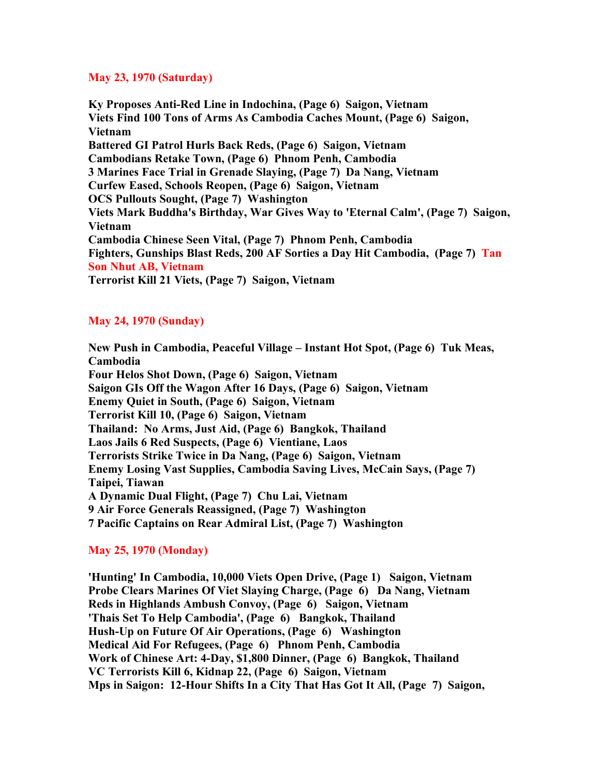### **May 23, 1970 (Saturday)**

**Ky Proposes Anti-Red Line in Indochina, (Page 6) Saigon, Vietnam Viets Find 100 Tons of Arms As Cambodia Caches Mount, (Page 6) Saigon, Vietnam Battered GI Patrol Hurls Back Reds, (Page 6) Saigon, Vietnam Cambodians Retake Town, (Page 6) Phnom Penh, Cambodia 3 Marines Face Trial in Grenade Slaying, (Page 7) Da Nang, Vietnam Curfew Eased, Schools Reopen, (Page 6) Saigon, Vietnam OCS Pullouts Sought, (Page 7) Washington Viets Mark Buddha's Birthday, War Gives Way to 'Eternal Calm', (Page 7) Saigon, Vietnam Cambodia Chinese Seen Vital, (Page 7) Phnom Penh, Cambodia Fighters, Gunships Blast Reds, 200 AF Sorties a Day Hit Cambodia, (Page 7) Tan Son Nhut AB, Vietnam Terrorist Kill 21 Viets, (Page 7) Saigon, Vietnam**

# **May 24, 1970 (Sunday)**

**New Push in Cambodia, Peaceful Village – Instant Hot Spot, (Page 6) Tuk Meas, Cambodia Four Helos Shot Down, (Page 6) Saigon, Vietnam Saigon GIs Off the Wagon After 16 Days, (Page 6) Saigon, Vietnam Enemy Quiet in South, (Page 6) Saigon, Vietnam Terrorist Kill 10, (Page 6) Saigon, Vietnam Thailand: No Arms, Just Aid, (Page 6) Bangkok, Thailand Laos Jails 6 Red Suspects, (Page 6) Vientiane, Laos Terrorists Strike Twice in Da Nang, (Page 6) Saigon, Vietnam Enemy Losing Vast Supplies, Cambodia Saving Lives, McCain Says, (Page 7) Taipei, Tiawan A Dynamic Dual Flight, (Page 7) Chu Lai, Vietnam 9 Air Force Generals Reassigned, (Page 7) Washington 7 Pacific Captains on Rear Admiral List, (Page 7) Washington**

## **May 25, 1970 (Monday)**

**'Hunting' In Cambodia, 10,000 Viets Open Drive, (Page 1) Saigon, Vietnam Probe Clears Marines Of Viet Slaying Charge, (Page 6) Da Nang, Vietnam Reds in Highlands Ambush Convoy, (Page 6) Saigon, Vietnam 'Thais Set To Help Cambodia', (Page 6) Bangkok, Thailand Hush-Up on Future Of Air Operations, (Page 6) Washington Medical Aid For Refugees, (Page 6) Phnom Penh, Cambodia Work of Chinese Art: 4-Day, \$1,800 Dinner, (Page 6) Bangkok, Thailand VC Terrorists Kill 6, Kidnap 22, (Page 6) Saigon, Vietnam Mps in Saigon: 12-Hour Shifts In a City That Has Got It All, (Page 7) Saigon,**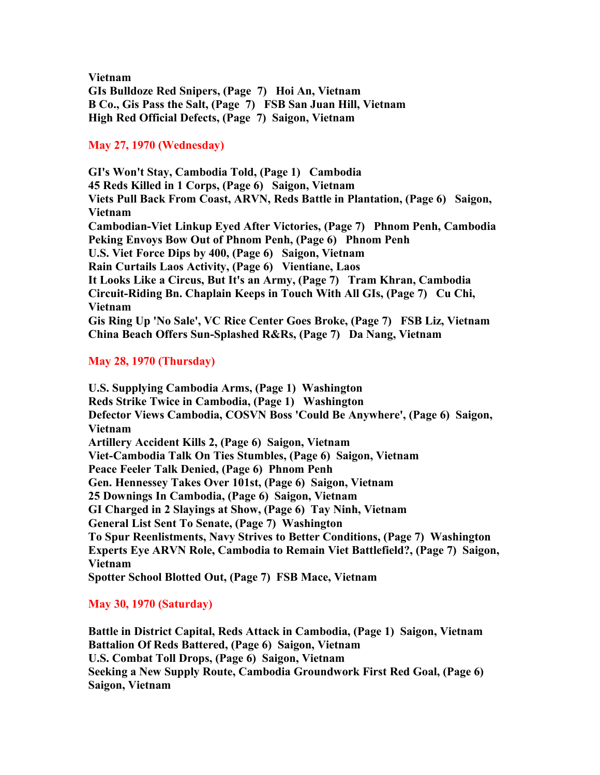**Vietnam GIs Bulldoze Red Snipers, (Page 7) Hoi An, Vietnam B Co., Gis Pass the Salt, (Page 7) FSB San Juan Hill, Vietnam High Red Official Defects, (Page 7) Saigon, Vietnam** 

## **May 27, 1970 (Wednesday)**

**GI's Won't Stay, Cambodia Told, (Page 1) Cambodia 45 Reds Killed in 1 Corps, (Page 6) Saigon, Vietnam Viets Pull Back From Coast, ARVN, Reds Battle in Plantation, (Page 6) Saigon, Vietnam Cambodian-Viet Linkup Eyed After Victories, (Page 7) Phnom Penh, Cambodia Peking Envoys Bow Out of Phnom Penh, (Page 6) Phnom Penh U.S. Viet Force Dips by 400, (Page 6) Saigon, Vietnam Rain Curtails Laos Activity, (Page 6) Vientiane, Laos It Looks Like a Circus, But It's an Army, (Page 7) Tram Khran, Cambodia Circuit-Riding Bn. Chaplain Keeps in Touch With All GIs, (Page 7) Cu Chi, Vietnam Gis Ring Up 'No Sale', VC Rice Center Goes Broke, (Page 7) FSB Liz, Vietnam China Beach Offers Sun-Splashed R&Rs, (Page 7) Da Nang, Vietnam**

# **May 28, 1970 (Thursday)**

**U.S. Supplying Cambodia Arms, (Page 1) Washington Reds Strike Twice in Cambodia, (Page 1) Washington Defector Views Cambodia, COSVN Boss 'Could Be Anywhere', (Page 6) Saigon, Vietnam Artillery Accident Kills 2, (Page 6) Saigon, Vietnam Viet-Cambodia Talk On Ties Stumbles, (Page 6) Saigon, Vietnam Peace Feeler Talk Denied, (Page 6) Phnom Penh Gen. Hennessey Takes Over 101st, (Page 6) Saigon, Vietnam 25 Downings In Cambodia, (Page 6) Saigon, Vietnam GI Charged in 2 Slayings at Show, (Page 6) Tay Ninh, Vietnam General List Sent To Senate, (Page 7) Washington To Spur Reenlistments, Navy Strives to Better Conditions, (Page 7) Washington Experts Eye ARVN Role, Cambodia to Remain Viet Battlefield?, (Page 7) Saigon, Vietnam Spotter School Blotted Out, (Page 7) FSB Mace, Vietnam** 

## **May 30, 1970 (Saturday)**

**Battle in District Capital, Reds Attack in Cambodia, (Page 1) Saigon, Vietnam Battalion Of Reds Battered, (Page 6) Saigon, Vietnam U.S. Combat Toll Drops, (Page 6) Saigon, Vietnam Seeking a New Supply Route, Cambodia Groundwork First Red Goal, (Page 6) Saigon, Vietnam**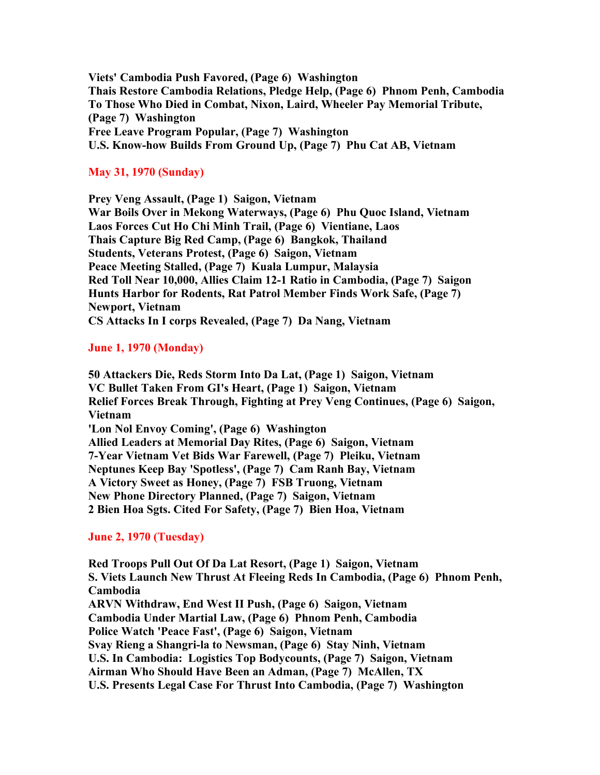**Viets' Cambodia Push Favored, (Page 6) Washington Thais Restore Cambodia Relations, Pledge Help, (Page 6) Phnom Penh, Cambodia To Those Who Died in Combat, Nixon, Laird, Wheeler Pay Memorial Tribute, (Page 7) Washington Free Leave Program Popular, (Page 7) Washington U.S. Know-how Builds From Ground Up, (Page 7) Phu Cat AB, Vietnam**

## **May 31, 1970 (Sunday)**

**Prey Veng Assault, (Page 1) Saigon, Vietnam War Boils Over in Mekong Waterways, (Page 6) Phu Quoc Island, Vietnam Laos Forces Cut Ho Chi Minh Trail, (Page 6) Vientiane, Laos Thais Capture Big Red Camp, (Page 6) Bangkok, Thailand Students, Veterans Protest, (Page 6) Saigon, Vietnam Peace Meeting Stalled, (Page 7) Kuala Lumpur, Malaysia Red Toll Near 10,000, Allies Claim 12-1 Ratio in Cambodia, (Page 7) Saigon Hunts Harbor for Rodents, Rat Patrol Member Finds Work Safe, (Page 7) Newport, Vietnam CS Attacks In I corps Revealed, (Page 7) Da Nang, Vietnam**

## **June 1, 1970 (Monday)**

**50 Attackers Die, Reds Storm Into Da Lat, (Page 1) Saigon, Vietnam VC Bullet Taken From GI's Heart, (Page 1) Saigon, Vietnam Relief Forces Break Through, Fighting at Prey Veng Continues, (Page 6) Saigon, Vietnam 'Lon Nol Envoy Coming', (Page 6) Washington Allied Leaders at Memorial Day Rites, (Page 6) Saigon, Vietnam 7-Year Vietnam Vet Bids War Farewell, (Page 7) Pleiku, Vietnam Neptunes Keep Bay 'Spotless', (Page 7) Cam Ranh Bay, Vietnam A Victory Sweet as Honey, (Page 7) FSB Truong, Vietnam New Phone Directory Planned, (Page 7) Saigon, Vietnam 2 Bien Hoa Sgts. Cited For Safety, (Page 7) Bien Hoa, Vietnam**

#### **June 2, 1970 (Tuesday)**

**Red Troops Pull Out Of Da Lat Resort, (Page 1) Saigon, Vietnam S. Viets Launch New Thrust At Fleeing Reds In Cambodia, (Page 6) Phnom Penh, Cambodia ARVN Withdraw, End West II Push, (Page 6) Saigon, Vietnam Cambodia Under Martial Law, (Page 6) Phnom Penh, Cambodia Police Watch 'Peace Fast', (Page 6) Saigon, Vietnam Svay Rieng a Shangri-la to Newsman, (Page 6) Stay Ninh, Vietnam U.S. In Cambodia: Logistics Top Bodycounts, (Page 7) Saigon, Vietnam Airman Who Should Have Been an Adman, (Page 7) McAllen, TX U.S. Presents Legal Case For Thrust Into Cambodia, (Page 7) Washington**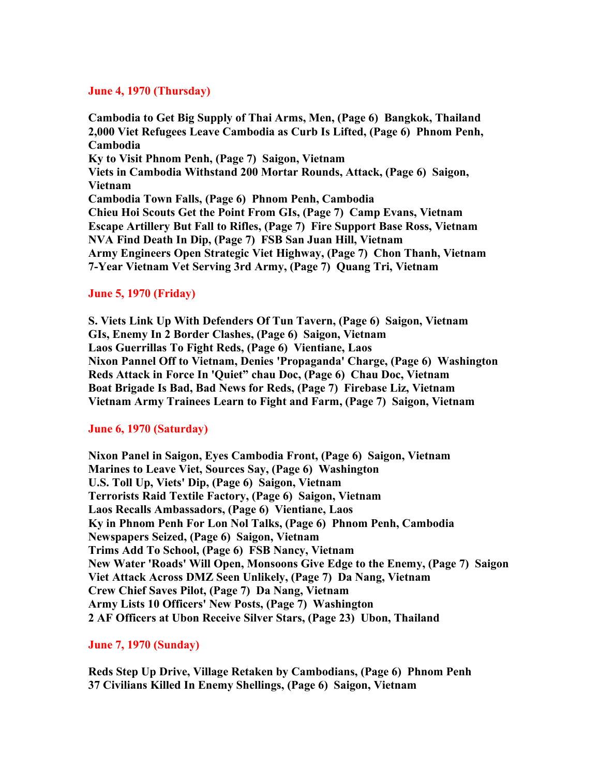### **June 4, 1970 (Thursday)**

**Cambodia to Get Big Supply of Thai Arms, Men, (Page 6) Bangkok, Thailand 2,000 Viet Refugees Leave Cambodia as Curb Is Lifted, (Page 6) Phnom Penh, Cambodia Ky to Visit Phnom Penh, (Page 7) Saigon, Vietnam Viets in Cambodia Withstand 200 Mortar Rounds, Attack, (Page 6) Saigon, Vietnam Cambodia Town Falls, (Page 6) Phnom Penh, Cambodia Chieu Hoi Scouts Get the Point From GIs, (Page 7) Camp Evans, Vietnam Escape Artillery But Fall to Rifles, (Page 7) Fire Support Base Ross, Vietnam NVA Find Death In Dip, (Page 7) FSB San Juan Hill, Vietnam Army Engineers Open Strategic Viet Highway, (Page 7) Chon Thanh, Vietnam 7-Year Vietnam Vet Serving 3rd Army, (Page 7) Quang Tri, Vietnam**

#### **June 5, 1970 (Friday)**

**S. Viets Link Up With Defenders Of Tun Tavern, (Page 6) Saigon, Vietnam GIs, Enemy In 2 Border Clashes, (Page 6) Saigon, Vietnam Laos Guerrillas To Fight Reds, (Page 6) Vientiane, Laos Nixon Pannel Off to Vietnam, Denies 'Propaganda' Charge, (Page 6) Washington Reds Attack in Force In 'Quiet" chau Doc, (Page 6) Chau Doc, Vietnam Boat Brigade Is Bad, Bad News for Reds, (Page 7) Firebase Liz, Vietnam Vietnam Army Trainees Learn to Fight and Farm, (Page 7) Saigon, Vietnam**

#### **June 6, 1970 (Saturday)**

**Nixon Panel in Saigon, Eyes Cambodia Front, (Page 6) Saigon, Vietnam Marines to Leave Viet, Sources Say, (Page 6) Washington U.S. Toll Up, Viets' Dip, (Page 6) Saigon, Vietnam Terrorists Raid Textile Factory, (Page 6) Saigon, Vietnam Laos Recalls Ambassadors, (Page 6) Vientiane, Laos Ky in Phnom Penh For Lon Nol Talks, (Page 6) Phnom Penh, Cambodia Newspapers Seized, (Page 6) Saigon, Vietnam Trims Add To School, (Page 6) FSB Nancy, Vietnam New Water 'Roads' Will Open, Monsoons Give Edge to the Enemy, (Page 7) Saigon Viet Attack Across DMZ Seen Unlikely, (Page 7) Da Nang, Vietnam Crew Chief Saves Pilot, (Page 7) Da Nang, Vietnam Army Lists 10 Officers' New Posts, (Page 7) Washington 2 AF Officers at Ubon Receive Silver Stars, (Page 23) Ubon, Thailand**

**June 7, 1970 (Sunday)**

**Reds Step Up Drive, Village Retaken by Cambodians, (Page 6) Phnom Penh 37 Civilians Killed In Enemy Shellings, (Page 6) Saigon, Vietnam**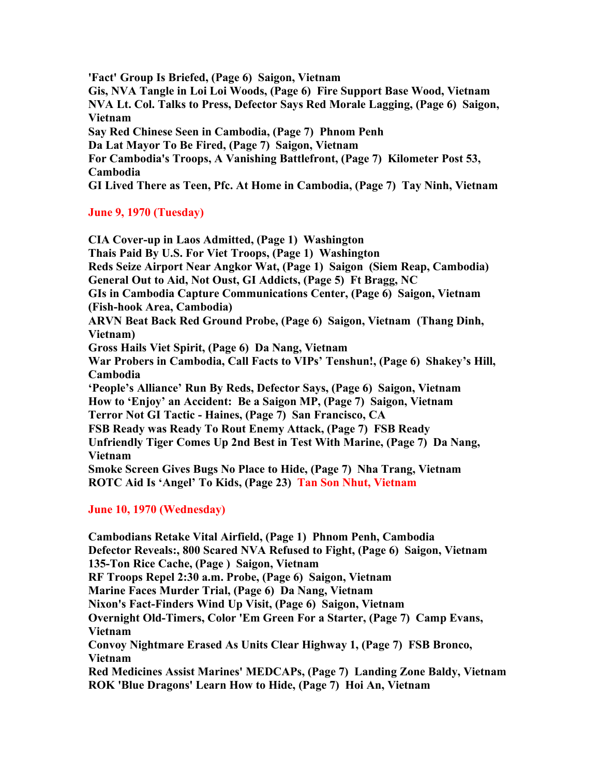**'Fact' Group Is Briefed, (Page 6) Saigon, Vietnam Gis, NVA Tangle in Loi Loi Woods, (Page 6) Fire Support Base Wood, Vietnam NVA Lt. Col. Talks to Press, Defector Says Red Morale Lagging, (Page 6) Saigon, Vietnam Say Red Chinese Seen in Cambodia, (Page 7) Phnom Penh Da Lat Mayor To Be Fired, (Page 7) Saigon, Vietnam For Cambodia's Troops, A Vanishing Battlefront, (Page 7) Kilometer Post 53, Cambodia GI Lived There as Teen, Pfc. At Home in Cambodia, (Page 7) Tay Ninh, Vietnam**

# **June 9, 1970 (Tuesday)**

**CIA Cover-up in Laos Admitted, (Page 1) Washington Thais Paid By U.S. For Viet Troops, (Page 1) Washington Reds Seize Airport Near Angkor Wat, (Page 1) Saigon (Siem Reap, Cambodia) General Out to Aid, Not Oust, GI Addicts, (Page 5) Ft Bragg, NC GIs in Cambodia Capture Communications Center, (Page 6) Saigon, Vietnam (Fish-hook Area, Cambodia) ARVN Beat Back Red Ground Probe, (Page 6) Saigon, Vietnam (Thang Dinh, Vietnam) Gross Hails Viet Spirit, (Page 6) Da Nang, Vietnam War Probers in Cambodia, Call Facts to VIPs' Tenshun!, (Page 6) Shakey's Hill, Cambodia 'People's Alliance' Run By Reds, Defector Says, (Page 6) Saigon, Vietnam How to 'Enjoy' an Accident: Be a Saigon MP, (Page 7) Saigon, Vietnam Terror Not GI Tactic - Haines, (Page 7) San Francisco, CA FSB Ready was Ready To Rout Enemy Attack, (Page 7) FSB Ready Unfriendly Tiger Comes Up 2nd Best in Test With Marine, (Page 7) Da Nang, Vietnam Smoke Screen Gives Bugs No Place to Hide, (Page 7) Nha Trang, Vietnam ROTC Aid Is 'Angel' To Kids, (Page 23) Tan Son Nhut, Vietnam**

# **June 10, 1970 (Wednesday)**

**Cambodians Retake Vital Airfield, (Page 1) Phnom Penh, Cambodia Defector Reveals:, 800 Scared NVA Refused to Fight, (Page 6) Saigon, Vietnam 135-Ton Rice Cache, (Page ) Saigon, Vietnam RF Troops Repel 2:30 a.m. Probe, (Page 6) Saigon, Vietnam Marine Faces Murder Trial, (Page 6) Da Nang, Vietnam Nixon's Fact-Finders Wind Up Visit, (Page 6) Saigon, Vietnam Overnight Old-Timers, Color 'Em Green For a Starter, (Page 7) Camp Evans, Vietnam Convoy Nightmare Erased As Units Clear Highway 1, (Page 7) FSB Bronco, Vietnam Red Medicines Assist Marines' MEDCAPs, (Page 7) Landing Zone Baldy, Vietnam ROK 'Blue Dragons' Learn How to Hide, (Page 7) Hoi An, Vietnam**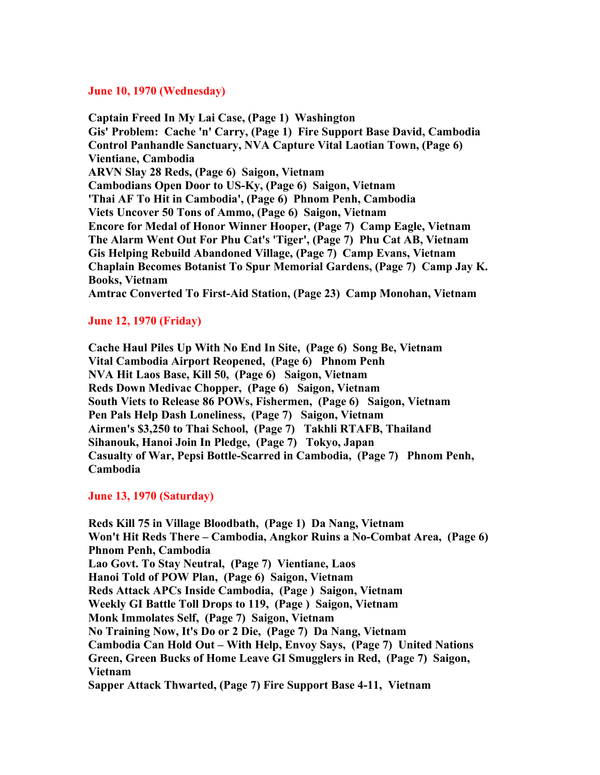#### **June 10, 1970 (Wednesday)**

**Captain Freed In My Lai Case, (Page 1) Washington Gis' Problem: Cache 'n' Carry, (Page 1) Fire Support Base David, Cambodia Control Panhandle Sanctuary, NVA Capture Vital Laotian Town, (Page 6) Vientiane, Cambodia ARVN Slay 28 Reds, (Page 6) Saigon, Vietnam Cambodians Open Door to US-Ky, (Page 6) Saigon, Vietnam 'Thai AF To Hit in Cambodia', (Page 6) Phnom Penh, Cambodia Viets Uncover 50 Tons of Ammo, (Page 6) Saigon, Vietnam Encore for Medal of Honor Winner Hooper, (Page 7) Camp Eagle, Vietnam The Alarm Went Out For Phu Cat's 'Tiger', (Page 7) Phu Cat AB, Vietnam Gis Helping Rebuild Abandoned Village, (Page 7) Camp Evans, Vietnam Chaplain Becomes Botanist To Spur Memorial Gardens, (Page 7) Camp Jay K. Books, Vietnam Amtrac Converted To First-Aid Station, (Page 23) Camp Monohan, Vietnam**

## **June 12, 1970 (Friday)**

**Cache Haul Piles Up With No End In Site, (Page 6) Song Be, Vietnam Vital Cambodia Airport Reopened, (Page 6) Phnom Penh NVA Hit Laos Base, Kill 50, (Page 6) Saigon, Vietnam Reds Down Medivac Chopper, (Page 6) Saigon, Vietnam South Viets to Release 86 POWs, Fishermen, (Page 6) Saigon, Vietnam Pen Pals Help Dash Loneliness, (Page 7) Saigon, Vietnam Airmen's \$3,250 to Thai School, (Page 7) Takhli RTAFB, Thailand Sihanouk, Hanoi Join In Pledge, (Page 7) Tokyo, Japan Casualty of War, Pepsi Bottle-Scarred in Cambodia, (Page 7) Phnom Penh, Cambodia**

## **June 13, 1970 (Saturday)**

**Reds Kill 75 in Village Bloodbath, (Page 1) Da Nang, Vietnam Won't Hit Reds There – Cambodia, Angkor Ruins a No-Combat Area, (Page 6) Phnom Penh, Cambodia Lao Govt. To Stay Neutral, (Page 7) Vientiane, Laos Hanoi Told of POW Plan, (Page 6) Saigon, Vietnam Reds Attack APCs Inside Cambodia, (Page ) Saigon, Vietnam Weekly GI Battle Toll Drops to 119, (Page ) Saigon, Vietnam Monk Immolates Self, (Page 7) Saigon, Vietnam No Training Now, It's Do or 2 Die, (Page 7) Da Nang, Vietnam Cambodia Can Hold Out – With Help, Envoy Says, (Page 7) United Nations Green, Green Bucks of Home Leave GI Smugglers in Red, (Page 7) Saigon, Vietnam Sapper Attack Thwarted, (Page 7) Fire Support Base 4-11, Vietnam**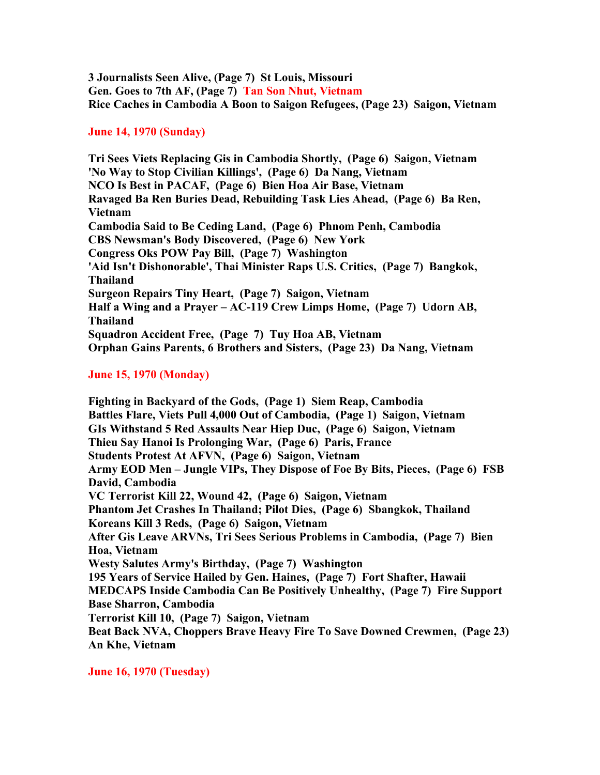**3 Journalists Seen Alive, (Page 7) St Louis, Missouri Gen. Goes to 7th AF, (Page 7) Tan Son Nhut, Vietnam Rice Caches in Cambodia A Boon to Saigon Refugees, (Page 23) Saigon, Vietnam**

# **June 14, 1970 (Sunday)**

**Tri Sees Viets Replacing Gis in Cambodia Shortly, (Page 6) Saigon, Vietnam 'No Way to Stop Civilian Killings', (Page 6) Da Nang, Vietnam NCO Is Best in PACAF, (Page 6) Bien Hoa Air Base, Vietnam Ravaged Ba Ren Buries Dead, Rebuilding Task Lies Ahead, (Page 6) Ba Ren, Vietnam Cambodia Said to Be Ceding Land, (Page 6) Phnom Penh, Cambodia CBS Newsman's Body Discovered, (Page 6) New York Congress Oks POW Pay Bill, (Page 7) Washington 'Aid Isn't Dishonorable', Thai Minister Raps U.S. Critics, (Page 7) Bangkok, Thailand Surgeon Repairs Tiny Heart, (Page 7) Saigon, Vietnam Half a Wing and a Prayer – AC-119 Crew Limps Home, (Page 7) Udorn AB, Thailand Squadron Accident Free, (Page 7) Tuy Hoa AB, Vietnam Orphan Gains Parents, 6 Brothers and Sisters, (Page 23) Da Nang, Vietnam**

# **June 15, 1970 (Monday)**

**Fighting in Backyard of the Gods, (Page 1) Siem Reap, Cambodia Battles Flare, Viets Pull 4,000 Out of Cambodia, (Page 1) Saigon, Vietnam GIs Withstand 5 Red Assaults Near Hiep Duc, (Page 6) Saigon, Vietnam Thieu Say Hanoi Is Prolonging War, (Page 6) Paris, France Students Protest At AFVN, (Page 6) Saigon, Vietnam Army EOD Men – Jungle VIPs, They Dispose of Foe By Bits, Pieces, (Page 6) FSB David, Cambodia VC Terrorist Kill 22, Wound 42, (Page 6) Saigon, Vietnam Phantom Jet Crashes In Thailand; Pilot Dies, (Page 6) Sbangkok, Thailand Koreans Kill 3 Reds, (Page 6) Saigon, Vietnam After Gis Leave ARVNs, Tri Sees Serious Problems in Cambodia, (Page 7) Bien Hoa, Vietnam Westy Salutes Army's Birthday, (Page 7) Washington 195 Years of Service Hailed by Gen. Haines, (Page 7) Fort Shafter, Hawaii MEDCAPS Inside Cambodia Can Be Positively Unhealthy, (Page 7) Fire Support Base Sharron, Cambodia Terrorist Kill 10, (Page 7) Saigon, Vietnam Beat Back NVA, Choppers Brave Heavy Fire To Save Downed Crewmen, (Page 23) An Khe, Vietnam**

**June 16, 1970 (Tuesday)**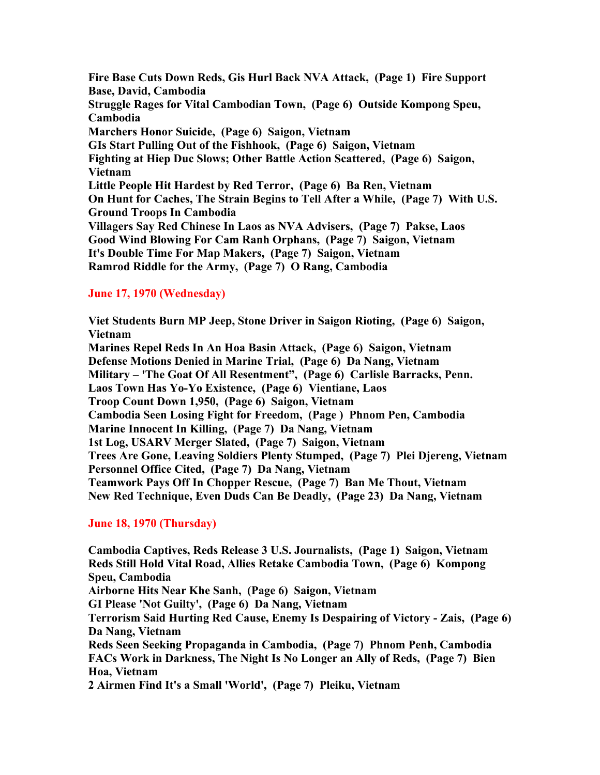**Fire Base Cuts Down Reds, Gis Hurl Back NVA Attack, (Page 1) Fire Support Base, David, Cambodia Struggle Rages for Vital Cambodian Town, (Page 6) Outside Kompong Speu, Cambodia Marchers Honor Suicide, (Page 6) Saigon, Vietnam GIs Start Pulling Out of the Fishhook, (Page 6) Saigon, Vietnam Fighting at Hiep Duc Slows; Other Battle Action Scattered, (Page 6) Saigon, Vietnam Little People Hit Hardest by Red Terror, (Page 6) Ba Ren, Vietnam On Hunt for Caches, The Strain Begins to Tell After a While, (Page 7) With U.S. Ground Troops In Cambodia Villagers Say Red Chinese In Laos as NVA Advisers, (Page 7) Pakse, Laos Good Wind Blowing For Cam Ranh Orphans, (Page 7) Saigon, Vietnam It's Double Time For Map Makers, (Page 7) Saigon, Vietnam Ramrod Riddle for the Army, (Page 7) O Rang, Cambodia**

## **June 17, 1970 (Wednesday)**

**Viet Students Burn MP Jeep, Stone Driver in Saigon Rioting, (Page 6) Saigon, Vietnam Marines Repel Reds In An Hoa Basin Attack, (Page 6) Saigon, Vietnam Defense Motions Denied in Marine Trial, (Page 6) Da Nang, Vietnam Military – 'The Goat Of All Resentment", (Page 6) Carlisle Barracks, Penn. Laos Town Has Yo-Yo Existence, (Page 6) Vientiane, Laos Troop Count Down 1,950, (Page 6) Saigon, Vietnam Cambodia Seen Losing Fight for Freedom, (Page ) Phnom Pen, Cambodia Marine Innocent In Killing, (Page 7) Da Nang, Vietnam 1st Log, USARV Merger Slated, (Page 7) Saigon, Vietnam Trees Are Gone, Leaving Soldiers Plenty Stumped, (Page 7) Plei Djereng, Vietnam Personnel Office Cited, (Page 7) Da Nang, Vietnam Teamwork Pays Off In Chopper Rescue, (Page 7) Ban Me Thout, Vietnam New Red Technique, Even Duds Can Be Deadly, (Page 23) Da Nang, Vietnam**

## **June 18, 1970 (Thursday)**

**Cambodia Captives, Reds Release 3 U.S. Journalists, (Page 1) Saigon, Vietnam Reds Still Hold Vital Road, Allies Retake Cambodia Town, (Page 6) Kompong Speu, Cambodia Airborne Hits Near Khe Sanh, (Page 6) Saigon, Vietnam GI Please 'Not Guilty', (Page 6) Da Nang, Vietnam Terrorism Said Hurting Red Cause, Enemy Is Despairing of Victory - Zais, (Page 6) Da Nang, Vietnam Reds Seen Seeking Propaganda in Cambodia, (Page 7) Phnom Penh, Cambodia FACs Work in Darkness, The Night Is No Longer an Ally of Reds, (Page 7) Bien Hoa, Vietnam 2 Airmen Find It's a Small 'World', (Page 7) Pleiku, Vietnam**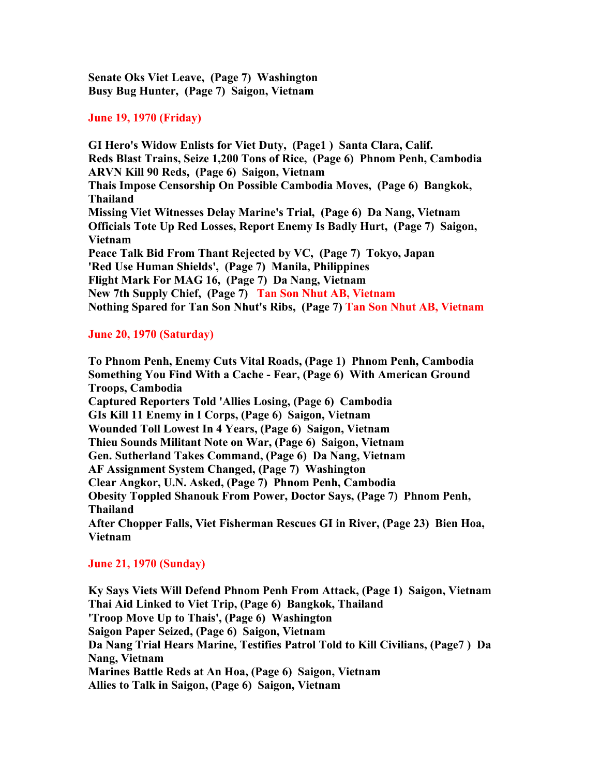**Senate Oks Viet Leave, (Page 7) Washington Busy Bug Hunter, (Page 7) Saigon, Vietnam**

### **June 19, 1970 (Friday)**

**GI Hero's Widow Enlists for Viet Duty, (Page1 ) Santa Clara, Calif. Reds Blast Trains, Seize 1,200 Tons of Rice, (Page 6) Phnom Penh, Cambodia ARVN Kill 90 Reds, (Page 6) Saigon, Vietnam Thais Impose Censorship On Possible Cambodia Moves, (Page 6) Bangkok, Thailand Missing Viet Witnesses Delay Marine's Trial, (Page 6) Da Nang, Vietnam Officials Tote Up Red Losses, Report Enemy Is Badly Hurt, (Page 7) Saigon, Vietnam Peace Talk Bid From Thant Rejected by VC, (Page 7) Tokyo, Japan 'Red Use Human Shields', (Page 7) Manila, Philippines Flight Mark For MAG 16, (Page 7) Da Nang, Vietnam New 7th Supply Chief, (Page 7) Tan Son Nhut AB, Vietnam Nothing Spared for Tan Son Nhut's Ribs, (Page 7) Tan Son Nhut AB, Vietnam** 

## **June 20, 1970 (Saturday)**

**To Phnom Penh, Enemy Cuts Vital Roads, (Page 1) Phnom Penh, Cambodia Something You Find With a Cache - Fear, (Page 6) With American Ground Troops, Cambodia Captured Reporters Told 'Allies Losing, (Page 6) Cambodia GIs Kill 11 Enemy in I Corps, (Page 6) Saigon, Vietnam Wounded Toll Lowest In 4 Years, (Page 6) Saigon, Vietnam Thieu Sounds Militant Note on War, (Page 6) Saigon, Vietnam Gen. Sutherland Takes Command, (Page 6) Da Nang, Vietnam AF Assignment System Changed, (Page 7) Washington Clear Angkor, U.N. Asked, (Page 7) Phnom Penh, Cambodia Obesity Toppled Shanouk From Power, Doctor Says, (Page 7) Phnom Penh, Thailand After Chopper Falls, Viet Fisherman Rescues GI in River, (Page 23) Bien Hoa, Vietnam**

## **June 21, 1970 (Sunday)**

**Ky Says Viets Will Defend Phnom Penh From Attack, (Page 1) Saigon, Vietnam Thai Aid Linked to Viet Trip, (Page 6) Bangkok, Thailand 'Troop Move Up to Thais', (Page 6) Washington Saigon Paper Seized, (Page 6) Saigon, Vietnam Da Nang Trial Hears Marine, Testifies Patrol Told to Kill Civilians, (Page7 ) Da Nang, Vietnam Marines Battle Reds at An Hoa, (Page 6) Saigon, Vietnam Allies to Talk in Saigon, (Page 6) Saigon, Vietnam**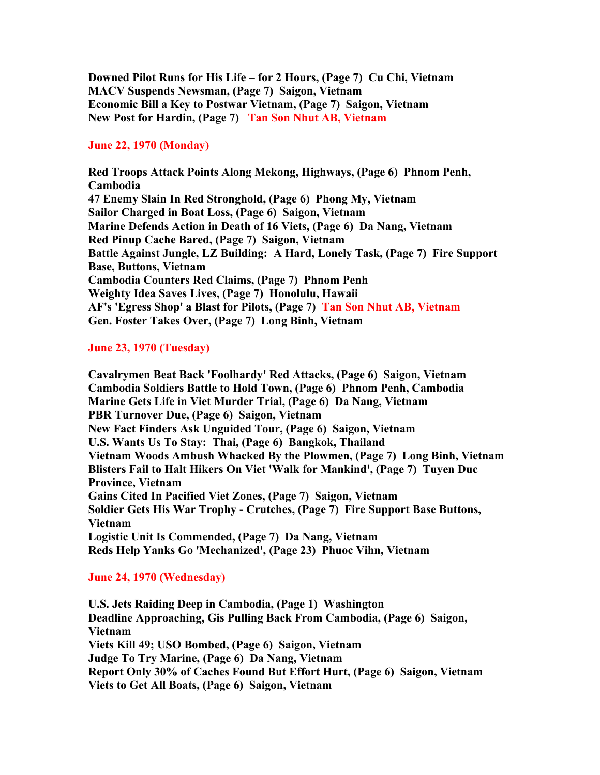**Downed Pilot Runs for His Life – for 2 Hours, (Page 7) Cu Chi, Vietnam MACV Suspends Newsman, (Page 7) Saigon, Vietnam Economic Bill a Key to Postwar Vietnam, (Page 7) Saigon, Vietnam New Post for Hardin, (Page 7) Tan Son Nhut AB, Vietnam**

## **June 22, 1970 (Monday)**

**Red Troops Attack Points Along Mekong, Highways, (Page 6) Phnom Penh, Cambodia 47 Enemy Slain In Red Stronghold, (Page 6) Phong My, Vietnam Sailor Charged in Boat Loss, (Page 6) Saigon, Vietnam Marine Defends Action in Death of 16 Viets, (Page 6) Da Nang, Vietnam Red Pinup Cache Bared, (Page 7) Saigon, Vietnam Battle Against Jungle, LZ Building: A Hard, Lonely Task, (Page 7) Fire Support Base, Buttons, Vietnam Cambodia Counters Red Claims, (Page 7) Phnom Penh Weighty Idea Saves Lives, (Page 7) Honolulu, Hawaii AF's 'Egress Shop' a Blast for Pilots, (Page 7) Tan Son Nhut AB, Vietnam Gen. Foster Takes Over, (Page 7) Long Binh, Vietnam**

# **June 23, 1970 (Tuesday)**

**Cavalrymen Beat Back 'Foolhardy' Red Attacks, (Page 6) Saigon, Vietnam Cambodia Soldiers Battle to Hold Town, (Page 6) Phnom Penh, Cambodia Marine Gets Life in Viet Murder Trial, (Page 6) Da Nang, Vietnam PBR Turnover Due, (Page 6) Saigon, Vietnam New Fact Finders Ask Unguided Tour, (Page 6) Saigon, Vietnam U.S. Wants Us To Stay: Thai, (Page 6) Bangkok, Thailand Vietnam Woods Ambush Whacked By the Plowmen, (Page 7) Long Binh, Vietnam Blisters Fail to Halt Hikers On Viet 'Walk for Mankind', (Page 7) Tuyen Duc Province, Vietnam Gains Cited In Pacified Viet Zones, (Page 7) Saigon, Vietnam Soldier Gets His War Trophy - Crutches, (Page 7) Fire Support Base Buttons, Vietnam Logistic Unit Is Commended, (Page 7) Da Nang, Vietnam Reds Help Yanks Go 'Mechanized', (Page 23) Phuoc Vihn, Vietnam**

## **June 24, 1970 (Wednesday)**

**U.S. Jets Raiding Deep in Cambodia, (Page 1) Washington Deadline Approaching, Gis Pulling Back From Cambodia, (Page 6) Saigon, Vietnam Viets Kill 49; USO Bombed, (Page 6) Saigon, Vietnam Judge To Try Marine, (Page 6) Da Nang, Vietnam Report Only 30% of Caches Found But Effort Hurt, (Page 6) Saigon, Vietnam Viets to Get All Boats, (Page 6) Saigon, Vietnam**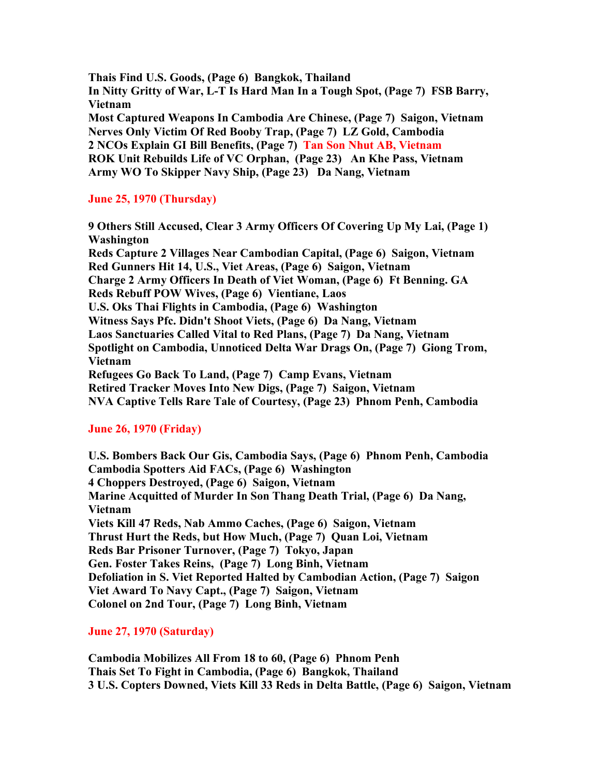**Thais Find U.S. Goods, (Page 6) Bangkok, Thailand In Nitty Gritty of War, L-T Is Hard Man In a Tough Spot, (Page 7) FSB Barry, Vietnam Most Captured Weapons In Cambodia Are Chinese, (Page 7) Saigon, Vietnam Nerves Only Victim Of Red Booby Trap, (Page 7) LZ Gold, Cambodia 2 NCOs Explain GI Bill Benefits, (Page 7) Tan Son Nhut AB, Vietnam ROK Unit Rebuilds Life of VC Orphan, (Page 23) An Khe Pass, Vietnam Army WO To Skipper Navy Ship, (Page 23) Da Nang, Vietnam**

# **June 25, 1970 (Thursday)**

**9 Others Still Accused, Clear 3 Army Officers Of Covering Up My Lai, (Page 1) Washington Reds Capture 2 Villages Near Cambodian Capital, (Page 6) Saigon, Vietnam Red Gunners Hit 14, U.S., Viet Areas, (Page 6) Saigon, Vietnam Charge 2 Army Officers In Death of Viet Woman, (Page 6) Ft Benning. GA Reds Rebuff POW Wives, (Page 6) Vientiane, Laos U.S. Oks Thai Flights in Cambodia, (Page 6) Washington Witness Says Pfc. Didn't Shoot Viets, (Page 6) Da Nang, Vietnam Laos Sanctuaries Called Vital to Red Plans, (Page 7) Da Nang, Vietnam Spotlight on Cambodia, Unnoticed Delta War Drags On, (Page 7) Giong Trom, Vietnam Refugees Go Back To Land, (Page 7) Camp Evans, Vietnam Retired Tracker Moves Into New Digs, (Page 7) Saigon, Vietnam NVA Captive Tells Rare Tale of Courtesy, (Page 23) Phnom Penh, Cambodia**

# **June 26, 1970 (Friday)**

**U.S. Bombers Back Our Gis, Cambodia Says, (Page 6) Phnom Penh, Cambodia Cambodia Spotters Aid FACs, (Page 6) Washington 4 Choppers Destroyed, (Page 6) Saigon, Vietnam Marine Acquitted of Murder In Son Thang Death Trial, (Page 6) Da Nang, Vietnam Viets Kill 47 Reds, Nab Ammo Caches, (Page 6) Saigon, Vietnam Thrust Hurt the Reds, but How Much, (Page 7) Quan Loi, Vietnam Reds Bar Prisoner Turnover, (Page 7) Tokyo, Japan Gen. Foster Takes Reins, (Page 7) Long Binh, Vietnam Defoliation in S. Viet Reported Halted by Cambodian Action, (Page 7) Saigon Viet Award To Navy Capt., (Page 7) Saigon, Vietnam Colonel on 2nd Tour, (Page 7) Long Binh, Vietnam**

# **June 27, 1970 (Saturday)**

**Cambodia Mobilizes All From 18 to 60, (Page 6) Phnom Penh Thais Set To Fight in Cambodia, (Page 6) Bangkok, Thailand 3 U.S. Copters Downed, Viets Kill 33 Reds in Delta Battle, (Page 6) Saigon, Vietnam**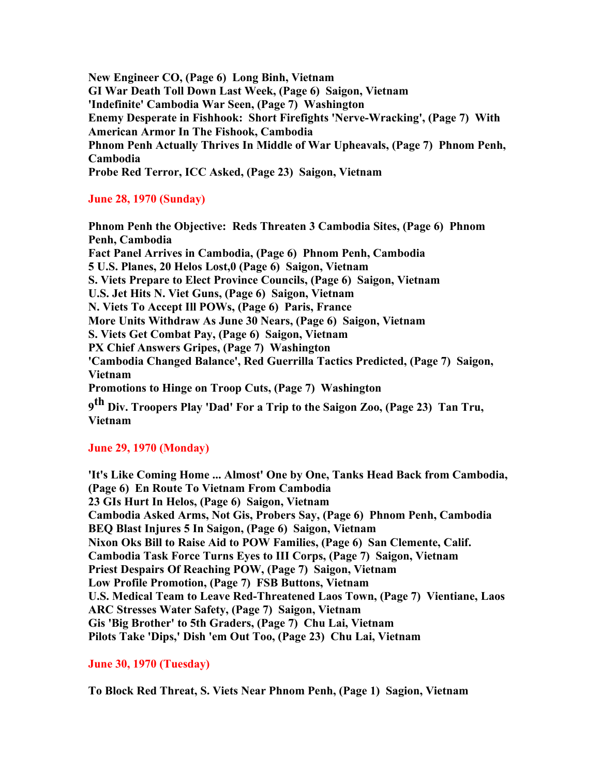**New Engineer CO, (Page 6) Long Binh, Vietnam GI War Death Toll Down Last Week, (Page 6) Saigon, Vietnam 'Indefinite' Cambodia War Seen, (Page 7) Washington Enemy Desperate in Fishhook: Short Firefights 'Nerve-Wracking', (Page 7) With American Armor In The Fishook, Cambodia Phnom Penh Actually Thrives In Middle of War Upheavals, (Page 7) Phnom Penh, Cambodia Probe Red Terror, ICC Asked, (Page 23) Saigon, Vietnam**

## **June 28, 1970 (Sunday)**

**Phnom Penh the Objective: Reds Threaten 3 Cambodia Sites, (Page 6) Phnom Penh, Cambodia Fact Panel Arrives in Cambodia, (Page 6) Phnom Penh, Cambodia 5 U.S. Planes, 20 Helos Lost,0 (Page 6) Saigon, Vietnam S. Viets Prepare to Elect Province Councils, (Page 6) Saigon, Vietnam U.S. Jet Hits N. Viet Guns, (Page 6) Saigon, Vietnam N. Viets To Accept Ill POWs, (Page 6) Paris, France More Units Withdraw As June 30 Nears, (Page 6) Saigon, Vietnam S. Viets Get Combat Pay, (Page 6) Saigon, Vietnam PX Chief Answers Gripes, (Page 7) Washington 'Cambodia Changed Balance', Red Guerrilla Tactics Predicted, (Page 7) Saigon, Vietnam Promotions to Hinge on Troop Cuts, (Page 7) Washington 9 th Div. Troopers Play 'Dad' For a Trip to the Saigon Zoo, (Page 23) Tan Tru, Vietnam**

## **June 29, 1970 (Monday)**

**'It's Like Coming Home ... Almost' One by One, Tanks Head Back from Cambodia, (Page 6) En Route To Vietnam From Cambodia 23 GIs Hurt In Helos, (Page 6) Saigon, Vietnam Cambodia Asked Arms, Not Gis, Probers Say, (Page 6) Phnom Penh, Cambodia BEQ Blast Injures 5 In Saigon, (Page 6) Saigon, Vietnam Nixon Oks Bill to Raise Aid to POW Families, (Page 6) San Clemente, Calif. Cambodia Task Force Turns Eyes to III Corps, (Page 7) Saigon, Vietnam Priest Despairs Of Reaching POW, (Page 7) Saigon, Vietnam Low Profile Promotion, (Page 7) FSB Buttons, Vietnam U.S. Medical Team to Leave Red-Threatened Laos Town, (Page 7) Vientiane, Laos ARC Stresses Water Safety, (Page 7) Saigon, Vietnam Gis 'Big Brother' to 5th Graders, (Page 7) Chu Lai, Vietnam Pilots Take 'Dips,' Dish 'em Out Too, (Page 23) Chu Lai, Vietnam**

## **June 30, 1970 (Tuesday)**

**To Block Red Threat, S. Viets Near Phnom Penh, (Page 1) Sagion, Vietnam**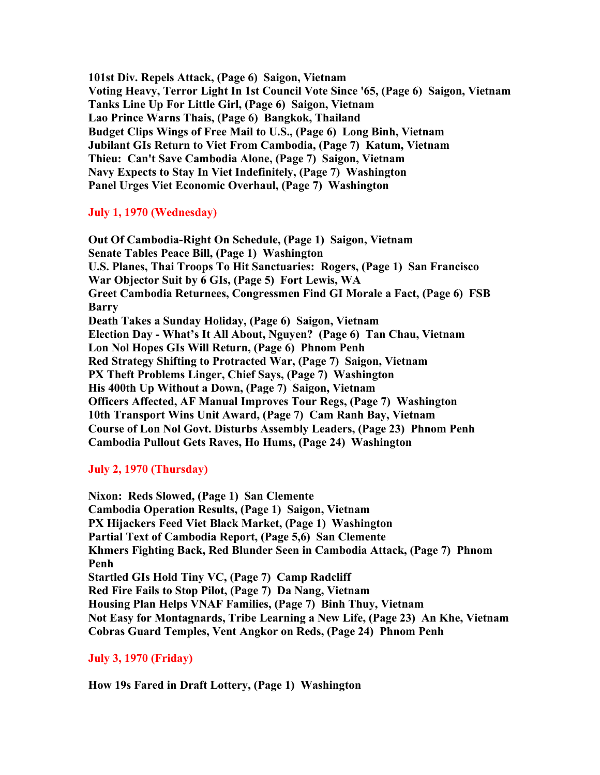**101st Div. Repels Attack, (Page 6) Saigon, Vietnam Voting Heavy, Terror Light In 1st Council Vote Since '65, (Page 6) Saigon, Vietnam Tanks Line Up For Little Girl, (Page 6) Saigon, Vietnam Lao Prince Warns Thais, (Page 6) Bangkok, Thailand Budget Clips Wings of Free Mail to U.S., (Page 6) Long Binh, Vietnam Jubilant GIs Return to Viet From Cambodia, (Page 7) Katum, Vietnam Thieu: Can't Save Cambodia Alone, (Page 7) Saigon, Vietnam Navy Expects to Stay In Viet Indefinitely, (Page 7) Washington Panel Urges Viet Economic Overhaul, (Page 7) Washington**

## **July 1, 1970 (Wednesday)**

**Out Of Cambodia-Right On Schedule, (Page 1) Saigon, Vietnam Senate Tables Peace Bill, (Page 1) Washington U.S. Planes, Thai Troops To Hit Sanctuaries: Rogers, (Page 1) San Francisco War Objector Suit by 6 GIs, (Page 5) Fort Lewis, WA Greet Cambodia Returnees, Congressmen Find GI Morale a Fact, (Page 6) FSB Barry Death Takes a Sunday Holiday, (Page 6) Saigon, Vietnam Election Day - What's It All About, Nguyen? (Page 6) Tan Chau, Vietnam Lon Nol Hopes GIs Will Return, (Page 6) Phnom Penh Red Strategy Shifting to Protracted War, (Page 7) Saigon, Vietnam PX Theft Problems Linger, Chief Says, (Page 7) Washington His 400th Up Without a Down, (Page 7) Saigon, Vietnam Officers Affected, AF Manual Improves Tour Regs, (Page 7) Washington 10th Transport Wins Unit Award, (Page 7) Cam Ranh Bay, Vietnam Course of Lon Nol Govt. Disturbs Assembly Leaders, (Page 23) Phnom Penh Cambodia Pullout Gets Raves, Ho Hums, (Page 24) Washington**

# **July 2, 1970 (Thursday)**

**Nixon: Reds Slowed, (Page 1) San Clemente Cambodia Operation Results, (Page 1) Saigon, Vietnam PX Hijackers Feed Viet Black Market, (Page 1) Washington Partial Text of Cambodia Report, (Page 5,6) San Clemente Khmers Fighting Back, Red Blunder Seen in Cambodia Attack, (Page 7) Phnom Penh Startled GIs Hold Tiny VC, (Page 7) Camp Radcliff Red Fire Fails to Stop Pilot, (Page 7) Da Nang, Vietnam Housing Plan Helps VNAF Families, (Page 7) Binh Thuy, Vietnam Not Easy for Montagnards, Tribe Learning a New Life, (Page 23) An Khe, Vietnam Cobras Guard Temples, Vent Angkor on Reds, (Page 24) Phnom Penh**

## **July 3, 1970 (Friday)**

**How 19s Fared in Draft Lottery, (Page 1) Washington**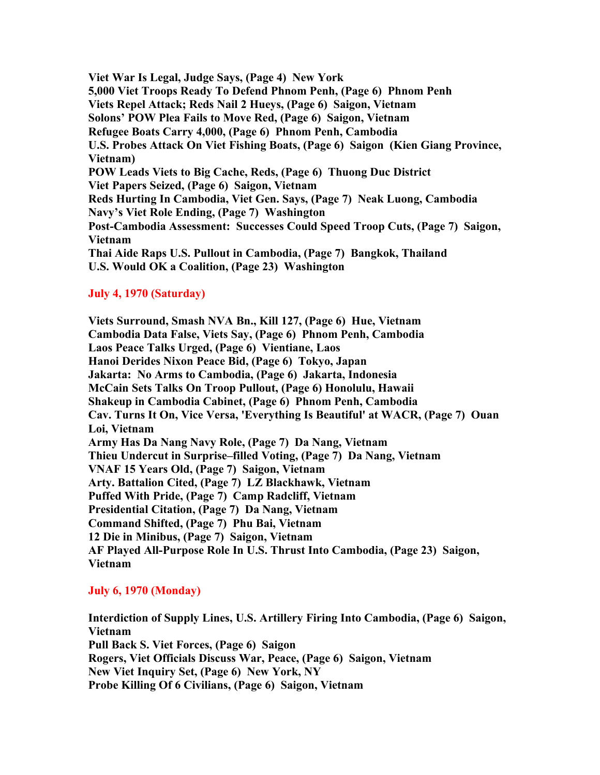**Viet War Is Legal, Judge Says, (Page 4) New York 5,000 Viet Troops Ready To Defend Phnom Penh, (Page 6) Phnom Penh Viets Repel Attack; Reds Nail 2 Hueys, (Page 6) Saigon, Vietnam Solons' POW Plea Fails to Move Red, (Page 6) Saigon, Vietnam Refugee Boats Carry 4,000, (Page 6) Phnom Penh, Cambodia U.S. Probes Attack On Viet Fishing Boats, (Page 6) Saigon (Kien Giang Province, Vietnam) POW Leads Viets to Big Cache, Reds, (Page 6) Thuong Duc District Viet Papers Seized, (Page 6) Saigon, Vietnam Reds Hurting In Cambodia, Viet Gen. Says, (Page 7) Neak Luong, Cambodia Navy's Viet Role Ending, (Page 7) Washington Post-Cambodia Assessment: Successes Could Speed Troop Cuts, (Page 7) Saigon, Vietnam Thai Aide Raps U.S. Pullout in Cambodia, (Page 7) Bangkok, Thailand U.S. Would OK a Coalition, (Page 23) Washington**

### **July 4, 1970 (Saturday)**

**Viets Surround, Smash NVA Bn., Kill 127, (Page 6) Hue, Vietnam Cambodia Data False, Viets Say, (Page 6) Phnom Penh, Cambodia Laos Peace Talks Urged, (Page 6) Vientiane, Laos Hanoi Derides Nixon Peace Bid, (Page 6) Tokyo, Japan Jakarta: No Arms to Cambodia, (Page 6) Jakarta, Indonesia McCain Sets Talks On Troop Pullout, (Page 6) Honolulu, Hawaii Shakeup in Cambodia Cabinet, (Page 6) Phnom Penh, Cambodia Cav. Turns It On, Vice Versa, 'Everything Is Beautiful' at WACR, (Page 7) Ouan Loi, Vietnam Army Has Da Nang Navy Role, (Page 7) Da Nang, Vietnam Thieu Undercut in Surprise–filled Voting, (Page 7) Da Nang, Vietnam VNAF 15 Years Old, (Page 7) Saigon, Vietnam Arty. Battalion Cited, (Page 7) LZ Blackhawk, Vietnam Puffed With Pride, (Page 7) Camp Radcliff, Vietnam Presidential Citation, (Page 7) Da Nang, Vietnam Command Shifted, (Page 7) Phu Bai, Vietnam 12 Die in Minibus, (Page 7) Saigon, Vietnam AF Played All-Purpose Role In U.S. Thrust Into Cambodia, (Page 23) Saigon, Vietnam**

## **July 6, 1970 (Monday)**

**Interdiction of Supply Lines, U.S. Artillery Firing Into Cambodia, (Page 6) Saigon, Vietnam Pull Back S. Viet Forces, (Page 6) Saigon Rogers, Viet Officials Discuss War, Peace, (Page 6) Saigon, Vietnam New Viet Inquiry Set, (Page 6) New York, NY Probe Killing Of 6 Civilians, (Page 6) Saigon, Vietnam**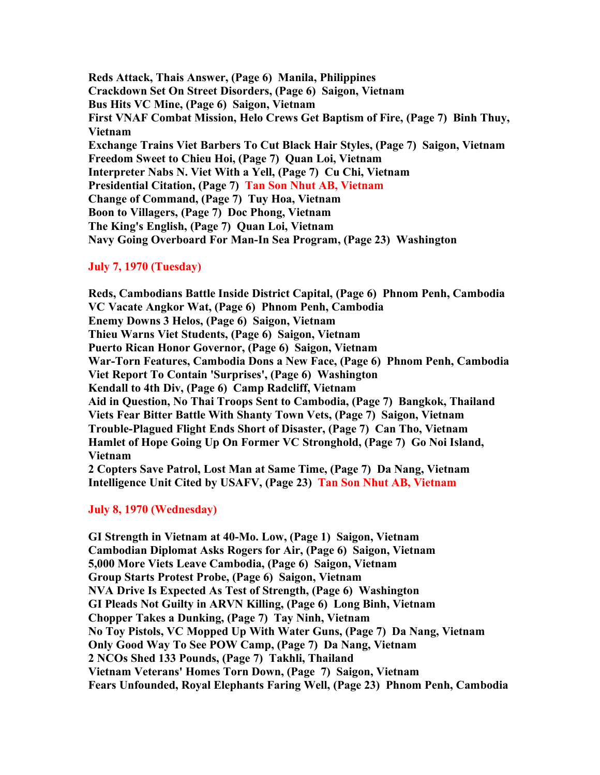**Reds Attack, Thais Answer, (Page 6) Manila, Philippines Crackdown Set On Street Disorders, (Page 6) Saigon, Vietnam Bus Hits VC Mine, (Page 6) Saigon, Vietnam First VNAF Combat Mission, Helo Crews Get Baptism of Fire, (Page 7) Binh Thuy, Vietnam Exchange Trains Viet Barbers To Cut Black Hair Styles, (Page 7) Saigon, Vietnam Freedom Sweet to Chieu Hoi, (Page 7) Quan Loi, Vietnam Interpreter Nabs N. Viet With a Yell, (Page 7) Cu Chi, Vietnam Presidential Citation, (Page 7) Tan Son Nhut AB, Vietnam Change of Command, (Page 7) Tuy Hoa, Vietnam Boon to Villagers, (Page 7) Doc Phong, Vietnam The King's English, (Page 7) Quan Loi, Vietnam Navy Going Overboard For Man-In Sea Program, (Page 23) Washington**

## **July 7, 1970 (Tuesday)**

**Reds, Cambodians Battle Inside District Capital, (Page 6) Phnom Penh, Cambodia VC Vacate Angkor Wat, (Page 6) Phnom Penh, Cambodia Enemy Downs 3 Helos, (Page 6) Saigon, Vietnam Thieu Warns Viet Students, (Page 6) Saigon, Vietnam Puerto Rican Honor Governor, (Page 6) Saigon, Vietnam War-Torn Features, Cambodia Dons a New Face, (Page 6) Phnom Penh, Cambodia Viet Report To Contain 'Surprises', (Page 6) Washington Kendall to 4th Div, (Page 6) Camp Radcliff, Vietnam Aid in Question, No Thai Troops Sent to Cambodia, (Page 7) Bangkok, Thailand Viets Fear Bitter Battle With Shanty Town Vets, (Page 7) Saigon, Vietnam Trouble-Plagued Flight Ends Short of Disaster, (Page 7) Can Tho, Vietnam Hamlet of Hope Going Up On Former VC Stronghold, (Page 7) Go Noi Island, Vietnam 2 Copters Save Patrol, Lost Man at Same Time, (Page 7) Da Nang, Vietnam**

**Intelligence Unit Cited by USAFV, (Page 23) Tan Son Nhut AB, Vietnam**

## **July 8, 1970 (Wednesday)**

**GI Strength in Vietnam at 40-Mo. Low, (Page 1) Saigon, Vietnam Cambodian Diplomat Asks Rogers for Air, (Page 6) Saigon, Vietnam 5,000 More Viets Leave Cambodia, (Page 6) Saigon, Vietnam Group Starts Protest Probe, (Page 6) Saigon, Vietnam NVA Drive Is Expected As Test of Strength, (Page 6) Washington GI Pleads Not Guilty in ARVN Killing, (Page 6) Long Binh, Vietnam Chopper Takes a Dunking, (Page 7) Tay Ninh, Vietnam No Toy Pistols, VC Mopped Up With Water Guns, (Page 7) Da Nang, Vietnam Only Good Way To See POW Camp, (Page 7) Da Nang, Vietnam 2 NCOs Shed 133 Pounds, (Page 7) Takhli, Thailand Vietnam Veterans' Homes Torn Down, (Page 7) Saigon, Vietnam Fears Unfounded, Royal Elephants Faring Well, (Page 23) Phnom Penh, Cambodia**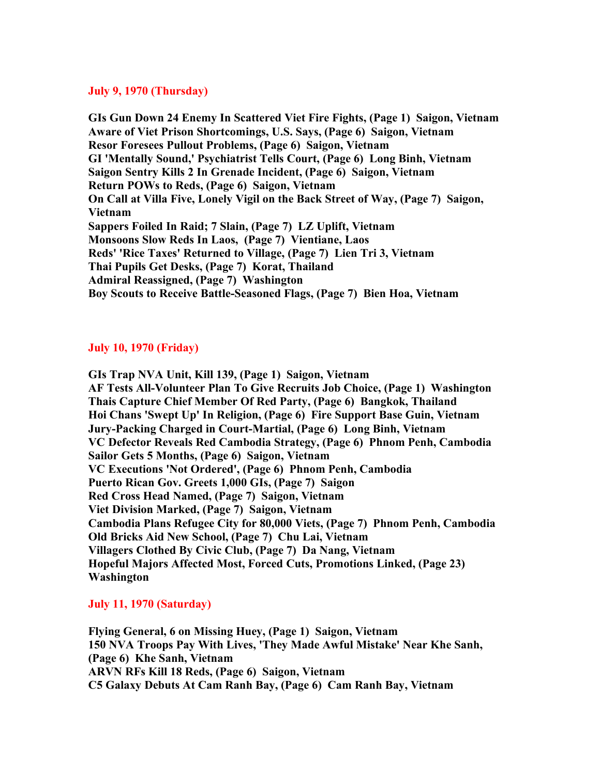### **July 9, 1970 (Thursday)**

**GIs Gun Down 24 Enemy In Scattered Viet Fire Fights, (Page 1) Saigon, Vietnam Aware of Viet Prison Shortcomings, U.S. Says, (Page 6) Saigon, Vietnam Resor Foresees Pullout Problems, (Page 6) Saigon, Vietnam GI 'Mentally Sound,' Psychiatrist Tells Court, (Page 6) Long Binh, Vietnam Saigon Sentry Kills 2 In Grenade Incident, (Page 6) Saigon, Vietnam Return POWs to Reds, (Page 6) Saigon, Vietnam On Call at Villa Five, Lonely Vigil on the Back Street of Way, (Page 7) Saigon, Vietnam Sappers Foiled In Raid; 7 Slain, (Page 7) LZ Uplift, Vietnam Monsoons Slow Reds In Laos, (Page 7) Vientiane, Laos Reds' 'Rice Taxes' Returned to Village, (Page 7) Lien Tri 3, Vietnam Thai Pupils Get Desks, (Page 7) Korat, Thailand Admiral Reassigned, (Page 7) Washington Boy Scouts to Receive Battle-Seasoned Flags, (Page 7) Bien Hoa, Vietnam**

### **July 10, 1970 (Friday)**

**GIs Trap NVA Unit, Kill 139, (Page 1) Saigon, Vietnam AF Tests All-Volunteer Plan To Give Recruits Job Choice, (Page 1) Washington Thais Capture Chief Member Of Red Party, (Page 6) Bangkok, Thailand Hoi Chans 'Swept Up' In Religion, (Page 6) Fire Support Base Guin, Vietnam Jury-Packing Charged in Court-Martial, (Page 6) Long Binh, Vietnam VC Defector Reveals Red Cambodia Strategy, (Page 6) Phnom Penh, Cambodia Sailor Gets 5 Months, (Page 6) Saigon, Vietnam VC Executions 'Not Ordered', (Page 6) Phnom Penh, Cambodia Puerto Rican Gov. Greets 1,000 GIs, (Page 7) Saigon Red Cross Head Named, (Page 7) Saigon, Vietnam Viet Division Marked, (Page 7) Saigon, Vietnam Cambodia Plans Refugee City for 80,000 Viets, (Page 7) Phnom Penh, Cambodia Old Bricks Aid New School, (Page 7) Chu Lai, Vietnam Villagers Clothed By Civic Club, (Page 7) Da Nang, Vietnam Hopeful Majors Affected Most, Forced Cuts, Promotions Linked, (Page 23) Washington**

### **July 11, 1970 (Saturday)**

**Flying General, 6 on Missing Huey, (Page 1) Saigon, Vietnam 150 NVA Troops Pay With Lives, 'They Made Awful Mistake' Near Khe Sanh, (Page 6) Khe Sanh, Vietnam ARVN RFs Kill 18 Reds, (Page 6) Saigon, Vietnam C5 Galaxy Debuts At Cam Ranh Bay, (Page 6) Cam Ranh Bay, Vietnam**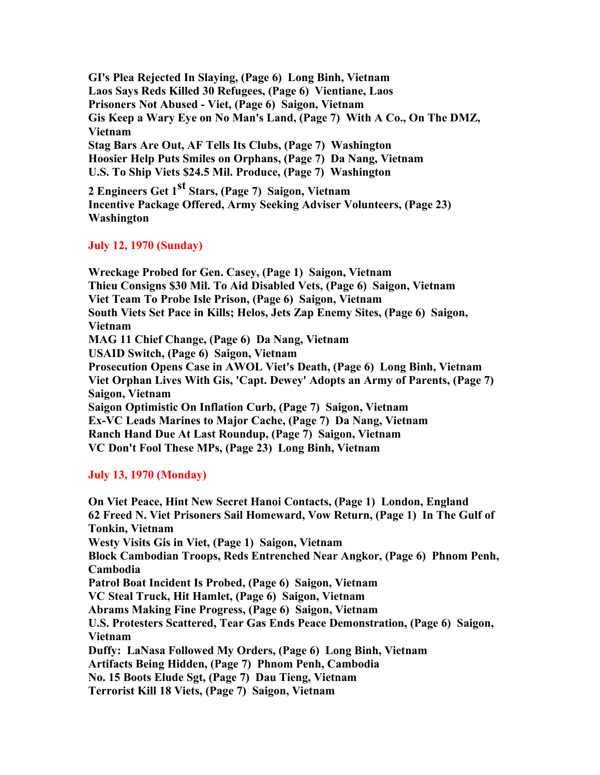**GI's Plea Rejected In Slaying, (Page 6) Long Binh, Vietnam Laos Says Reds Killed 30 Refugees, (Page 6) Vientiane, Laos Prisoners Not Abused - Viet, (Page 6) Saigon, Vietnam Gis Keep a Wary Eye on No Man's Land, (Page 7) With A Co., On The DMZ, Vietnam Stag Bars Are Out, AF Tells Its Clubs, (Page 7) Washington Hoosier Help Puts Smiles on Orphans, (Page 7) Da Nang, Vietnam U.S. To Ship Viets \$24.5 Mil. Produce, (Page 7) Washington**

**2 Engineers Get 1st Stars, (Page 7) Saigon, Vietnam Incentive Package Offered, Army Seeking Adviser Volunteers, (Page 23) Washington**

# **July 12, 1970 (Sunday)**

**Wreckage Probed for Gen. Casey, (Page 1) Saigon, Vietnam Thieu Consigns \$30 Mil. To Aid Disabled Vets, (Page 6) Saigon, Vietnam Viet Team To Probe Isle Prison, (Page 6) Saigon, Vietnam South Viets Set Pace in Kills; Helos, Jets Zap Enemy Sites, (Page 6) Saigon, Vietnam MAG 11 Chief Change, (Page 6) Da Nang, Vietnam USAID Switch, (Page 6) Saigon, Vietnam Prosecution Opens Case in AWOL Viet's Death, (Page 6) Long Binh, Vietnam Viet Orphan Lives With Gis, 'Capt. Dewey' Adopts an Army of Parents, (Page 7) Saigon, Vietnam Saigon Optimistic On Inflation Curb, (Page 7) Saigon, Vietnam Ex-VC Leads Marines to Major Cache, (Page 7) Da Nang, Vietnam Ranch Hand Due At Last Roundup, (Page 7) Saigon, Vietnam VC Don't Fool These MPs, (Page 23) Long Binh, Vietnam**

# **July 13, 1970 (Monday)**

**On Viet Peace, Hint New Secret Hanoi Contacts, (Page 1) London, England 62 Freed N. Viet Prisoners Sail Homeward, Vow Return, (Page 1) In The Gulf of Tonkin, Vietnam Westy Visits Gis in Viet, (Page 1) Saigon, Vietnam Block Cambodian Troops, Reds Entrenched Near Angkor, (Page 6) Phnom Penh, Cambodia Patrol Boat Incident Is Probed, (Page 6) Saigon, Vietnam VC Steal Truck, Hit Hamlet, (Page 6) Saigon, Vietnam Abrams Making Fine Progress, (Page 6) Saigon, Vietnam U.S. Protesters Scattered, Tear Gas Ends Peace Demonstration, (Page 6) Saigon, Vietnam Duffy: LaNasa Followed My Orders, (Page 6) Long Binh, Vietnam Artifacts Being Hidden, (Page 7) Phnom Penh, Cambodia No. 15 Boots Elude Sgt, (Page 7) Dau Tieng, Vietnam Terrorist Kill 18 Viets, (Page 7) Saigon, Vietnam**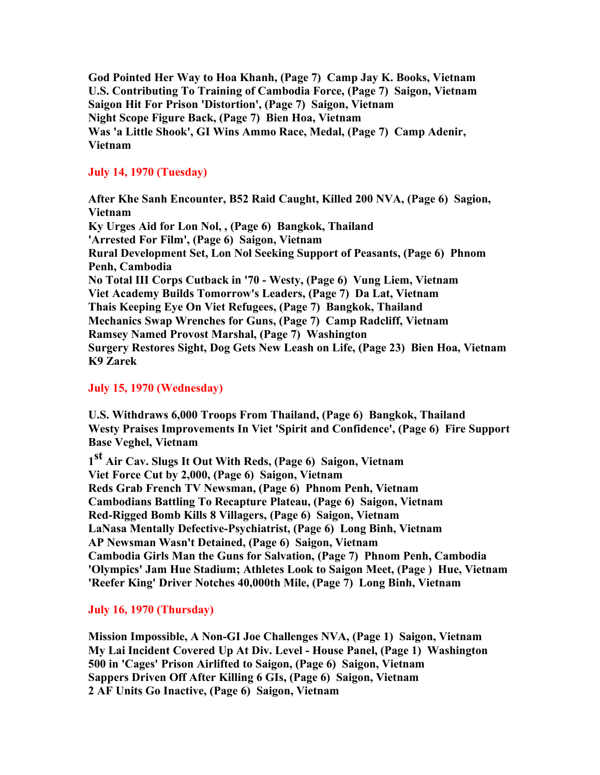**God Pointed Her Way to Hoa Khanh, (Page 7) Camp Jay K. Books, Vietnam U.S. Contributing To Training of Cambodia Force, (Page 7) Saigon, Vietnam Saigon Hit For Prison 'Distortion', (Page 7) Saigon, Vietnam Night Scope Figure Back, (Page 7) Bien Hoa, Vietnam Was 'a Little Shook', GI Wins Ammo Race, Medal, (Page 7) Camp Adenir, Vietnam**

## **July 14, 1970 (Tuesday)**

**After Khe Sanh Encounter, B52 Raid Caught, Killed 200 NVA, (Page 6) Sagion, Vietnam Ky Urges Aid for Lon Nol, , (Page 6) Bangkok, Thailand 'Arrested For Film', (Page 6) Saigon, Vietnam Rural Development Set, Lon Nol Seeking Support of Peasants, (Page 6) Phnom Penh, Cambodia No Total III Corps Cutback in '70 - Westy, (Page 6) Vung Liem, Vietnam Viet Academy Builds Tomorrow's Leaders, (Page 7) Da Lat, Vietnam Thais Keeping Eye On Viet Refugees, (Page 7) Bangkok, Thailand Mechanics Swap Wrenches for Guns, (Page 7) Camp Radcliff, Vietnam Ramsey Named Provost Marshal, (Page 7) Washington Surgery Restores Sight, Dog Gets New Leash on Life, (Page 23) Bien Hoa, Vietnam K9 Zarek**

## **July 15, 1970 (Wednesday)**

**U.S. Withdraws 6,000 Troops From Thailand, (Page 6) Bangkok, Thailand Westy Praises Improvements In Viet 'Spirit and Confidence', (Page 6) Fire Support Base Veghel, Vietnam**

**1 st Air Cav. Slugs It Out With Reds, (Page 6) Saigon, Vietnam Viet Force Cut by 2,000, (Page 6) Saigon, Vietnam Reds Grab French TV Newsman, (Page 6) Phnom Penh, Vietnam Cambodians Battling To Recapture Plateau, (Page 6) Saigon, Vietnam Red-Rigged Bomb Kills 8 Villagers, (Page 6) Saigon, Vietnam LaNasa Mentally Defective-Psychiatrist, (Page 6) Long Binh, Vietnam AP Newsman Wasn't Detained, (Page 6) Saigon, Vietnam Cambodia Girls Man the Guns for Salvation, (Page 7) Phnom Penh, Cambodia 'Olympics' Jam Hue Stadium; Athletes Look to Saigon Meet, (Page ) Hue, Vietnam 'Reefer King' Driver Notches 40,000th Mile, (Page 7) Long Binh, Vietnam**

# **July 16, 1970 (Thursday)**

**Mission Impossible, A Non-GI Joe Challenges NVA, (Page 1) Saigon, Vietnam My Lai Incident Covered Up At Div. Level - House Panel, (Page 1) Washington 500 in 'Cages' Prison Airlifted to Saigon, (Page 6) Saigon, Vietnam Sappers Driven Off After Killing 6 GIs, (Page 6) Saigon, Vietnam 2 AF Units Go Inactive, (Page 6) Saigon, Vietnam**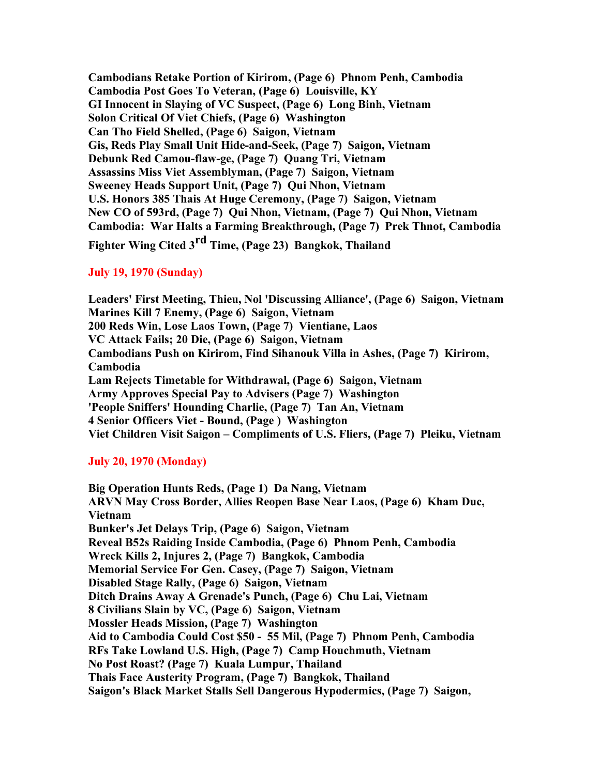**Cambodians Retake Portion of Kirirom, (Page 6) Phnom Penh, Cambodia Cambodia Post Goes To Veteran, (Page 6) Louisville, KY GI Innocent in Slaying of VC Suspect, (Page 6) Long Binh, Vietnam Solon Critical Of Viet Chiefs, (Page 6) Washington Can Tho Field Shelled, (Page 6) Saigon, Vietnam Gis, Reds Play Small Unit Hide-and-Seek, (Page 7) Saigon, Vietnam Debunk Red Camou-flaw-ge, (Page 7) Quang Tri, Vietnam Assassins Miss Viet Assemblyman, (Page 7) Saigon, Vietnam Sweeney Heads Support Unit, (Page 7) Qui Nhon, Vietnam U.S. Honors 385 Thais At Huge Ceremony, (Page 7) Saigon, Vietnam New CO of 593rd, (Page 7) Qui Nhon, Vietnam, (Page 7) Qui Nhon, Vietnam Cambodia: War Halts a Farming Breakthrough, (Page 7) Prek Thnot, Cambodia**

**Fighter Wing Cited 3rd Time, (Page 23) Bangkok, Thailand**

# **July 19, 1970 (Sunday)**

**Leaders' First Meeting, Thieu, Nol 'Discussing Alliance', (Page 6) Saigon, Vietnam Marines Kill 7 Enemy, (Page 6) Saigon, Vietnam 200 Reds Win, Lose Laos Town, (Page 7) Vientiane, Laos VC Attack Fails; 20 Die, (Page 6) Saigon, Vietnam Cambodians Push on Kirirom, Find Sihanouk Villa in Ashes, (Page 7) Kirirom, Cambodia Lam Rejects Timetable for Withdrawal, (Page 6) Saigon, Vietnam Army Approves Special Pay to Advisers (Page 7) Washington 'People Sniffers' Hounding Charlie, (Page 7) Tan An, Vietnam 4 Senior Officers Viet - Bound, (Page ) Washington Viet Children Visit Saigon – Compliments of U.S. Fliers, (Page 7) Pleiku, Vietnam**

# **July 20, 1970 (Monday)**

**Big Operation Hunts Reds, (Page 1) Da Nang, Vietnam ARVN May Cross Border, Allies Reopen Base Near Laos, (Page 6) Kham Duc, Vietnam Bunker's Jet Delays Trip, (Page 6) Saigon, Vietnam Reveal B52s Raiding Inside Cambodia, (Page 6) Phnom Penh, Cambodia Wreck Kills 2, Injures 2, (Page 7) Bangkok, Cambodia Memorial Service For Gen. Casey, (Page 7) Saigon, Vietnam Disabled Stage Rally, (Page 6) Saigon, Vietnam Ditch Drains Away A Grenade's Punch, (Page 6) Chu Lai, Vietnam 8 Civilians Slain by VC, (Page 6) Saigon, Vietnam Mossler Heads Mission, (Page 7) Washington Aid to Cambodia Could Cost \$50 - 55 Mil, (Page 7) Phnom Penh, Cambodia RFs Take Lowland U.S. High, (Page 7) Camp Houchmuth, Vietnam No Post Roast? (Page 7) Kuala Lumpur, Thailand Thais Face Austerity Program, (Page 7) Bangkok, Thailand Saigon's Black Market Stalls Sell Dangerous Hypodermics, (Page 7) Saigon,**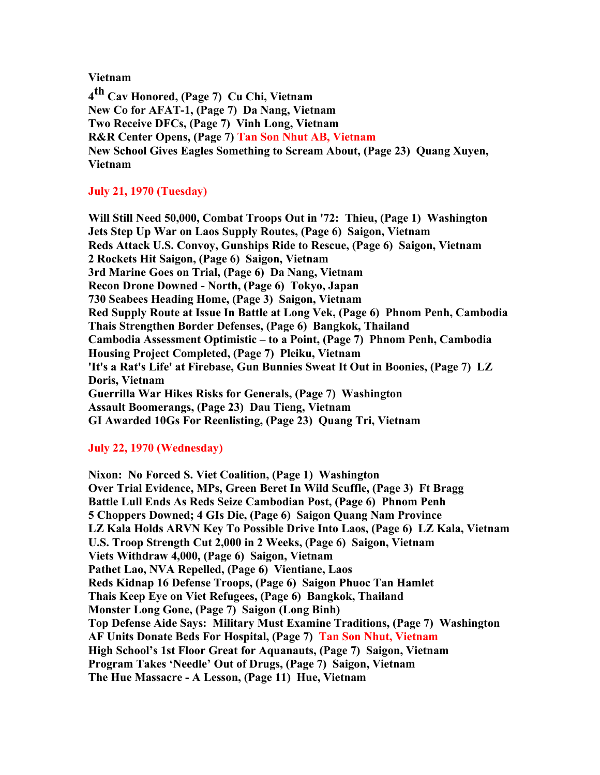**Vietnam**

**4 th Cav Honored, (Page 7) Cu Chi, Vietnam New Co for AFAT-1, (Page 7) Da Nang, Vietnam Two Receive DFCs, (Page 7) Vinh Long, Vietnam R&R Center Opens, (Page 7) Tan Son Nhut AB, Vietnam New School Gives Eagles Something to Scream About, (Page 23) Quang Xuyen, Vietnam**

# **July 21, 1970 (Tuesday)**

**Will Still Need 50,000, Combat Troops Out in '72: Thieu, (Page 1) Washington Jets Step Up War on Laos Supply Routes, (Page 6) Saigon, Vietnam Reds Attack U.S. Convoy, Gunships Ride to Rescue, (Page 6) Saigon, Vietnam 2 Rockets Hit Saigon, (Page 6) Saigon, Vietnam 3rd Marine Goes on Trial, (Page 6) Da Nang, Vietnam Recon Drone Downed - North, (Page 6) Tokyo, Japan 730 Seabees Heading Home, (Page 3) Saigon, Vietnam Red Supply Route at Issue In Battle at Long Vek, (Page 6) Phnom Penh, Cambodia Thais Strengthen Border Defenses, (Page 6) Bangkok, Thailand Cambodia Assessment Optimistic – to a Point, (Page 7) Phnom Penh, Cambodia Housing Project Completed, (Page 7) Pleiku, Vietnam 'It's a Rat's Life' at Firebase, Gun Bunnies Sweat It Out in Boonies, (Page 7) LZ Doris, Vietnam Guerrilla War Hikes Risks for Generals, (Page 7) Washington Assault Boomerangs, (Page 23) Dau Tieng, Vietnam GI Awarded 10Gs For Reenlisting, (Page 23) Quang Tri, Vietnam**

## **July 22, 1970 (Wednesday)**

**Nixon: No Forced S. Viet Coalition, (Page 1) Washington Over Trial Evidence, MPs, Green Beret In Wild Scuffle, (Page 3) Ft Bragg Battle Lull Ends As Reds Seize Cambodian Post, (Page 6) Phnom Penh 5 Choppers Downed; 4 GIs Die, (Page 6) Saigon Quang Nam Province LZ Kala Holds ARVN Key To Possible Drive Into Laos, (Page 6) LZ Kala, Vietnam U.S. Troop Strength Cut 2,000 in 2 Weeks, (Page 6) Saigon, Vietnam Viets Withdraw 4,000, (Page 6) Saigon, Vietnam Pathet Lao, NVA Repelled, (Page 6) Vientiane, Laos Reds Kidnap 16 Defense Troops, (Page 6) Saigon Phuoc Tan Hamlet Thais Keep Eye on Viet Refugees, (Page 6) Bangkok, Thailand Monster Long Gone, (Page 7) Saigon (Long Binh) Top Defense Aide Says: Military Must Examine Traditions, (Page 7) Washington AF Units Donate Beds For Hospital, (Page 7) Tan Son Nhut, Vietnam High School's 1st Floor Great for Aquanauts, (Page 7) Saigon, Vietnam Program Takes 'Needle' Out of Drugs, (Page 7) Saigon, Vietnam The Hue Massacre - A Lesson, (Page 11) Hue, Vietnam**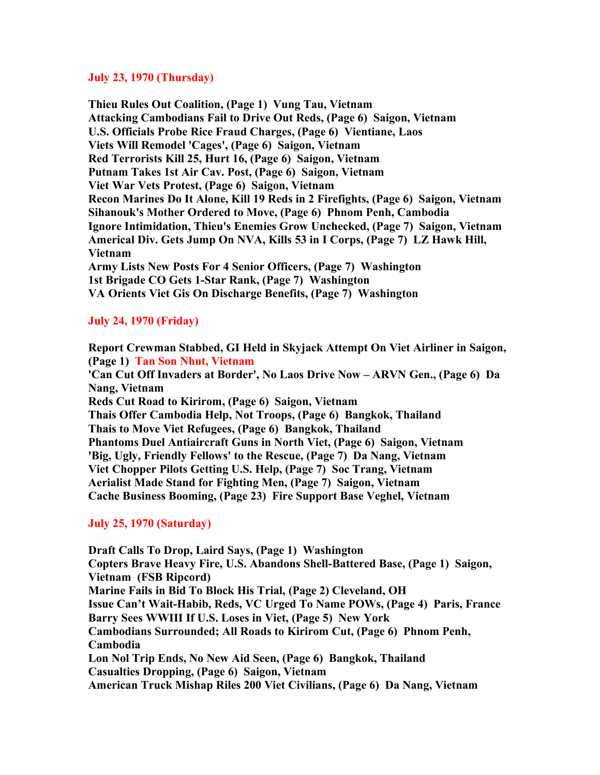### **July 23, 1970 (Thursday)**

**Thieu Rules Out Coalition, (Page 1) Vung Tau, Vietnam Attacking Cambodians Fail to Drive Out Reds, (Page 6) Saigon, Vietnam U.S. Officials Probe Rice Fraud Charges, (Page 6) Vientiane, Laos Viets Will Remodel 'Cages', (Page 6) Saigon, Vietnam Red Terrorists Kill 25, Hurt 16, (Page 6) Saigon, Vietnam Putnam Takes 1st Air Cav. Post, (Page 6) Saigon, Vietnam Viet War Vets Protest, (Page 6) Saigon, Vietnam Recon Marines Do It Alone, Kill 19 Reds in 2 Firefights, (Page 6) Saigon, Vietnam Sihanouk's Mother Ordered to Move, (Page 6) Phnom Penh, Cambodia Ignore Intimidation, Thieu's Enemies Grow Unchecked, (Page 7) Saigon, Vietnam Americal Div. Gets Jump On NVA, Kills 53 in I Corps, (Page 7) LZ Hawk Hill, Vietnam Army Lists New Posts For 4 Senior Officers, (Page 7) Washington 1st Brigade CO Gets 1-Star Rank, (Page 7) Washington VA Orients Viet Gis On Discharge Benefits, (Page 7) Washington**

# **July 24, 1970 (Friday)**

**Report Crewman Stabbed, GI Held in Skyjack Attempt On Viet Airliner in Saigon, (Page 1) Tan Son Nhut, Vietnam 'Can Cut Off Invaders at Border', No Laos Drive Now – ARVN Gen., (Page 6) Da Nang, Vietnam Reds Cut Road to Kirirom, (Page 6) Saigon, Vietnam Thais Offer Cambodia Help, Not Troops, (Page 6) Bangkok, Thailand Thais to Move Viet Refugees, (Page 6) Bangkok, Thailand Phantoms Duel Antiaircraft Guns in North Viet, (Page 6) Saigon, Vietnam 'Big, Ugly, Friendly Fellows' to the Rescue, (Page 7) Da Nang, Vietnam Viet Chopper Pilots Getting U.S. Help, (Page 7) Soc Trang, Vietnam Aerialist Made Stand for Fighting Men, (Page 7) Saigon, Vietnam Cache Business Booming, (Page 23) Fire Support Base Veghel, Vietnam**

## **July 25, 1970 (Saturday)**

**Draft Calls To Drop, Laird Says, (Page 1) Washington Copters Brave Heavy Fire, U.S. Abandons Shell-Battered Base, (Page 1) Saigon, Vietnam (FSB Ripcord) Marine Fails in Bid To Block His Trial, (Page 2) Cleveland, OH Issue Can't Wait-Habib, Reds, VC Urged To Name POWs, (Page 4) Paris, France Barry Sees WWIII If U.S. Loses in Viet, (Page 5) New York Cambodians Surrounded; All Roads to Kirirom Cut, (Page 6) Phnom Penh, Cambodia Lon Nol Trip Ends, No New Aid Seen, (Page 6) Bangkok, Thailand Casualties Dropping, (Page 6) Saigon, Vietnam American Truck Mishap Riles 200 Viet Civilians, (Page 6) Da Nang, Vietnam**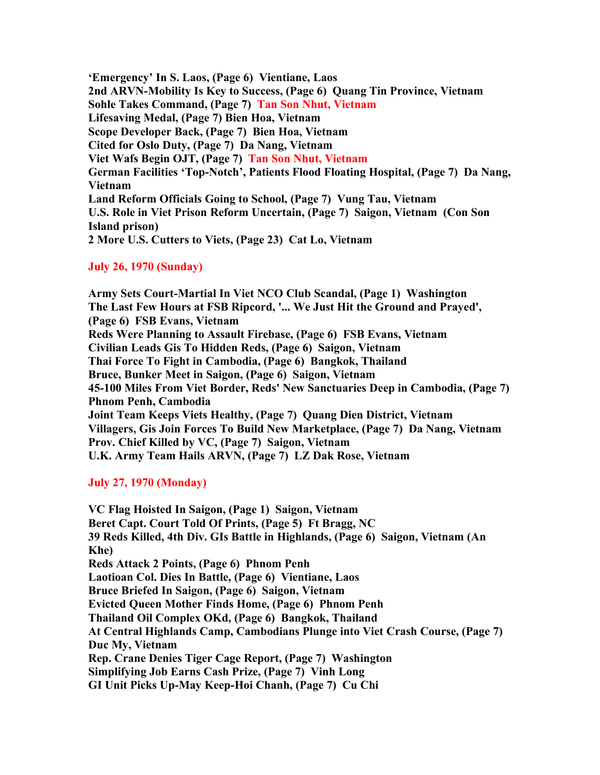**'Emergency' In S. Laos, (Page 6) Vientiane, Laos 2nd ARVN-Mobility Is Key to Success, (Page 6) Quang Tin Province, Vietnam Sohle Takes Command, (Page 7) Tan Son Nhut, Vietnam Lifesaving Medal, (Page 7) Bien Hoa, Vietnam Scope Developer Back, (Page 7) Bien Hoa, Vietnam Cited for Oslo Duty, (Page 7) Da Nang, Vietnam Viet Wafs Begin OJT, (Page 7) Tan Son Nhut, Vietnam German Facilities 'Top-Notch', Patients Flood Floating Hospital, (Page 7) Da Nang, Vietnam Land Reform Officials Going to School, (Page 7) Vung Tau, Vietnam U.S. Role in Viet Prison Reform Uncertain, (Page 7) Saigon, Vietnam (Con Son Island prison) 2 More U.S. Cutters to Viets, (Page 23) Cat Lo, Vietnam**

# **July 26, 1970 (Sunday)**

**Army Sets Court-Martial In Viet NCO Club Scandal, (Page 1) Washington The Last Few Hours at FSB Ripcord, '... We Just Hit the Ground and Prayed', (Page 6) FSB Evans, Vietnam Reds Were Planning to Assault Firebase, (Page 6) FSB Evans, Vietnam Civilian Leads Gis To Hidden Reds, (Page 6) Saigon, Vietnam Thai Force To Fight in Cambodia, (Page 6) Bangkok, Thailand Bruce, Bunker Meet in Saigon, (Page 6) Saigon, Vietnam 45-100 Miles From Viet Border, Reds' New Sanctuaries Deep in Cambodia, (Page 7) Phnom Penh, Cambodia Joint Team Keeps Viets Healthy, (Page 7) Quang Dien District, Vietnam Villagers, Gis Join Forces To Build New Marketplace, (Page 7) Da Nang, Vietnam Prov. Chief Killed by VC, (Page 7) Saigon, Vietnam U.K. Army Team Hails ARVN, (Page 7) LZ Dak Rose, Vietnam**

## **July 27, 1970 (Monday)**

**VC Flag Hoisted In Saigon, (Page 1) Saigon, Vietnam Beret Capt. Court Told Of Prints, (Page 5) Ft Bragg, NC 39 Reds Killed, 4th Div. GIs Battle in Highlands, (Page 6) Saigon, Vietnam (An Khe) Reds Attack 2 Points, (Page 6) Phnom Penh Laotioan Col. Dies In Battle, (Page 6) Vientiane, Laos Bruce Briefed In Saigon, (Page 6) Saigon, Vietnam Evicted Queen Mother Finds Home, (Page 6) Phnom Penh Thailand Oil Complex OKd, (Page 6) Bangkok, Thailand At Central Highlands Camp, Cambodians Plunge into Viet Crash Course, (Page 7) Duc My, Vietnam Rep. Crane Denies Tiger Cage Report, (Page 7) Washington Simplifying Job Earns Cash Prize, (Page 7) Vinh Long GI Unit Picks Up-May Keep-Hoi Chanh, (Page 7) Cu Chi**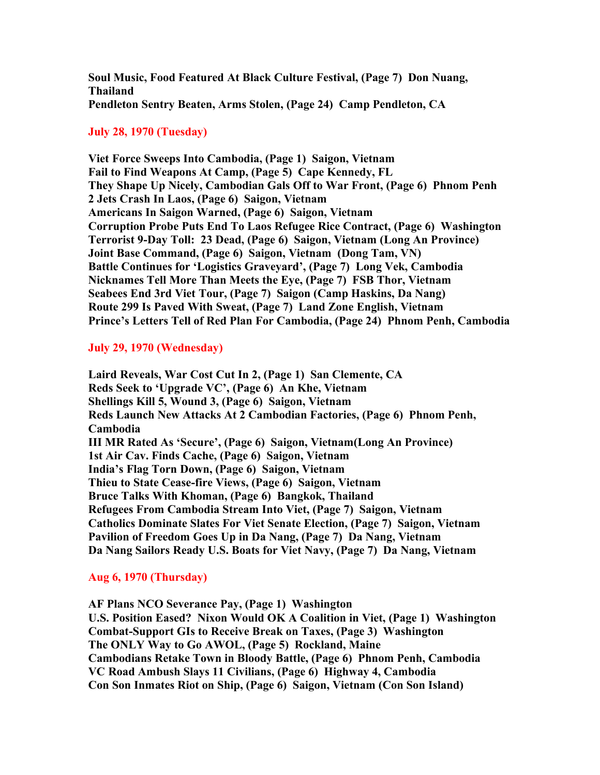**Soul Music, Food Featured At Black Culture Festival, (Page 7) Don Nuang, Thailand Pendleton Sentry Beaten, Arms Stolen, (Page 24) Camp Pendleton, CA**

## **July 28, 1970 (Tuesday)**

**Viet Force Sweeps Into Cambodia, (Page 1) Saigon, Vietnam Fail to Find Weapons At Camp, (Page 5) Cape Kennedy, FL They Shape Up Nicely, Cambodian Gals Off to War Front, (Page 6) Phnom Penh 2 Jets Crash In Laos, (Page 6) Saigon, Vietnam Americans In Saigon Warned, (Page 6) Saigon, Vietnam Corruption Probe Puts End To Laos Refugee Rice Contract, (Page 6) Washington Terrorist 9-Day Toll: 23 Dead, (Page 6) Saigon, Vietnam (Long An Province) Joint Base Command, (Page 6) Saigon, Vietnam (Dong Tam, VN) Battle Continues for 'Logistics Graveyard', (Page 7) Long Vek, Cambodia Nicknames Tell More Than Meets the Eye, (Page 7) FSB Thor, Vietnam Seabees End 3rd Viet Tour, (Page 7) Saigon (Camp Haskins, Da Nang) Route 299 Is Paved With Sweat, (Page 7) Land Zone English, Vietnam Prince's Letters Tell of Red Plan For Cambodia, (Page 24) Phnom Penh, Cambodia**

### **July 29, 1970 (Wednesday)**

**Laird Reveals, War Cost Cut In 2, (Page 1) San Clemente, CA Reds Seek to 'Upgrade VC', (Page 6) An Khe, Vietnam Shellings Kill 5, Wound 3, (Page 6) Saigon, Vietnam Reds Launch New Attacks At 2 Cambodian Factories, (Page 6) Phnom Penh, Cambodia III MR Rated As 'Secure', (Page 6) Saigon, Vietnam(Long An Province) 1st Air Cav. Finds Cache, (Page 6) Saigon, Vietnam India's Flag Torn Down, (Page 6) Saigon, Vietnam Thieu to State Cease-fire Views, (Page 6) Saigon, Vietnam Bruce Talks With Khoman, (Page 6) Bangkok, Thailand Refugees From Cambodia Stream Into Viet, (Page 7) Saigon, Vietnam Catholics Dominate Slates For Viet Senate Election, (Page 7) Saigon, Vietnam Pavilion of Freedom Goes Up in Da Nang, (Page 7) Da Nang, Vietnam Da Nang Sailors Ready U.S. Boats for Viet Navy, (Page 7) Da Nang, Vietnam**

#### **Aug 6, 1970 (Thursday)**

**AF Plans NCO Severance Pay, (Page 1) Washington U.S. Position Eased? Nixon Would OK A Coalition in Viet, (Page 1) Washington Combat-Support GIs to Receive Break on Taxes, (Page 3) Washington The ONLY Way to Go AWOL, (Page 5) Rockland, Maine Cambodians Retake Town in Bloody Battle, (Page 6) Phnom Penh, Cambodia VC Road Ambush Slays 11 Civilians, (Page 6) Highway 4, Cambodia Con Son Inmates Riot on Ship, (Page 6) Saigon, Vietnam (Con Son Island)**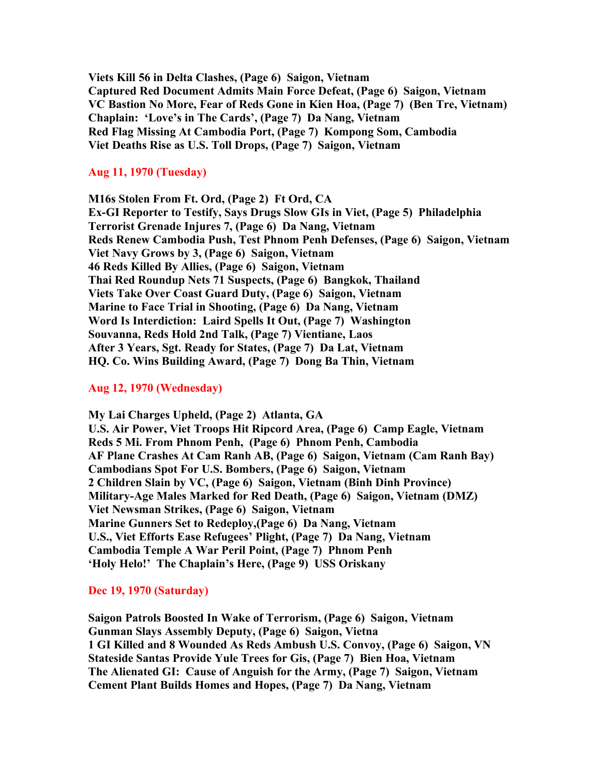**Viets Kill 56 in Delta Clashes, (Page 6) Saigon, Vietnam Captured Red Document Admits Main Force Defeat, (Page 6) Saigon, Vietnam VC Bastion No More, Fear of Reds Gone in Kien Hoa, (Page 7) (Ben Tre, Vietnam) Chaplain: 'Love's in The Cards', (Page 7) Da Nang, Vietnam Red Flag Missing At Cambodia Port, (Page 7) Kompong Som, Cambodia Viet Deaths Rise as U.S. Toll Drops, (Page 7) Saigon, Vietnam**

### **Aug 11, 1970 (Tuesday)**

**M16s Stolen From Ft. Ord, (Page 2) Ft Ord, CA Ex-GI Reporter to Testify, Says Drugs Slow GIs in Viet, (Page 5) Philadelphia Terrorist Grenade Injures 7, (Page 6) Da Nang, Vietnam Reds Renew Cambodia Push, Test Phnom Penh Defenses, (Page 6) Saigon, Vietnam Viet Navy Grows by 3, (Page 6) Saigon, Vietnam 46 Reds Killed By Allies, (Page 6) Saigon, Vietnam Thai Red Roundup Nets 71 Suspects, (Page 6) Bangkok, Thailand Viets Take Over Coast Guard Duty, (Page 6) Saigon, Vietnam Marine to Face Trial in Shooting, (Page 6) Da Nang, Vietnam Word Is Interdiction: Laird Spells It Out, (Page 7) Washington Souvanna, Reds Hold 2nd Talk, (Page 7) Vientiane, Laos After 3 Years, Sgt. Ready for States, (Page 7) Da Lat, Vietnam HQ. Co. Wins Building Award, (Page 7) Dong Ba Thin, Vietnam**

#### **Aug 12, 1970 (Wednesday)**

**My Lai Charges Upheld, (Page 2) Atlanta, GA U.S. Air Power, Viet Troops Hit Ripcord Area, (Page 6) Camp Eagle, Vietnam Reds 5 Mi. From Phnom Penh, (Page 6) Phnom Penh, Cambodia AF Plane Crashes At Cam Ranh AB, (Page 6) Saigon, Vietnam (Cam Ranh Bay) Cambodians Spot For U.S. Bombers, (Page 6) Saigon, Vietnam 2 Children Slain by VC, (Page 6) Saigon, Vietnam (Binh Dinh Province) Military-Age Males Marked for Red Death, (Page 6) Saigon, Vietnam (DMZ) Viet Newsman Strikes, (Page 6) Saigon, Vietnam Marine Gunners Set to Redeploy,(Page 6) Da Nang, Vietnam U.S., Viet Efforts Ease Refugees' Plight, (Page 7) Da Nang, Vietnam Cambodia Temple A War Peril Point, (Page 7) Phnom Penh 'Holy Helo!' The Chaplain's Here, (Page 9) USS Oriskany**

### **Dec 19, 1970 (Saturday)**

**Saigon Patrols Boosted In Wake of Terrorism, (Page 6) Saigon, Vietnam Gunman Slays Assembly Deputy, (Page 6) Saigon, Vietna 1 GI Killed and 8 Wounded As Reds Ambush U.S. Convoy, (Page 6) Saigon, VN Stateside Santas Provide Yule Trees for Gis, (Page 7) Bien Hoa, Vietnam The Alienated GI: Cause of Anguish for the Army, (Page 7) Saigon, Vietnam Cement Plant Builds Homes and Hopes, (Page 7) Da Nang, Vietnam**